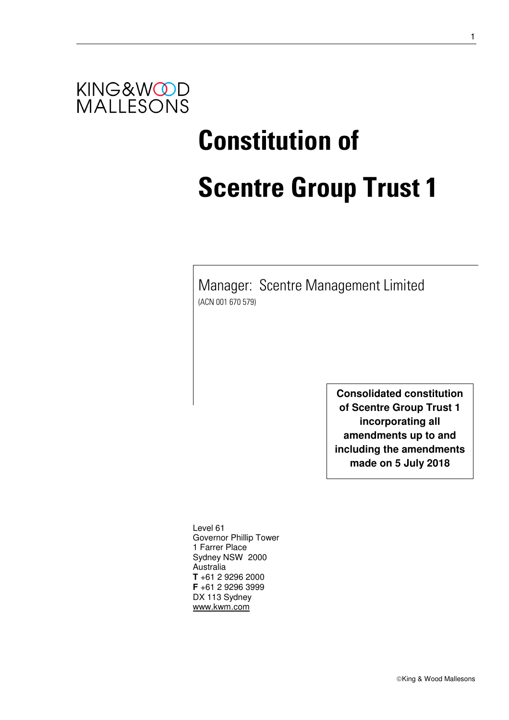

# **Constitution of Scentre Group Trust 1**

Manager: Scentre Management Limited (ACN 001 670 579)

> **Consolidated constitution of Scentre Group Trust 1 incorporating all amendments up to and including the amendments made on 5 July 2018**

Level 61 Governor Phillip Tower 1 Farrer Place Sydney NSW 2000 Australia **T** +61 2 9296 2000 **F** +61 2 9296 3999 DX 113 Sydney www.kwm.com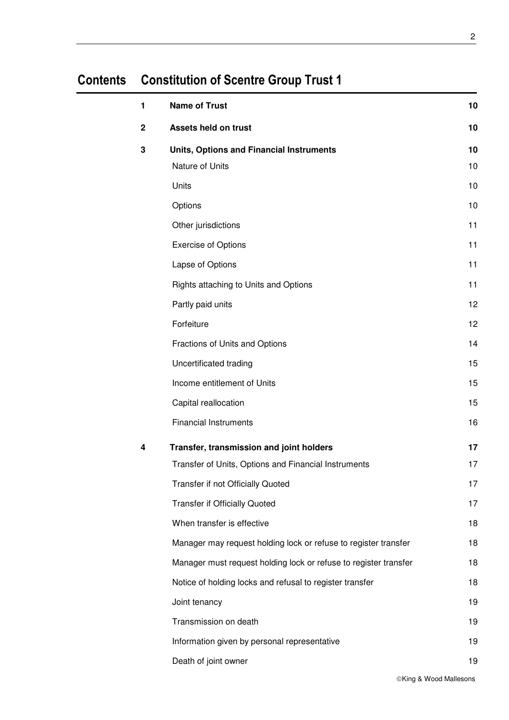## **Contents Constitution of Scentre Group Trust 1**

| 1 | <b>Name of Trust</b>                                             | 10 |
|---|------------------------------------------------------------------|----|
| 2 | Assets held on trust                                             | 10 |
| 3 | <b>Units, Options and Financial Instruments</b>                  | 10 |
|   | Nature of Units                                                  | 10 |
|   | Units                                                            | 10 |
|   | Options                                                          | 10 |
|   | Other jurisdictions                                              | 11 |
|   | <b>Exercise of Options</b>                                       | 11 |
|   | Lapse of Options                                                 | 11 |
|   | Rights attaching to Units and Options                            | 11 |
|   | Partly paid units                                                | 12 |
|   | Forfeiture                                                       | 12 |
|   | Fractions of Units and Options                                   | 14 |
|   | Uncertificated trading                                           | 15 |
|   | Income entitlement of Units                                      | 15 |
|   | Capital reallocation                                             | 15 |
|   | <b>Financial Instruments</b>                                     | 16 |
| 4 | Transfer, transmission and joint holders                         | 17 |
|   | Transfer of Units, Options and Financial Instruments             | 17 |
|   | Transfer if not Officially Quoted                                | 17 |
|   | <b>Transfer if Officially Quoted</b>                             | 17 |
|   | When transfer is effective                                       | 18 |
|   | Manager may request holding lock or refuse to register transfer  | 18 |
|   | Manager must request holding lock or refuse to register transfer | 18 |
|   | Notice of holding locks and refusal to register transfer         | 18 |
|   | Joint tenancy                                                    | 19 |
|   | Transmission on death                                            | 19 |
|   | Information given by personal representative                     | 19 |
|   | Death of joint owner                                             | 19 |

©King & Wood Mallesons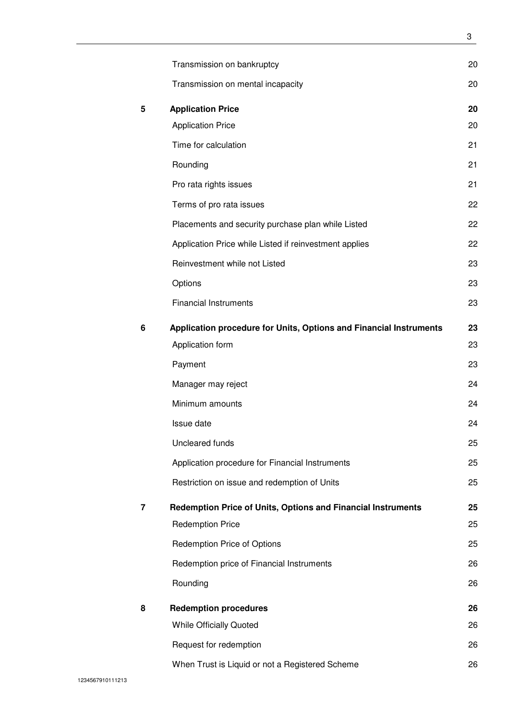|   | Transmission on bankruptcy                                         | 20 |
|---|--------------------------------------------------------------------|----|
|   | Transmission on mental incapacity                                  | 20 |
| 5 | <b>Application Price</b>                                           | 20 |
|   | <b>Application Price</b>                                           | 20 |
|   | Time for calculation                                               | 21 |
|   | Rounding                                                           | 21 |
|   | Pro rata rights issues                                             | 21 |
|   | Terms of pro rata issues                                           | 22 |
|   | Placements and security purchase plan while Listed                 | 22 |
|   | Application Price while Listed if reinvestment applies             | 22 |
|   | Reinvestment while not Listed                                      | 23 |
|   | Options                                                            | 23 |
|   | <b>Financial Instruments</b>                                       | 23 |
| 6 | Application procedure for Units, Options and Financial Instruments | 23 |
|   | Application form                                                   | 23 |
|   | Payment                                                            | 23 |
|   | Manager may reject                                                 | 24 |
|   | Minimum amounts                                                    | 24 |
|   | Issue date                                                         | 24 |
|   | Uncleared funds                                                    | 25 |
|   | Application procedure for Financial Instruments                    | 25 |
|   | Restriction on issue and redemption of Units                       | 25 |
| 7 | Redemption Price of Units, Options and Financial Instruments       | 25 |
|   | <b>Redemption Price</b>                                            | 25 |
|   | <b>Redemption Price of Options</b>                                 | 25 |
|   | Redemption price of Financial Instruments                          | 26 |
|   | Rounding                                                           | 26 |
| 8 | <b>Redemption procedures</b>                                       | 26 |
|   | <b>While Officially Quoted</b>                                     | 26 |
|   | Request for redemption                                             | 26 |
|   | When Trust is Liquid or not a Registered Scheme                    | 26 |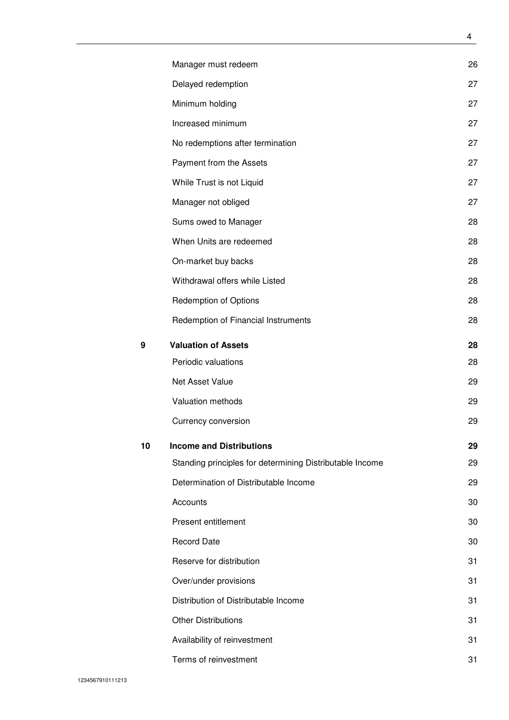|    | Manager must redeem                                      | 26 |
|----|----------------------------------------------------------|----|
|    | Delayed redemption                                       | 27 |
|    | Minimum holding                                          | 27 |
|    | Increased minimum                                        | 27 |
|    | No redemptions after termination                         | 27 |
|    | Payment from the Assets                                  | 27 |
|    | While Trust is not Liquid                                | 27 |
|    | Manager not obliged                                      | 27 |
|    | Sums owed to Manager                                     | 28 |
|    | When Units are redeemed                                  | 28 |
|    | On-market buy backs                                      | 28 |
|    | Withdrawal offers while Listed                           | 28 |
|    | <b>Redemption of Options</b>                             | 28 |
|    | Redemption of Financial Instruments                      | 28 |
| 9  | <b>Valuation of Assets</b>                               | 28 |
|    | Periodic valuations                                      | 28 |
|    | Net Asset Value                                          | 29 |
|    | Valuation methods                                        | 29 |
|    | Currency conversion                                      | 29 |
| 10 | <b>Income and Distributions</b>                          | 29 |
|    | Standing principles for determining Distributable Income | 29 |
|    | Determination of Distributable Income                    | 29 |
|    | Accounts                                                 | 30 |
|    | Present entitlement                                      | 30 |
|    | <b>Record Date</b>                                       | 30 |
|    | Reserve for distribution                                 | 31 |
|    | Over/under provisions                                    | 31 |
|    | Distribution of Distributable Income                     | 31 |
|    | <b>Other Distributions</b>                               | 31 |
|    | Availability of reinvestment                             | 31 |
|    | Terms of reinvestment                                    | 31 |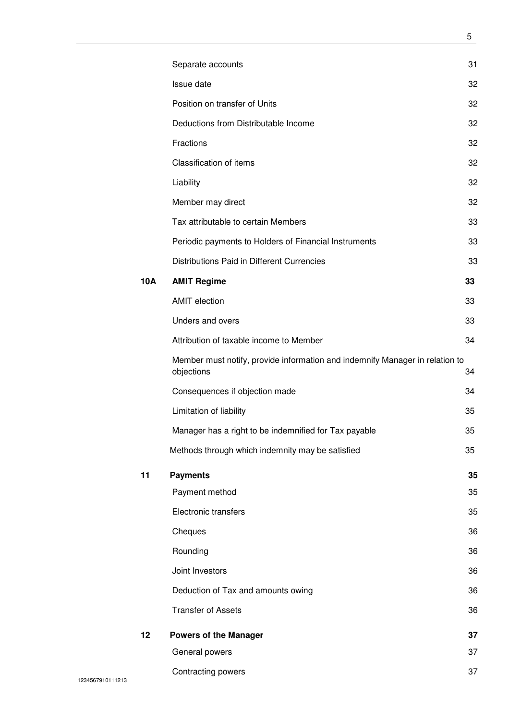|     | Separate accounts                                                                          | 31 |
|-----|--------------------------------------------------------------------------------------------|----|
|     | Issue date                                                                                 | 32 |
|     | Position on transfer of Units                                                              | 32 |
|     | Deductions from Distributable Income                                                       | 32 |
|     | Fractions                                                                                  | 32 |
|     | <b>Classification of items</b>                                                             | 32 |
|     | Liability                                                                                  | 32 |
|     | Member may direct                                                                          | 32 |
|     | Tax attributable to certain Members                                                        | 33 |
|     | Periodic payments to Holders of Financial Instruments                                      | 33 |
|     | Distributions Paid in Different Currencies                                                 | 33 |
| 10A | <b>AMIT Regime</b>                                                                         | 33 |
|     | <b>AMIT</b> election                                                                       | 33 |
|     | Unders and overs                                                                           | 33 |
|     | Attribution of taxable income to Member                                                    | 34 |
|     | Member must notify, provide information and indemnify Manager in relation to<br>objections | 34 |
|     | Consequences if objection made                                                             | 34 |
|     | Limitation of liability                                                                    | 35 |
|     | Manager has a right to be indemnified for Tax payable                                      | 35 |
|     | Methods through which indemnity may be satisfied                                           | 35 |
| 11  | <b>Payments</b>                                                                            | 35 |
|     | Payment method                                                                             | 35 |
|     | Electronic transfers                                                                       | 35 |
|     | Cheques                                                                                    | 36 |
|     | Rounding                                                                                   | 36 |
|     | Joint Investors                                                                            | 36 |
|     | Deduction of Tax and amounts owing                                                         | 36 |
|     | <b>Transfer of Assets</b>                                                                  | 36 |
| 12  | <b>Powers of the Manager</b>                                                               | 37 |
|     | General powers                                                                             | 37 |
|     | Contracting powers                                                                         | 37 |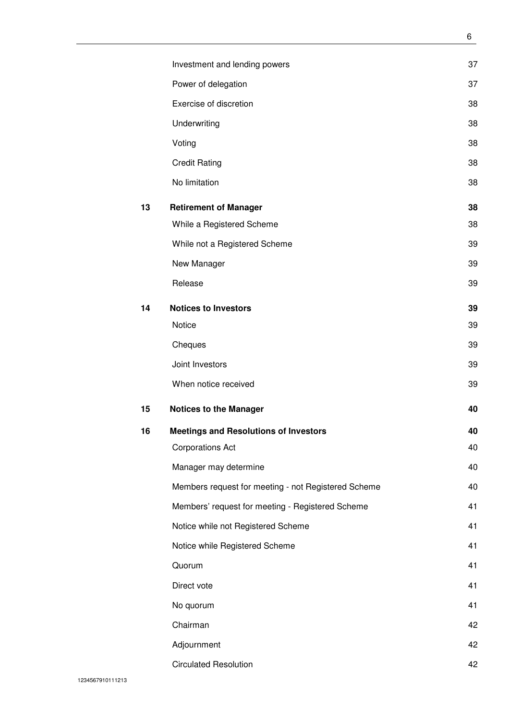|    | Investment and lending powers                       | 37 |
|----|-----------------------------------------------------|----|
|    | Power of delegation                                 | 37 |
|    | Exercise of discretion                              | 38 |
|    | Underwriting                                        | 38 |
|    | Voting                                              | 38 |
|    | <b>Credit Rating</b>                                | 38 |
|    | No limitation                                       | 38 |
| 13 | <b>Retirement of Manager</b>                        | 38 |
|    | While a Registered Scheme                           | 38 |
|    | While not a Registered Scheme                       | 39 |
|    | New Manager                                         | 39 |
|    | Release                                             | 39 |
| 14 | <b>Notices to Investors</b>                         | 39 |
|    | Notice                                              | 39 |
|    | Cheques                                             | 39 |
|    | Joint Investors                                     | 39 |
|    | When notice received                                | 39 |
| 15 | <b>Notices to the Manager</b>                       | 40 |
| 16 | <b>Meetings and Resolutions of Investors</b>        | 40 |
|    | <b>Corporations Act</b>                             | 40 |
|    | Manager may determine                               | 40 |
|    | Members request for meeting - not Registered Scheme | 40 |
|    | Members' request for meeting - Registered Scheme    | 41 |
|    | Notice while not Registered Scheme                  | 41 |
|    | Notice while Registered Scheme                      | 41 |
|    | Quorum                                              | 41 |
|    | Direct vote                                         | 41 |
|    | No quorum                                           | 41 |
|    | Chairman                                            | 42 |
|    | Adjournment                                         | 42 |
|    | <b>Circulated Resolution</b>                        | 42 |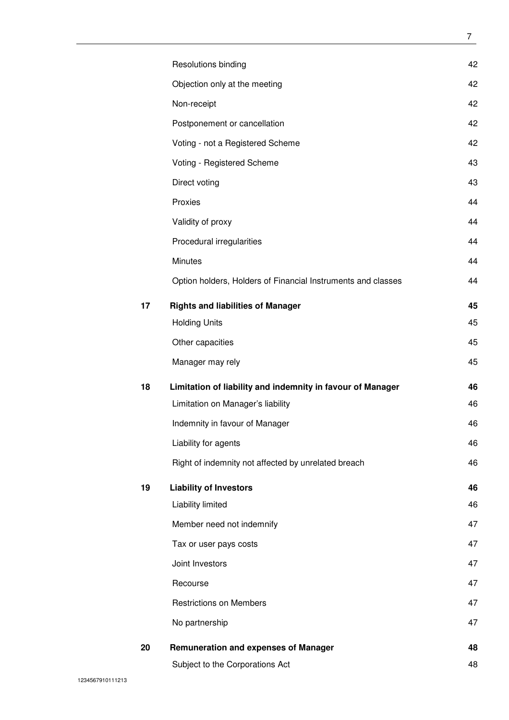|    | Resolutions binding                                          | 42 |
|----|--------------------------------------------------------------|----|
|    | Objection only at the meeting                                | 42 |
|    | Non-receipt                                                  | 42 |
|    | Postponement or cancellation                                 | 42 |
|    | Voting - not a Registered Scheme                             | 42 |
|    | Voting - Registered Scheme                                   | 43 |
|    | Direct voting                                                | 43 |
|    | Proxies                                                      | 44 |
|    | Validity of proxy                                            | 44 |
|    | Procedural irregularities                                    | 44 |
|    | Minutes                                                      | 44 |
|    | Option holders, Holders of Financial Instruments and classes | 44 |
| 17 | <b>Rights and liabilities of Manager</b>                     | 45 |
|    | <b>Holding Units</b>                                         | 45 |
|    | Other capacities                                             | 45 |
|    | Manager may rely                                             | 45 |
| 18 | Limitation of liability and indemnity in favour of Manager   | 46 |
|    | Limitation on Manager's liability                            | 46 |
|    | Indemnity in favour of Manager                               | 46 |
|    | Liability for agents                                         | 46 |
|    | Right of indemnity not affected by unrelated breach          | 46 |
| 19 | <b>Liability of Investors</b>                                | 46 |
|    | Liability limited                                            | 46 |
|    | Member need not indemnify                                    | 47 |
|    | Tax or user pays costs                                       | 47 |
|    | Joint Investors                                              | 47 |
|    | Recourse                                                     | 47 |
|    | <b>Restrictions on Members</b>                               | 47 |
|    | No partnership                                               | 47 |
| 20 | <b>Remuneration and expenses of Manager</b>                  | 48 |
|    | Subject to the Corporations Act                              | 48 |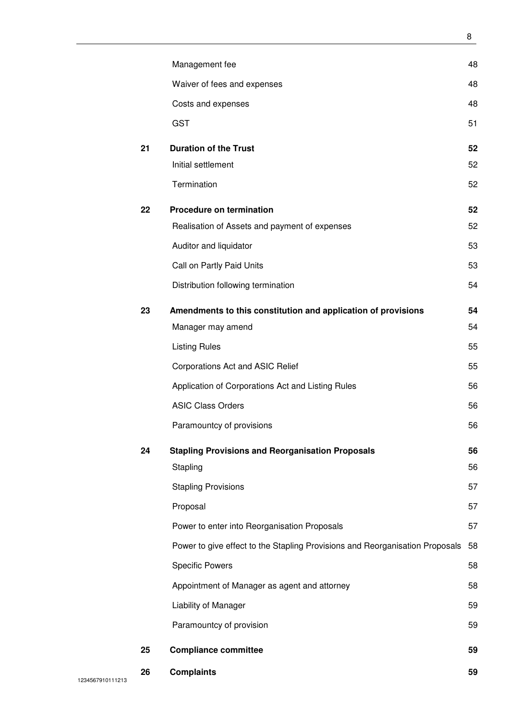| 26 | <b>Complaints</b>                                                            | 59       |
|----|------------------------------------------------------------------------------|----------|
| 25 | <b>Compliance committee</b>                                                  | 59       |
|    | Paramountcy of provision                                                     | 59       |
|    | Liability of Manager                                                         | 59       |
|    | Appointment of Manager as agent and attorney                                 | 58       |
|    | <b>Specific Powers</b>                                                       | 58       |
|    | Power to give effect to the Stapling Provisions and Reorganisation Proposals | 58       |
|    | Power to enter into Reorganisation Proposals                                 | 57       |
|    | Proposal                                                                     | 57       |
|    | <b>Stapling Provisions</b>                                                   | 57       |
| 24 | <b>Stapling Provisions and Reorganisation Proposals</b><br>Stapling          | 56<br>56 |
|    | Paramountcy of provisions                                                    | 56       |
|    | <b>ASIC Class Orders</b>                                                     | 56       |
|    | Application of Corporations Act and Listing Rules                            | 56       |
|    | Corporations Act and ASIC Relief                                             | 55       |
|    | <b>Listing Rules</b>                                                         | 55       |
|    | Manager may amend                                                            | 54       |
| 23 | Amendments to this constitution and application of provisions                | 54       |
|    | Distribution following termination                                           | 54       |
|    | Call on Partly Paid Units                                                    | 53       |
|    | Auditor and liquidator                                                       | 53       |
|    | Realisation of Assets and payment of expenses                                | 52       |
| 22 | <b>Procedure on termination</b>                                              | 52       |
|    | Termination                                                                  | 52       |
|    | Initial settlement                                                           | 52       |
| 21 | <b>Duration of the Trust</b>                                                 | 52       |
|    | <b>GST</b>                                                                   | 51       |
|    | Costs and expenses                                                           | 48       |
|    | Waiver of fees and expenses                                                  | 48       |
|    | Management fee                                                               | 48       |
|    |                                                                              |          |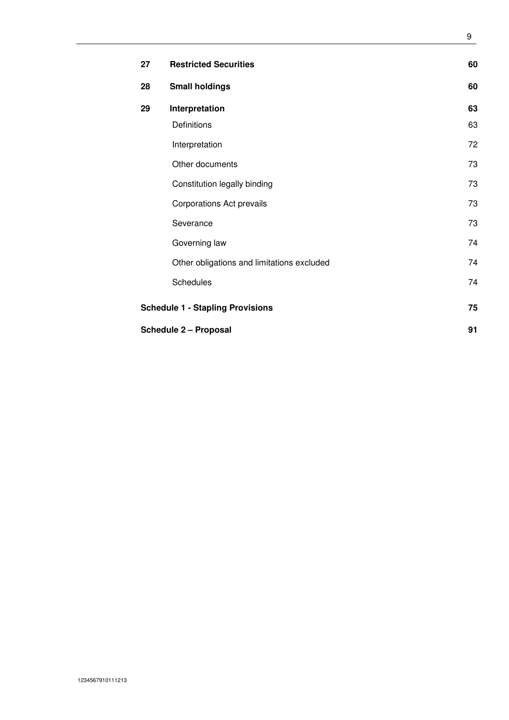| 27 | <b>Restricted Securities</b>                  | 60 |  |  |  |
|----|-----------------------------------------------|----|--|--|--|
| 28 | <b>Small holdings</b>                         | 60 |  |  |  |
| 29 | Interpretation                                | 63 |  |  |  |
|    | Definitions                                   | 63 |  |  |  |
|    | Interpretation                                | 72 |  |  |  |
|    | Other documents                               | 73 |  |  |  |
|    | Constitution legally binding                  | 73 |  |  |  |
|    | Corporations Act prevails                     | 73 |  |  |  |
|    | Severance                                     | 73 |  |  |  |
|    | Governing law                                 | 74 |  |  |  |
|    | Other obligations and limitations excluded    | 74 |  |  |  |
|    | <b>Schedules</b>                              | 74 |  |  |  |
|    | 75<br><b>Schedule 1 - Stapling Provisions</b> |    |  |  |  |
|    | <b>Schedule 2 - Proposal</b>                  | 91 |  |  |  |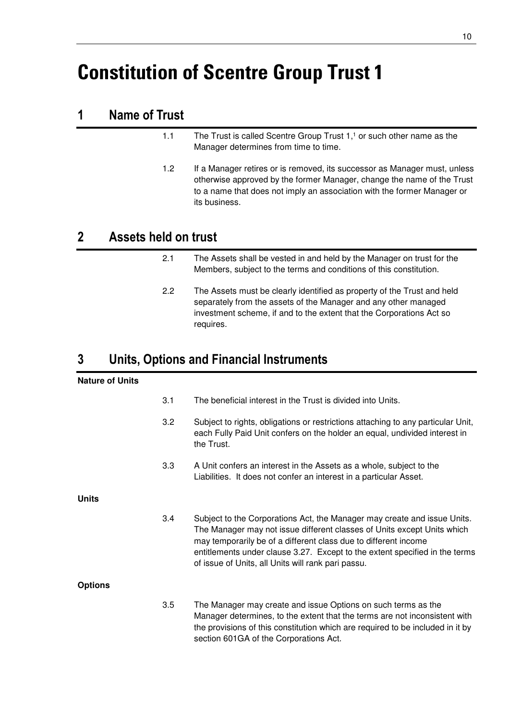# **Constitution of Scentre Group Trust 1**

## **1 Name of Trust**

- 1.1 The Trust is called Scentre Group Trust  $1<sup>1</sup>$  or such other name as the Manager determines from time to time.
- 1.2 If a Manager retires or is removed, its successor as Manager must, unless otherwise approved by the former Manager, change the name of the Trust to a name that does not imply an association with the former Manager or its business.

## **2 Assets held on trust**

- 2.1 The Assets shall be vested in and held by the Manager on trust for the Members, subject to the terms and conditions of this constitution.
- 2.2 The Assets must be clearly identified as property of the Trust and held separately from the assets of the Manager and any other managed investment scheme, if and to the extent that the Corporations Act so requires.

## **3 Units, Options and Financial Instruments**

#### **Nature of Units**

|                | 3.1 | The beneficial interest in the Trust is divided into Units.                                                                                                                                                                                                                                                                                                 |
|----------------|-----|-------------------------------------------------------------------------------------------------------------------------------------------------------------------------------------------------------------------------------------------------------------------------------------------------------------------------------------------------------------|
|                | 3.2 | Subject to rights, obligations or restrictions attaching to any particular Unit,<br>each Fully Paid Unit confers on the holder an equal, undivided interest in<br>the Trust.                                                                                                                                                                                |
|                | 3.3 | A Unit confers an interest in the Assets as a whole, subject to the<br>Liabilities. It does not confer an interest in a particular Asset.                                                                                                                                                                                                                   |
| Units          |     |                                                                                                                                                                                                                                                                                                                                                             |
|                | 3.4 | Subject to the Corporations Act, the Manager may create and issue Units.<br>The Manager may not issue different classes of Units except Units which<br>may temporarily be of a different class due to different income<br>entitlements under clause 3.27. Except to the extent specified in the terms<br>of issue of Units, all Units will rank pari passu. |
| <b>Options</b> |     |                                                                                                                                                                                                                                                                                                                                                             |
|                | 3.5 | The Manager may create and issue Options on such terms as the<br>Manager determines, to the extent that the terms are not inconsistent with<br>the provisions of this constitution which are required to be included in it by<br>section 601GA of the Corporations Act.                                                                                     |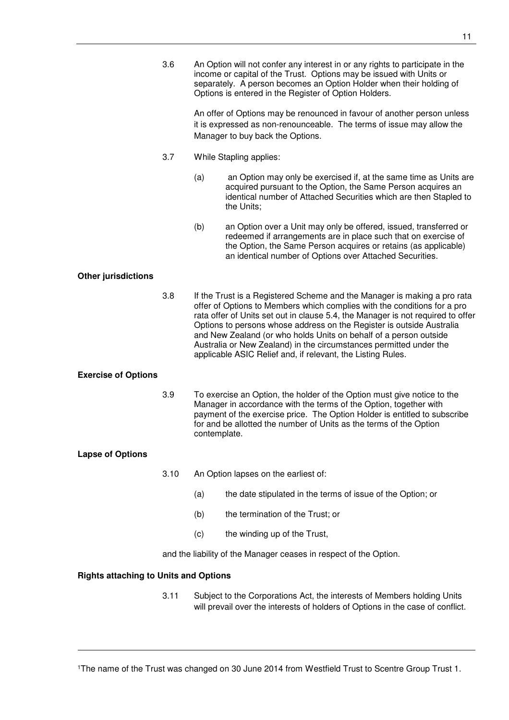3.6 An Option will not confer any interest in or any rights to participate in the income or capital of the Trust. Options may be issued with Units or separately. A person becomes an Option Holder when their holding of Options is entered in the Register of Option Holders.

> An offer of Options may be renounced in favour of another person unless it is expressed as non-renounceable. The terms of issue may allow the Manager to buy back the Options.

- 3.7 While Stapling applies:
	- (a) an Option may only be exercised if, at the same time as Units are acquired pursuant to the Option, the Same Person acquires an identical number of Attached Securities which are then Stapled to the Units;
	- (b) an Option over a Unit may only be offered, issued, transferred or redeemed if arrangements are in place such that on exercise of the Option, the Same Person acquires or retains (as applicable) an identical number of Options over Attached Securities.

#### **Other jurisdictions**

3.8 If the Trust is a Registered Scheme and the Manager is making a pro rata offer of Options to Members which complies with the conditions for a pro rata offer of Units set out in clause 5.4, the Manager is not required to offer Options to persons whose address on the Register is outside Australia and New Zealand (or who holds Units on behalf of a person outside Australia or New Zealand) in the circumstances permitted under the applicable ASIC Relief and, if relevant, the Listing Rules.

#### **Exercise of Options**

3.9 To exercise an Option, the holder of the Option must give notice to the Manager in accordance with the terms of the Option, together with payment of the exercise price. The Option Holder is entitled to subscribe for and be allotted the number of Units as the terms of the Option contemplate.

#### **Lapse of Options**

-

- 3.10 An Option lapses on the earliest of:
	- (a) the date stipulated in the terms of issue of the Option; or
	- (b) the termination of the Trust; or
	- (c) the winding up of the Trust,

and the liability of the Manager ceases in respect of the Option.

#### **Rights attaching to Units and Options**

3.11 Subject to the Corporations Act, the interests of Members holding Units will prevail over the interests of holders of Options in the case of conflict.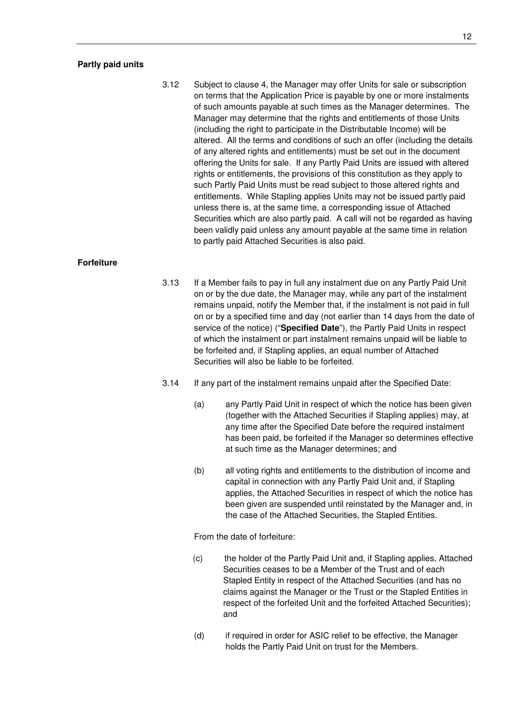#### **Partly paid units**

3.12 Subject to clause 4, the Manager may offer Units for sale or subscription on terms that the Application Price is payable by one or more instalments of such amounts payable at such times as the Manager determines. The Manager may determine that the rights and entitlements of those Units (including the right to participate in the Distributable Income) will be altered. All the terms and conditions of such an offer (including the details of any altered rights and entitlements) must be set out in the document offering the Units for sale. If any Partly Paid Units are issued with altered rights or entitlements, the provisions of this constitution as they apply to such Partly Paid Units must be read subject to those altered rights and entitlements. While Stapling applies Units may not be issued partly paid unless there is, at the same time, a corresponding issue of Attached Securities which are also partly paid. A call will not be regarded as having been validly paid unless any amount payable at the same time in relation to partly paid Attached Securities is also paid.

#### **Forfeiture**

- 3.13 If a Member fails to pay in full any instalment due on any Partly Paid Unit on or by the due date, the Manager may, while any part of the instalment remains unpaid, notify the Member that, if the instalment is not paid in full on or by a specified time and day (not earlier than 14 days from the date of service of the notice) ("**Specified Date**"), the Partly Paid Units in respect of which the instalment or part instalment remains unpaid will be liable to be forfeited and, if Stapling applies, an equal number of Attached Securities will also be liable to be forfeited.
- 3.14 If any part of the instalment remains unpaid after the Specified Date:
	- (a) any Partly Paid Unit in respect of which the notice has been given (together with the Attached Securities if Stapling applies) may, at any time after the Specified Date before the required instalment has been paid, be forfeited if the Manager so determines effective at such time as the Manager determines; and
	- (b) all voting rights and entitlements to the distribution of income and capital in connection with any Partly Paid Unit and, if Stapling applies, the Attached Securities in respect of which the notice has been given are suspended until reinstated by the Manager and, in the case of the Attached Securities, the Stapled Entities.

From the date of forfeiture:

- (c) the holder of the Partly Paid Unit and, if Stapling applies, Attached Securities ceases to be a Member of the Trust and of each Stapled Entity in respect of the Attached Securities (and has no claims against the Manager or the Trust or the Stapled Entities in respect of the forfeited Unit and the forfeited Attached Securities); and
- (d) if required in order for ASIC relief to be effective, the Manager holds the Partly Paid Unit on trust for the Members.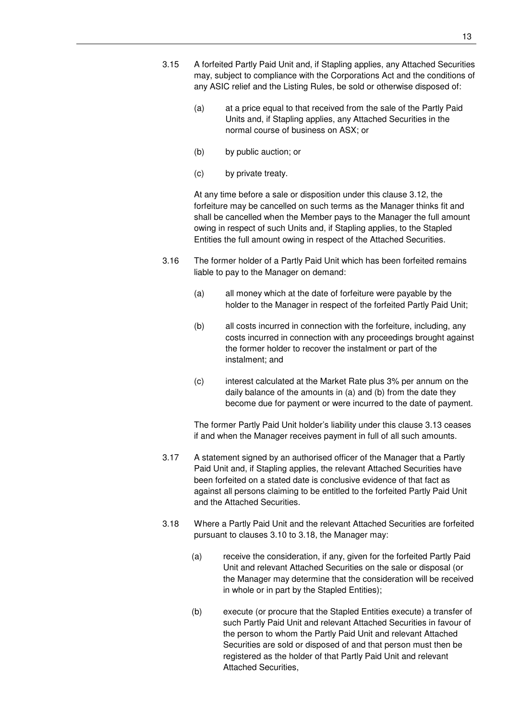- 3.15 A forfeited Partly Paid Unit and, if Stapling applies, any Attached Securities may, subject to compliance with the Corporations Act and the conditions of any ASIC relief and the Listing Rules, be sold or otherwise disposed of:
	- (a) at a price equal to that received from the sale of the Partly Paid Units and, if Stapling applies, any Attached Securities in the normal course of business on ASX; or
	- (b) by public auction; or
	- (c) by private treaty.

At any time before a sale or disposition under this clause 3.12, the forfeiture may be cancelled on such terms as the Manager thinks fit and shall be cancelled when the Member pays to the Manager the full amount owing in respect of such Units and, if Stapling applies, to the Stapled Entities the full amount owing in respect of the Attached Securities.

- 3.16 The former holder of a Partly Paid Unit which has been forfeited remains liable to pay to the Manager on demand:
	- (a) all money which at the date of forfeiture were payable by the holder to the Manager in respect of the forfeited Partly Paid Unit;
	- (b) all costs incurred in connection with the forfeiture, including, any costs incurred in connection with any proceedings brought against the former holder to recover the instalment or part of the instalment; and
	- (c) interest calculated at the Market Rate plus 3% per annum on the daily balance of the amounts in (a) and (b) from the date they become due for payment or were incurred to the date of payment.

The former Partly Paid Unit holder's liability under this clause 3.13 ceases if and when the Manager receives payment in full of all such amounts.

- 3.17 A statement signed by an authorised officer of the Manager that a Partly Paid Unit and, if Stapling applies, the relevant Attached Securities have been forfeited on a stated date is conclusive evidence of that fact as against all persons claiming to be entitled to the forfeited Partly Paid Unit and the Attached Securities.
- 3.18 Where a Partly Paid Unit and the relevant Attached Securities are forfeited pursuant to clauses 3.10 to 3.18, the Manager may:
	- (a) receive the consideration, if any, given for the forfeited Partly Paid Unit and relevant Attached Securities on the sale or disposal (or the Manager may determine that the consideration will be received in whole or in part by the Stapled Entities);
	- (b) execute (or procure that the Stapled Entities execute) a transfer of such Partly Paid Unit and relevant Attached Securities in favour of the person to whom the Partly Paid Unit and relevant Attached Securities are sold or disposed of and that person must then be registered as the holder of that Partly Paid Unit and relevant Attached Securities,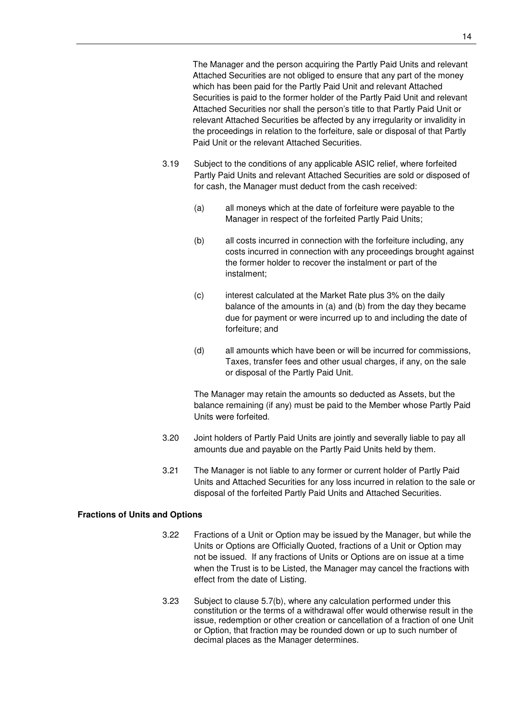The Manager and the person acquiring the Partly Paid Units and relevant Attached Securities are not obliged to ensure that any part of the money which has been paid for the Partly Paid Unit and relevant Attached Securities is paid to the former holder of the Partly Paid Unit and relevant Attached Securities nor shall the person's title to that Partly Paid Unit or relevant Attached Securities be affected by any irregularity or invalidity in the proceedings in relation to the forfeiture, sale or disposal of that Partly Paid Unit or the relevant Attached Securities.

- 3.19 Subject to the conditions of any applicable ASIC relief, where forfeited Partly Paid Units and relevant Attached Securities are sold or disposed of for cash, the Manager must deduct from the cash received:
	- (a) all moneys which at the date of forfeiture were payable to the Manager in respect of the forfeited Partly Paid Units;
	- (b) all costs incurred in connection with the forfeiture including, any costs incurred in connection with any proceedings brought against the former holder to recover the instalment or part of the instalment;
	- (c) interest calculated at the Market Rate plus 3% on the daily balance of the amounts in (a) and (b) from the day they became due for payment or were incurred up to and including the date of forfeiture; and
	- (d) all amounts which have been or will be incurred for commissions, Taxes, transfer fees and other usual charges, if any, on the sale or disposal of the Partly Paid Unit.

The Manager may retain the amounts so deducted as Assets, but the balance remaining (if any) must be paid to the Member whose Partly Paid Units were forfeited.

- 3.20 Joint holders of Partly Paid Units are jointly and severally liable to pay all amounts due and payable on the Partly Paid Units held by them.
- 3.21 The Manager is not liable to any former or current holder of Partly Paid Units and Attached Securities for any loss incurred in relation to the sale or disposal of the forfeited Partly Paid Units and Attached Securities.

## **Fractions of Units and Options**

- 3.22 Fractions of a Unit or Option may be issued by the Manager, but while the Units or Options are Officially Quoted, fractions of a Unit or Option may not be issued. If any fractions of Units or Options are on issue at a time when the Trust is to be Listed, the Manager may cancel the fractions with effect from the date of Listing.
- 3.23 Subject to clause 5.7(b), where any calculation performed under this constitution or the terms of a withdrawal offer would otherwise result in the issue, redemption or other creation or cancellation of a fraction of one Unit or Option, that fraction may be rounded down or up to such number of decimal places as the Manager determines.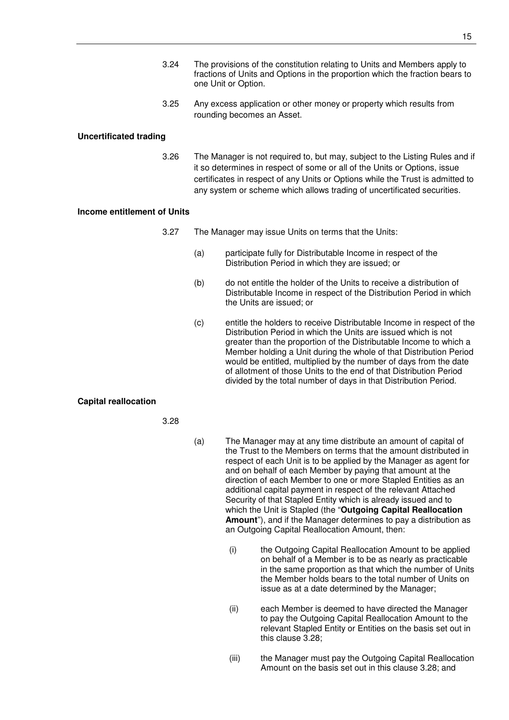- 3.24 The provisions of the constitution relating to Units and Members apply to fractions of Units and Options in the proportion which the fraction bears to one Unit or Option.
- 3.25 Any excess application or other money or property which results from rounding becomes an Asset.

#### **Uncertificated trading**

3.26 The Manager is not required to, but may, subject to the Listing Rules and if it so determines in respect of some or all of the Units or Options, issue certificates in respect of any Units or Options while the Trust is admitted to any system or scheme which allows trading of uncertificated securities.

#### **Income entitlement of Units**

- 3.27 The Manager may issue Units on terms that the Units:
	- (a) participate fully for Distributable Income in respect of the Distribution Period in which they are issued; or
	- (b) do not entitle the holder of the Units to receive a distribution of Distributable Income in respect of the Distribution Period in which the Units are issued; or
	- (c) entitle the holders to receive Distributable Income in respect of the Distribution Period in which the Units are issued which is not greater than the proportion of the Distributable Income to which a Member holding a Unit during the whole of that Distribution Period would be entitled, multiplied by the number of days from the date of allotment of those Units to the end of that Distribution Period divided by the total number of days in that Distribution Period.

#### **Capital reallocation**

3.28

- (a) The Manager may at any time distribute an amount of capital of the Trust to the Members on terms that the amount distributed in respect of each Unit is to be applied by the Manager as agent for and on behalf of each Member by paying that amount at the direction of each Member to one or more Stapled Entities as an additional capital payment in respect of the relevant Attached Security of that Stapled Entity which is already issued and to which the Unit is Stapled (the "**Outgoing Capital Reallocation Amount**"), and if the Manager determines to pay a distribution as an Outgoing Capital Reallocation Amount, then:
	- (i) the Outgoing Capital Reallocation Amount to be applied on behalf of a Member is to be as nearly as practicable in the same proportion as that which the number of Units the Member holds bears to the total number of Units on issue as at a date determined by the Manager;
	- (ii) each Member is deemed to have directed the Manager to pay the Outgoing Capital Reallocation Amount to the relevant Stapled Entity or Entities on the basis set out in this clause 3.28;
	- (iii) the Manager must pay the Outgoing Capital Reallocation Amount on the basis set out in this clause 3.28; and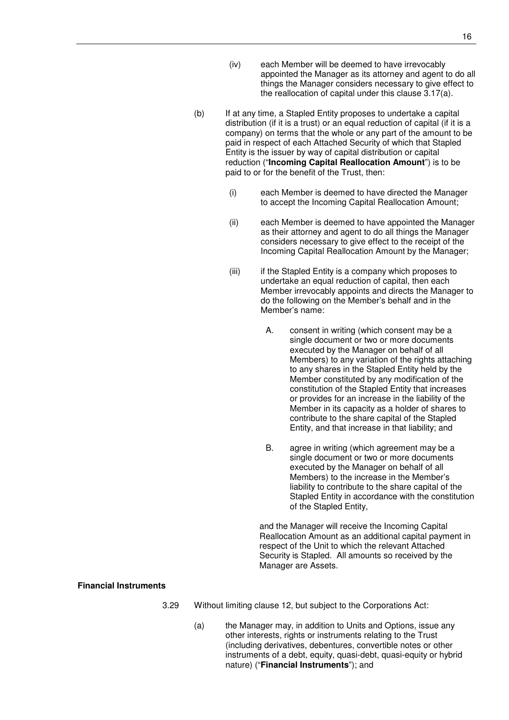- (iv) each Member will be deemed to have irrevocably appointed the Manager as its attorney and agent to do all things the Manager considers necessary to give effect to the reallocation of capital under this clause 3.17(a).
- (b) If at any time, a Stapled Entity proposes to undertake a capital distribution (if it is a trust) or an equal reduction of capital (if it is a company) on terms that the whole or any part of the amount to be paid in respect of each Attached Security of which that Stapled Entity is the issuer by way of capital distribution or capital reduction ("**Incoming Capital Reallocation Amount**") is to be paid to or for the benefit of the Trust, then:
	- (i) each Member is deemed to have directed the Manager to accept the Incoming Capital Reallocation Amount;
	- (ii) each Member is deemed to have appointed the Manager as their attorney and agent to do all things the Manager considers necessary to give effect to the receipt of the Incoming Capital Reallocation Amount by the Manager;
	- (iii) if the Stapled Entity is a company which proposes to undertake an equal reduction of capital, then each Member irrevocably appoints and directs the Manager to do the following on the Member's behalf and in the Member's name:
		- A. consent in writing (which consent may be a single document or two or more documents executed by the Manager on behalf of all Members) to any variation of the rights attaching to any shares in the Stapled Entity held by the Member constituted by any modification of the constitution of the Stapled Entity that increases or provides for an increase in the liability of the Member in its capacity as a holder of shares to contribute to the share capital of the Stapled Entity, and that increase in that liability; and
		- B. agree in writing (which agreement may be a single document or two or more documents executed by the Manager on behalf of all Members) to the increase in the Member's liability to contribute to the share capital of the Stapled Entity in accordance with the constitution of the Stapled Entity,

and the Manager will receive the Incoming Capital Reallocation Amount as an additional capital payment in respect of the Unit to which the relevant Attached Security is Stapled. All amounts so received by the Manager are Assets.

#### **Financial Instruments**

- 3.29 Without limiting clause 12, but subject to the Corporations Act:
	- (a) the Manager may, in addition to Units and Options, issue any other interests, rights or instruments relating to the Trust (including derivatives, debentures, convertible notes or other instruments of a debt, equity, quasi-debt, quasi-equity or hybrid nature) ("**Financial Instruments**"); and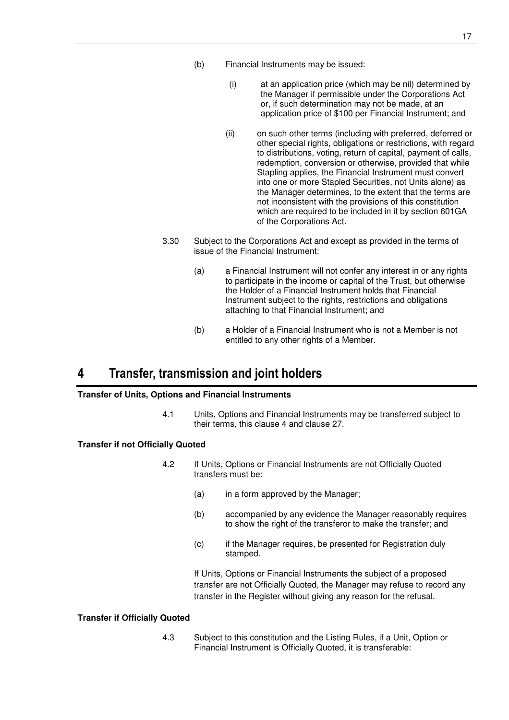- (b) Financial Instruments may be issued:
	- (i) at an application price (which may be nil) determined by the Manager if permissible under the Corporations Act or, if such determination may not be made, at an application price of \$100 per Financial Instrument; and
	- (ii) on such other terms (including with preferred, deferred or other special rights, obligations or restrictions, with regard to distributions, voting, return of capital, payment of calls, redemption, conversion or otherwise, provided that while Stapling applies, the Financial Instrument must convert into one or more Stapled Securities, not Units alone) as the Manager determines, to the extent that the terms are not inconsistent with the provisions of this constitution which are required to be included in it by section 601GA of the Corporations Act.
- 3.30 Subject to the Corporations Act and except as provided in the terms of issue of the Financial Instrument:
	- (a) a Financial Instrument will not confer any interest in or any rights to participate in the income or capital of the Trust, but otherwise the Holder of a Financial Instrument holds that Financial Instrument subject to the rights, restrictions and obligations attaching to that Financial Instrument; and
	- (b) a Holder of a Financial Instrument who is not a Member is not entitled to any other rights of a Member.

## **4 Transfer, transmission and joint holders**

#### **Transfer of Units, Options and Financial Instruments**

4.1 Units, Options and Financial Instruments may be transferred subject to their terms, this clause 4 and clause 27.

#### **Transfer if not Officially Quoted**

- 4.2 If Units, Options or Financial Instruments are not Officially Quoted transfers must be:
	- (a) in a form approved by the Manager;
	- (b) accompanied by any evidence the Manager reasonably requires to show the right of the transferor to make the transfer; and
	- (c) if the Manager requires, be presented for Registration duly stamped.

If Units, Options or Financial Instruments the subject of a proposed transfer are not Officially Quoted, the Manager may refuse to record any transfer in the Register without giving any reason for the refusal.

#### **Transfer if Officially Quoted**

4.3 Subject to this constitution and the Listing Rules, if a Unit, Option or Financial Instrument is Officially Quoted, it is transferable: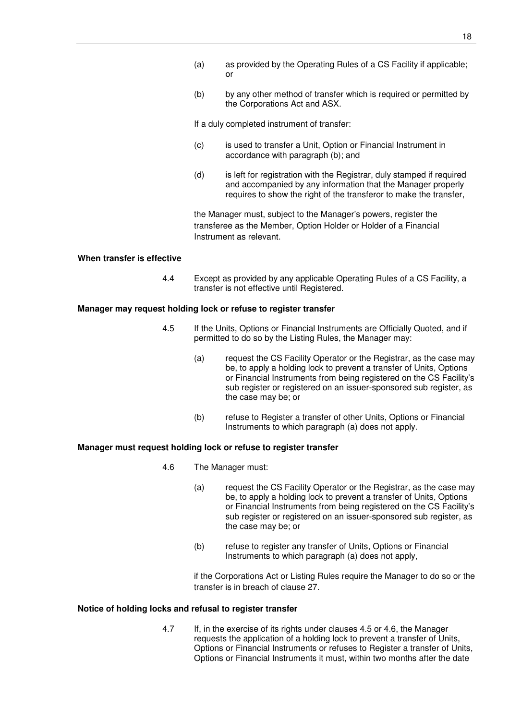- (a) as provided by the Operating Rules of a CS Facility if applicable; or
- (b) by any other method of transfer which is required or permitted by the Corporations Act and ASX.

If a duly completed instrument of transfer:

- (c) is used to transfer a Unit, Option or Financial Instrument in accordance with paragraph (b); and
- (d) is left for registration with the Registrar, duly stamped if required and accompanied by any information that the Manager properly requires to show the right of the transferor to make the transfer,

the Manager must, subject to the Manager's powers, register the transferee as the Member, Option Holder or Holder of a Financial Instrument as relevant.

#### **When transfer is effective**

4.4 Except as provided by any applicable Operating Rules of a CS Facility, a transfer is not effective until Registered.

#### **Manager may request holding lock or refuse to register transfer**

- 4.5 If the Units, Options or Financial Instruments are Officially Quoted, and if permitted to do so by the Listing Rules, the Manager may:
	- (a) request the CS Facility Operator or the Registrar, as the case may be, to apply a holding lock to prevent a transfer of Units, Options or Financial Instruments from being registered on the CS Facility's sub register or registered on an issuer-sponsored sub register, as the case may be; or
	- (b) refuse to Register a transfer of other Units, Options or Financial Instruments to which paragraph (a) does not apply.

#### **Manager must request holding lock or refuse to register transfer**

- 4.6 The Manager must:
	- (a) request the CS Facility Operator or the Registrar, as the case may be, to apply a holding lock to prevent a transfer of Units, Options or Financial Instruments from being registered on the CS Facility's sub register or registered on an issuer-sponsored sub register, as the case may be; or
	- (b) refuse to register any transfer of Units, Options or Financial Instruments to which paragraph (a) does not apply,

if the Corporations Act or Listing Rules require the Manager to do so or the transfer is in breach of clause 27.

#### **Notice of holding locks and refusal to register transfer**

4.7 If, in the exercise of its rights under clauses 4.5 or 4.6, the Manager requests the application of a holding lock to prevent a transfer of Units, Options or Financial Instruments or refuses to Register a transfer of Units, Options or Financial Instruments it must, within two months after the date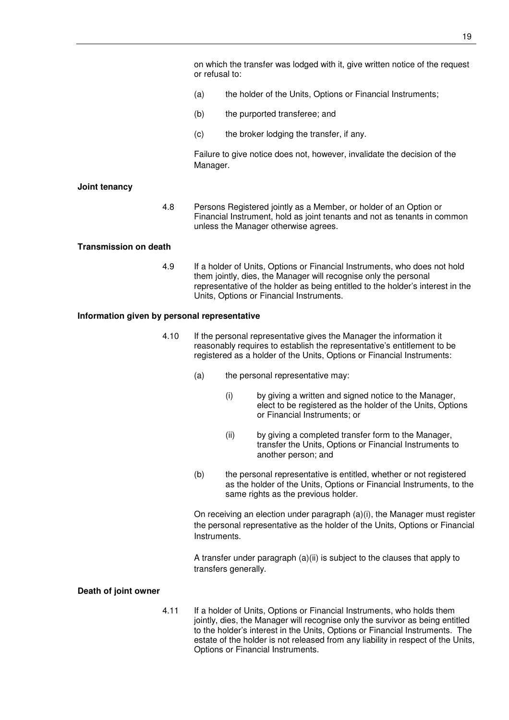on which the transfer was lodged with it, give written notice of the request or refusal to:

- (a) the holder of the Units, Options or Financial Instruments;
- (b) the purported transferee; and
- (c) the broker lodging the transfer, if any.

Failure to give notice does not, however, invalidate the decision of the Manager.

#### **Joint tenancy**

4.8 Persons Registered jointly as a Member, or holder of an Option or Financial Instrument, hold as joint tenants and not as tenants in common unless the Manager otherwise agrees.

#### **Transmission on death**

4.9 If a holder of Units, Options or Financial Instruments, who does not hold them jointly, dies, the Manager will recognise only the personal representative of the holder as being entitled to the holder's interest in the Units, Options or Financial Instruments.

#### **Information given by personal representative**

- 4.10 If the personal representative gives the Manager the information it reasonably requires to establish the representative's entitlement to be registered as a holder of the Units, Options or Financial Instruments:
	- (a) the personal representative may:
		- (i) by giving a written and signed notice to the Manager, elect to be registered as the holder of the Units, Options or Financial Instruments; or
		- (ii) by giving a completed transfer form to the Manager, transfer the Units, Options or Financial Instruments to another person; and
	- (b) the personal representative is entitled, whether or not registered as the holder of the Units, Options or Financial Instruments, to the same rights as the previous holder.

On receiving an election under paragraph (a)(i), the Manager must register the personal representative as the holder of the Units, Options or Financial Instruments.

A transfer under paragraph (a)(ii) is subject to the clauses that apply to transfers generally.

#### **Death of joint owner**

4.11 If a holder of Units, Options or Financial Instruments, who holds them jointly, dies, the Manager will recognise only the survivor as being entitled to the holder's interest in the Units, Options or Financial Instruments. The estate of the holder is not released from any liability in respect of the Units, Options or Financial Instruments.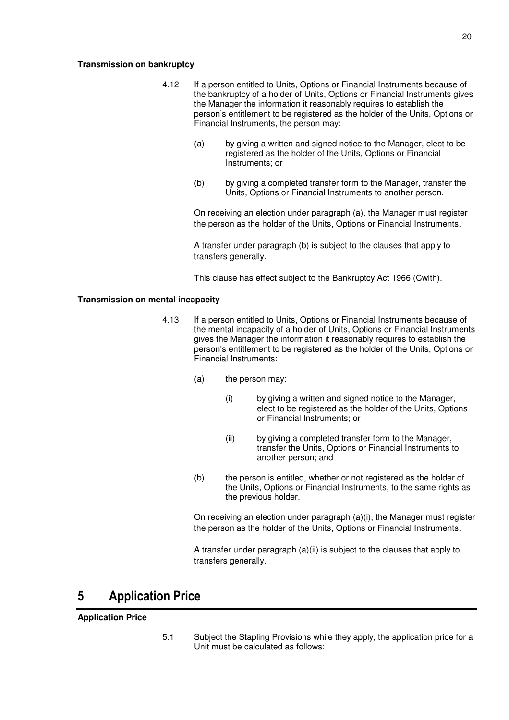#### **Transmission on bankruptcy**

- 4.12 If a person entitled to Units, Options or Financial Instruments because of the bankruptcy of a holder of Units, Options or Financial Instruments gives the Manager the information it reasonably requires to establish the person's entitlement to be registered as the holder of the Units, Options or Financial Instruments, the person may:
	- (a) by giving a written and signed notice to the Manager, elect to be registered as the holder of the Units, Options or Financial Instruments; or
	- (b) by giving a completed transfer form to the Manager, transfer the Units, Options or Financial Instruments to another person.

On receiving an election under paragraph (a), the Manager must register the person as the holder of the Units, Options or Financial Instruments.

A transfer under paragraph (b) is subject to the clauses that apply to transfers generally.

This clause has effect subject to the Bankruptcy Act 1966 (Cwlth).

#### **Transmission on mental incapacity**

- 4.13 If a person entitled to Units, Options or Financial Instruments because of the mental incapacity of a holder of Units, Options or Financial Instruments gives the Manager the information it reasonably requires to establish the person's entitlement to be registered as the holder of the Units, Options or Financial Instruments:
	- (a) the person may:
		- (i) by giving a written and signed notice to the Manager, elect to be registered as the holder of the Units, Options or Financial Instruments; or
		- (ii) by giving a completed transfer form to the Manager, transfer the Units, Options or Financial Instruments to another person; and
	- (b) the person is entitled, whether or not registered as the holder of the Units, Options or Financial Instruments, to the same rights as the previous holder.

On receiving an election under paragraph (a)(i), the Manager must register the person as the holder of the Units, Options or Financial Instruments.

A transfer under paragraph (a)(ii) is subject to the clauses that apply to transfers generally.

## **5 Application Price**

#### **Application Price**

5.1 Subject the Stapling Provisions while they apply, the application price for a Unit must be calculated as follows: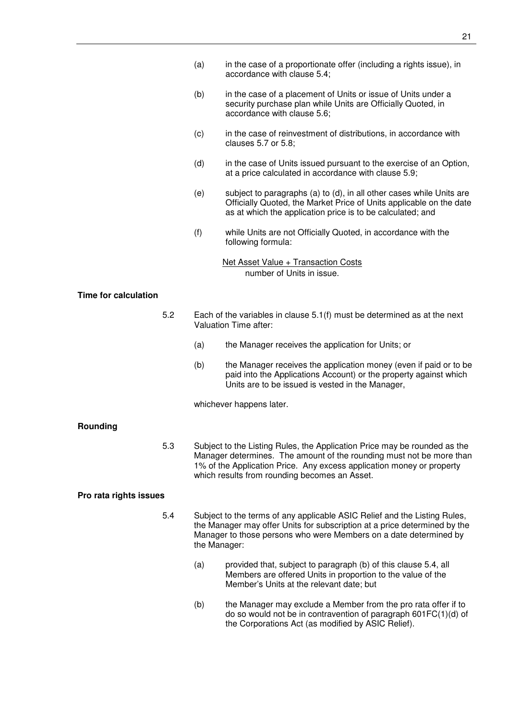- (a) in the case of a proportionate offer (including a rights issue), in accordance with clause 5.4;
- (b) in the case of a placement of Units or issue of Units under a security purchase plan while Units are Officially Quoted, in accordance with clause 5.6;
- (c) in the case of reinvestment of distributions, in accordance with clauses 5.7 or 5.8;
- (d) in the case of Units issued pursuant to the exercise of an Option, at a price calculated in accordance with clause 5.9;
- (e) subject to paragraphs (a) to (d), in all other cases while Units are Officially Quoted, the Market Price of Units applicable on the date as at which the application price is to be calculated; and
- (f) while Units are not Officially Quoted, in accordance with the following formula:
	- Net Asset Value + Transaction Costs number of Units in issue.

#### **Time for calculation**

- 5.2 Each of the variables in clause 5.1(f) must be determined as at the next Valuation Time after:
	- (a) the Manager receives the application for Units; or
	- (b) the Manager receives the application money (even if paid or to be paid into the Applications Account) or the property against which Units are to be issued is vested in the Manager,

whichever happens later.

#### **Rounding**

5.3 Subject to the Listing Rules, the Application Price may be rounded as the Manager determines. The amount of the rounding must not be more than 1% of the Application Price. Any excess application money or property which results from rounding becomes an Asset.

#### **Pro rata rights issues**

- 5.4 Subject to the terms of any applicable ASIC Relief and the Listing Rules, the Manager may offer Units for subscription at a price determined by the Manager to those persons who were Members on a date determined by the Manager:
	- (a) provided that, subject to paragraph (b) of this clause 5.4, all Members are offered Units in proportion to the value of the Member's Units at the relevant date; but
	- (b) the Manager may exclude a Member from the pro rata offer if to do so would not be in contravention of paragraph 601FC(1)(d) of the Corporations Act (as modified by ASIC Relief).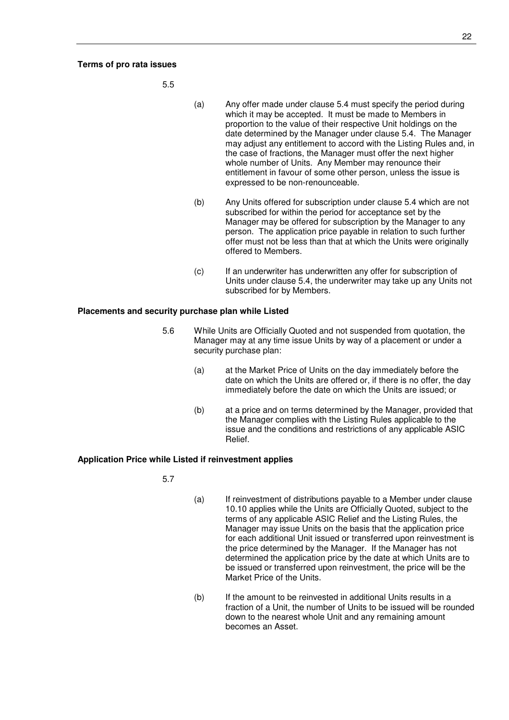#### **Terms of pro rata issues**

5.5

- (a) Any offer made under clause 5.4 must specify the period during which it may be accepted. It must be made to Members in proportion to the value of their respective Unit holdings on the date determined by the Manager under clause 5.4. The Manager may adjust any entitlement to accord with the Listing Rules and, in the case of fractions, the Manager must offer the next higher whole number of Units. Any Member may renounce their entitlement in favour of some other person, unless the issue is expressed to be non-renounceable.
- (b) Any Units offered for subscription under clause 5.4 which are not subscribed for within the period for acceptance set by the Manager may be offered for subscription by the Manager to any person. The application price payable in relation to such further offer must not be less than that at which the Units were originally offered to Members.
- (c) If an underwriter has underwritten any offer for subscription of Units under clause 5.4, the underwriter may take up any Units not subscribed for by Members.

#### **Placements and security purchase plan while Listed**

- 5.6 While Units are Officially Quoted and not suspended from quotation, the Manager may at any time issue Units by way of a placement or under a security purchase plan:
	- (a) at the Market Price of Units on the day immediately before the date on which the Units are offered or, if there is no offer, the day immediately before the date on which the Units are issued; or
	- (b) at a price and on terms determined by the Manager, provided that the Manager complies with the Listing Rules applicable to the issue and the conditions and restrictions of any applicable ASIC Relief.

#### **Application Price while Listed if reinvestment applies**

5.7

- (a) If reinvestment of distributions payable to a Member under clause 10.10 applies while the Units are Officially Quoted, subject to the terms of any applicable ASIC Relief and the Listing Rules, the Manager may issue Units on the basis that the application price for each additional Unit issued or transferred upon reinvestment is the price determined by the Manager. If the Manager has not determined the application price by the date at which Units are to be issued or transferred upon reinvestment, the price will be the Market Price of the Units.
- (b) If the amount to be reinvested in additional Units results in a fraction of a Unit, the number of Units to be issued will be rounded down to the nearest whole Unit and any remaining amount becomes an Asset.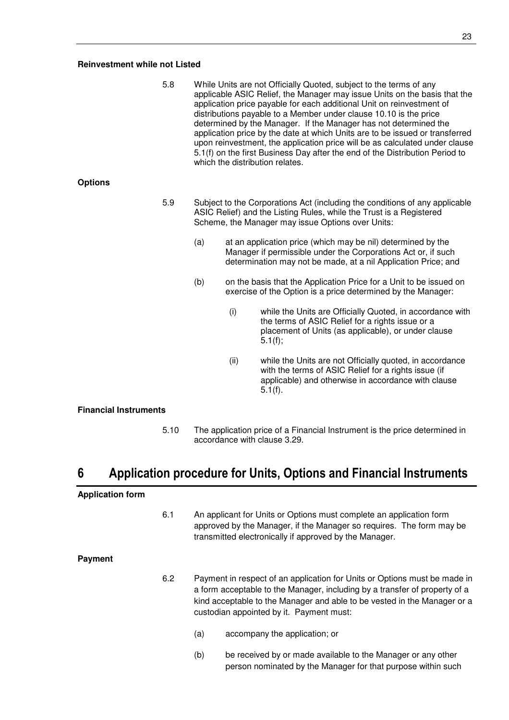#### **Reinvestment while not Listed**

5.8 While Units are not Officially Quoted, subject to the terms of any applicable ASIC Relief, the Manager may issue Units on the basis that the application price payable for each additional Unit on reinvestment of distributions payable to a Member under clause 10.10 is the price determined by the Manager. If the Manager has not determined the application price by the date at which Units are to be issued or transferred upon reinvestment, the application price will be as calculated under clause 5.1(f) on the first Business Day after the end of the Distribution Period to which the distribution relates.

#### **Options**

- 5.9 Subject to the Corporations Act (including the conditions of any applicable ASIC Relief) and the Listing Rules, while the Trust is a Registered Scheme, the Manager may issue Options over Units:
	- (a) at an application price (which may be nil) determined by the Manager if permissible under the Corporations Act or, if such determination may not be made, at a nil Application Price; and
	- (b) on the basis that the Application Price for a Unit to be issued on exercise of the Option is a price determined by the Manager:
		- (i) while the Units are Officially Quoted, in accordance with the terms of ASIC Relief for a rights issue or a placement of Units (as applicable), or under clause 5.1(f);
		- (ii) while the Units are not Officially quoted, in accordance with the terms of ASIC Relief for a rights issue (if applicable) and otherwise in accordance with clause 5.1(f).

#### **Financial Instruments**

5.10 The application price of a Financial Instrument is the price determined in accordance with clause 3.29.

## **6 Application procedure for Units, Options and Financial Instruments**

#### **Application form**

6.1 An applicant for Units or Options must complete an application form approved by the Manager, if the Manager so requires. The form may be transmitted electronically if approved by the Manager.

#### **Payment**

- 6.2 Payment in respect of an application for Units or Options must be made in a form acceptable to the Manager, including by a transfer of property of a kind acceptable to the Manager and able to be vested in the Manager or a custodian appointed by it. Payment must:
	- (a) accompany the application; or
	- (b) be received by or made available to the Manager or any other person nominated by the Manager for that purpose within such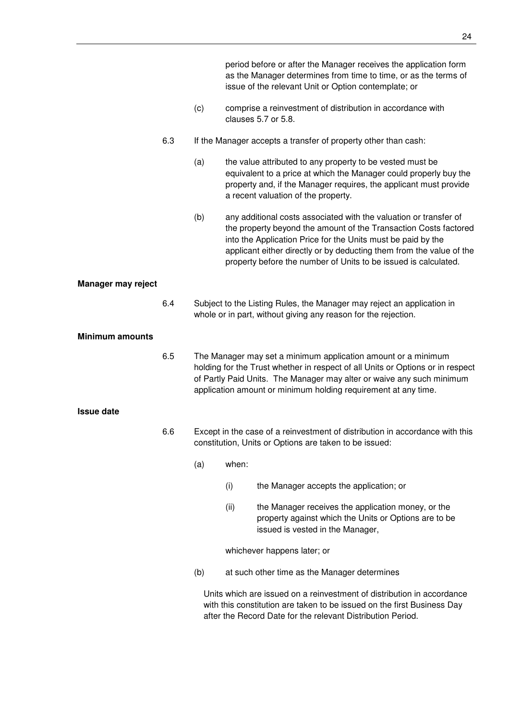|                           |     |                                                                                                                                        |       | period before or after the Manager receives the application form<br>as the Manager determines from time to time, or as the terms of<br>issue of the relevant Unit or Option contemplate; or                                                                                                                                                      |
|---------------------------|-----|----------------------------------------------------------------------------------------------------------------------------------------|-------|--------------------------------------------------------------------------------------------------------------------------------------------------------------------------------------------------------------------------------------------------------------------------------------------------------------------------------------------------|
|                           |     | (c)                                                                                                                                    |       | comprise a reinvestment of distribution in accordance with<br>clauses 5.7 or 5.8.                                                                                                                                                                                                                                                                |
|                           | 6.3 |                                                                                                                                        |       | If the Manager accepts a transfer of property other than cash:                                                                                                                                                                                                                                                                                   |
|                           |     | (a)                                                                                                                                    |       | the value attributed to any property to be vested must be<br>equivalent to a price at which the Manager could properly buy the<br>property and, if the Manager requires, the applicant must provide<br>a recent valuation of the property.                                                                                                       |
|                           |     | (b)                                                                                                                                    |       | any additional costs associated with the valuation or transfer of<br>the property beyond the amount of the Transaction Costs factored<br>into the Application Price for the Units must be paid by the<br>applicant either directly or by deducting them from the value of the<br>property before the number of Units to be issued is calculated. |
| <b>Manager may reject</b> |     |                                                                                                                                        |       |                                                                                                                                                                                                                                                                                                                                                  |
|                           | 6.4 |                                                                                                                                        |       | Subject to the Listing Rules, the Manager may reject an application in<br>whole or in part, without giving any reason for the rejection.                                                                                                                                                                                                         |
| <b>Minimum amounts</b>    |     |                                                                                                                                        |       |                                                                                                                                                                                                                                                                                                                                                  |
|                           | 6.5 |                                                                                                                                        |       | The Manager may set a minimum application amount or a minimum<br>holding for the Trust whether in respect of all Units or Options or in respect<br>of Partly Paid Units. The Manager may alter or waive any such minimum<br>application amount or minimum holding requirement at any time.                                                       |
| <b>Issue date</b>         |     |                                                                                                                                        |       |                                                                                                                                                                                                                                                                                                                                                  |
|                           | 6.6 | Except in the case of a reinvestment of distribution in accordance with this<br>constitution, Units or Options are taken to be issued: |       |                                                                                                                                                                                                                                                                                                                                                  |
|                           |     | (a)                                                                                                                                    | when: |                                                                                                                                                                                                                                                                                                                                                  |
|                           |     |                                                                                                                                        | (i)   | the Manager accepts the application; or                                                                                                                                                                                                                                                                                                          |
|                           |     |                                                                                                                                        | (ii)  | the Manager receives the application money, or the<br>property against which the Units or Options are to be<br>issued is vested in the Manager,                                                                                                                                                                                                  |
|                           |     |                                                                                                                                        |       | whichever happens later; or                                                                                                                                                                                                                                                                                                                      |
|                           |     | (b)                                                                                                                                    |       | at such other time as the Manager determines                                                                                                                                                                                                                                                                                                     |
|                           |     |                                                                                                                                        |       | Units which are issued on a reinvestment of distribution in accordance<br>with this constitution are taken to be issued on the first Business Day<br>after the Record Date for the relevant Distribution Period.                                                                                                                                 |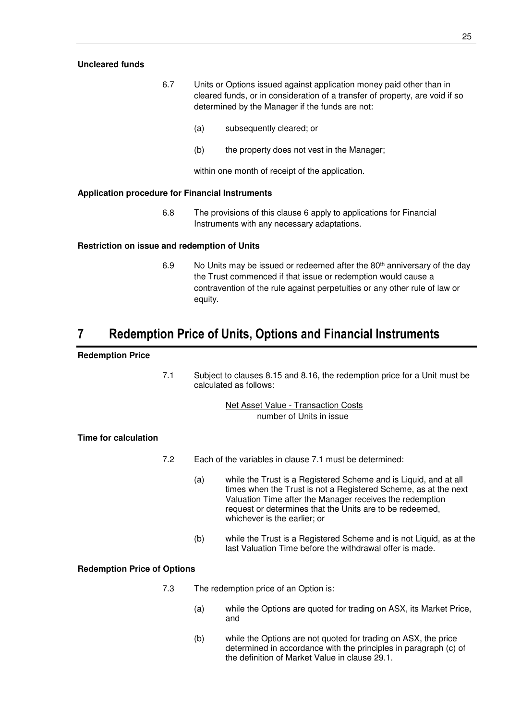#### **Uncleared funds**

- 6.7 Units or Options issued against application money paid other than in cleared funds, or in consideration of a transfer of property, are void if so determined by the Manager if the funds are not:
	- (a) subsequently cleared; or
	- (b) the property does not vest in the Manager;

within one month of receipt of the application.

#### **Application procedure for Financial Instruments**

6.8 The provisions of this clause 6 apply to applications for Financial Instruments with any necessary adaptations.

#### **Restriction on issue and redemption of Units**

6.9 No Units may be issued or redeemed after the 80<sup>th</sup> anniversary of the day the Trust commenced if that issue or redemption would cause a contravention of the rule against perpetuities or any other rule of law or equity.

## **7 Redemption Price of Units, Options and Financial Instruments**

#### **Redemption Price**

7.1 Subject to clauses 8.15 and 8.16, the redemption price for a Unit must be calculated as follows:

> Net Asset Value - Transaction Costs number of Units in issue

#### **Time for calculation**

- 7.2 Each of the variables in clause 7.1 must be determined:
	- (a) while the Trust is a Registered Scheme and is Liquid, and at all times when the Trust is not a Registered Scheme, as at the next Valuation Time after the Manager receives the redemption request or determines that the Units are to be redeemed, whichever is the earlier; or
	- (b) while the Trust is a Registered Scheme and is not Liquid, as at the last Valuation Time before the withdrawal offer is made.

#### **Redemption Price of Options**

- 7.3 The redemption price of an Option is:
	- (a) while the Options are quoted for trading on ASX, its Market Price, and
	- (b) while the Options are not quoted for trading on ASX, the price determined in accordance with the principles in paragraph (c) of the definition of Market Value in clause 29.1.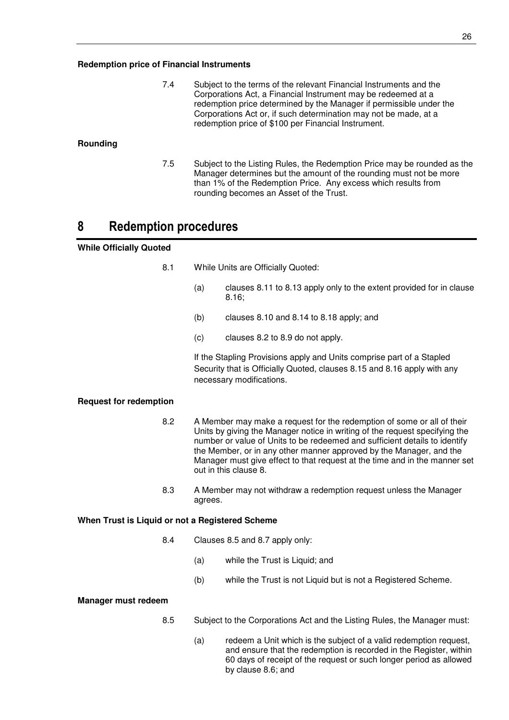7.4 Subject to the terms of the relevant Financial Instruments and the Corporations Act, a Financial Instrument may be redeemed at a redemption price determined by the Manager if permissible under the Corporations Act or, if such determination may not be made, at a redemption price of \$100 per Financial Instrument.

#### **Rounding**

7.5 Subject to the Listing Rules, the Redemption Price may be rounded as the Manager determines but the amount of the rounding must not be more than 1% of the Redemption Price. Any excess which results from rounding becomes an Asset of the Trust.

## **8 Redemption procedures**

#### **While Officially Quoted**

- 8.1 While Units are Officially Quoted:
	- (a) clauses 8.11 to 8.13 apply only to the extent provided for in clause 8.16;
	- (b) clauses 8.10 and 8.14 to 8.18 apply; and
	- (c) clauses 8.2 to 8.9 do not apply.

If the Stapling Provisions apply and Units comprise part of a Stapled Security that is Officially Quoted, clauses 8.15 and 8.16 apply with any necessary modifications.

#### **Request for redemption**

- 8.2 A Member may make a request for the redemption of some or all of their Units by giving the Manager notice in writing of the request specifying the number or value of Units to be redeemed and sufficient details to identify the Member, or in any other manner approved by the Manager, and the Manager must give effect to that request at the time and in the manner set out in this clause 8.
- 8.3 A Member may not withdraw a redemption request unless the Manager agrees.

#### **When Trust is Liquid or not a Registered Scheme**

- 8.4 Clauses 8.5 and 8.7 apply only:
	- (a) while the Trust is Liquid; and
	- (b) while the Trust is not Liquid but is not a Registered Scheme.

#### **Manager must redeem**

- 8.5 Subject to the Corporations Act and the Listing Rules, the Manager must:
	- (a) redeem a Unit which is the subject of a valid redemption request, and ensure that the redemption is recorded in the Register, within 60 days of receipt of the request or such longer period as allowed by clause 8.6; and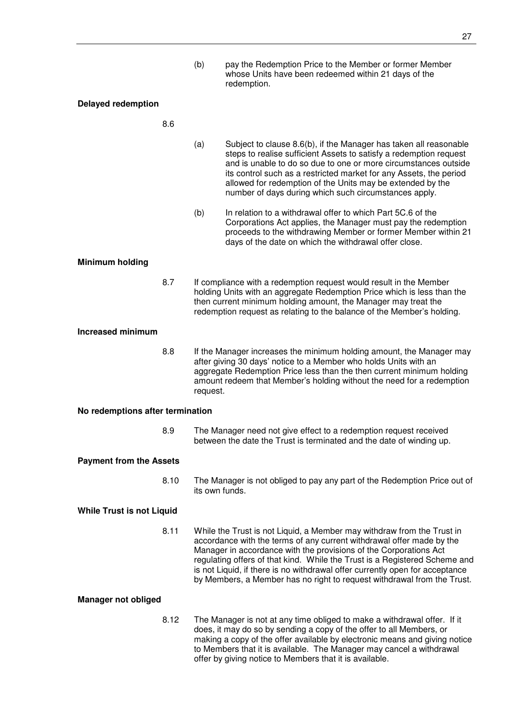(b) pay the Redemption Price to the Member or former Member whose Units have been redeemed within 21 days of the redemption.

#### **Delayed redemption**

#### 8.6

- (a) Subject to clause 8.6(b), if the Manager has taken all reasonable steps to realise sufficient Assets to satisfy a redemption request and is unable to do so due to one or more circumstances outside its control such as a restricted market for any Assets, the period allowed for redemption of the Units may be extended by the number of days during which such circumstances apply.
- (b) In relation to a withdrawal offer to which Part 5C.6 of the Corporations Act applies, the Manager must pay the redemption proceeds to the withdrawing Member or former Member within 21 days of the date on which the withdrawal offer close.

#### **Minimum holding**

8.7 If compliance with a redemption request would result in the Member holding Units with an aggregate Redemption Price which is less than the then current minimum holding amount, the Manager may treat the redemption request as relating to the balance of the Member's holding.

#### **Increased minimum**

8.8 If the Manager increases the minimum holding amount, the Manager may after giving 30 days' notice to a Member who holds Units with an aggregate Redemption Price less than the then current minimum holding amount redeem that Member's holding without the need for a redemption request.

#### **No redemptions after termination**

8.9 The Manager need not give effect to a redemption request received between the date the Trust is terminated and the date of winding up.

#### **Payment from the Assets**

8.10 The Manager is not obliged to pay any part of the Redemption Price out of its own funds.

#### **While Trust is not Liquid**

8.11 While the Trust is not Liquid, a Member may withdraw from the Trust in accordance with the terms of any current withdrawal offer made by the Manager in accordance with the provisions of the Corporations Act regulating offers of that kind. While the Trust is a Registered Scheme and is not Liquid, if there is no withdrawal offer currently open for acceptance by Members, a Member has no right to request withdrawal from the Trust.

#### **Manager not obliged**

8.12 The Manager is not at any time obliged to make a withdrawal offer. If it does, it may do so by sending a copy of the offer to all Members, or making a copy of the offer available by electronic means and giving notice to Members that it is available. The Manager may cancel a withdrawal offer by giving notice to Members that it is available.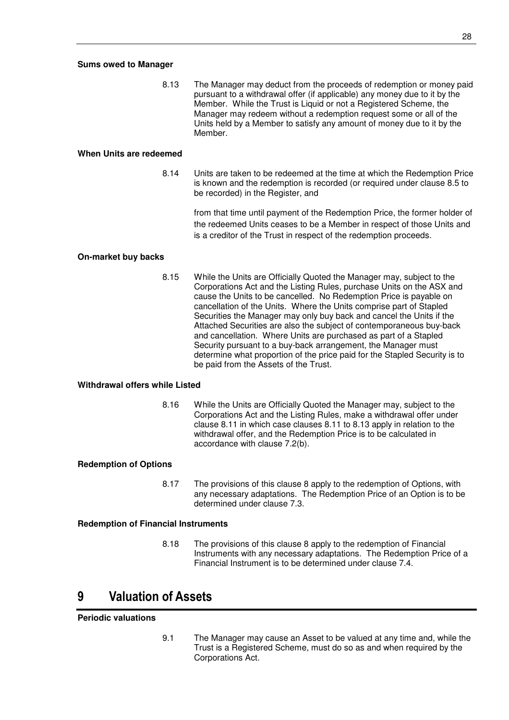#### **Sums owed to Manager**

8.13 The Manager may deduct from the proceeds of redemption or money paid pursuant to a withdrawal offer (if applicable) any money due to it by the Member. While the Trust is Liquid or not a Registered Scheme, the Manager may redeem without a redemption request some or all of the Units held by a Member to satisfy any amount of money due to it by the Member.

#### **When Units are redeemed**

8.14 Units are taken to be redeemed at the time at which the Redemption Price is known and the redemption is recorded (or required under clause 8.5 to be recorded) in the Register, and

> from that time until payment of the Redemption Price, the former holder of the redeemed Units ceases to be a Member in respect of those Units and is a creditor of the Trust in respect of the redemption proceeds.

#### **On-market buy backs**

8.15 While the Units are Officially Quoted the Manager may, subject to the Corporations Act and the Listing Rules, purchase Units on the ASX and cause the Units to be cancelled. No Redemption Price is payable on cancellation of the Units. Where the Units comprise part of Stapled Securities the Manager may only buy back and cancel the Units if the Attached Securities are also the subject of contemporaneous buy-back and cancellation. Where Units are purchased as part of a Stapled Security pursuant to a buy-back arrangement, the Manager must determine what proportion of the price paid for the Stapled Security is to be paid from the Assets of the Trust.

#### **Withdrawal offers while Listed**

8.16 While the Units are Officially Quoted the Manager may, subject to the Corporations Act and the Listing Rules, make a withdrawal offer under clause 8.11 in which case clauses 8.11 to 8.13 apply in relation to the withdrawal offer, and the Redemption Price is to be calculated in accordance with clause 7.2(b).

#### **Redemption of Options**

8.17 The provisions of this clause 8 apply to the redemption of Options, with any necessary adaptations. The Redemption Price of an Option is to be determined under clause 7.3.

#### **Redemption of Financial Instruments**

8.18 The provisions of this clause 8 apply to the redemption of Financial Instruments with any necessary adaptations. The Redemption Price of a Financial Instrument is to be determined under clause 7.4.

## **9 Valuation of Assets**

#### **Periodic valuations**

9.1 The Manager may cause an Asset to be valued at any time and, while the Trust is a Registered Scheme, must do so as and when required by the Corporations Act.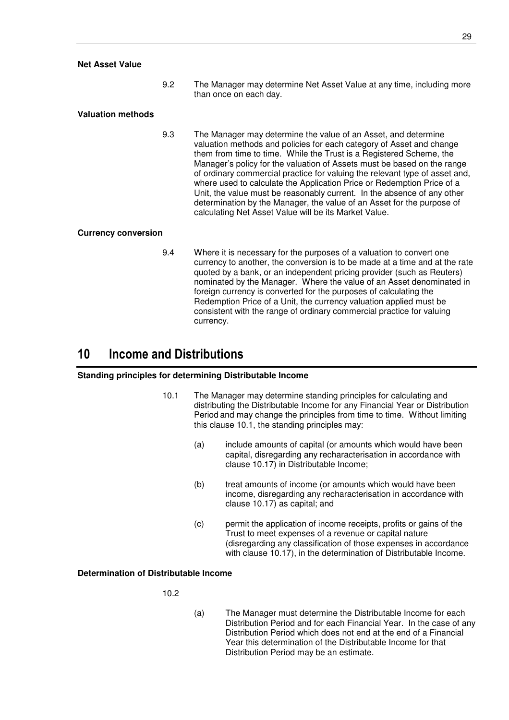#### **Net Asset Value**

9.2 The Manager may determine Net Asset Value at any time, including more than once on each day.

#### **Valuation methods**

9.3 The Manager may determine the value of an Asset, and determine valuation methods and policies for each category of Asset and change them from time to time. While the Trust is a Registered Scheme, the Manager's policy for the valuation of Assets must be based on the range of ordinary commercial practice for valuing the relevant type of asset and, where used to calculate the Application Price or Redemption Price of a Unit, the value must be reasonably current. In the absence of any other determination by the Manager, the value of an Asset for the purpose of calculating Net Asset Value will be its Market Value.

#### **Currency conversion**

9.4 Where it is necessary for the purposes of a valuation to convert one currency to another, the conversion is to be made at a time and at the rate quoted by a bank, or an independent pricing provider (such as Reuters) nominated by the Manager. Where the value of an Asset denominated in foreign currency is converted for the purposes of calculating the Redemption Price of a Unit, the currency valuation applied must be consistent with the range of ordinary commercial practice for valuing currency.

## **10 Income and Distributions**

#### **Standing principles for determining Distributable Income**

- 10.1 The Manager may determine standing principles for calculating and distributing the Distributable Income for any Financial Year or Distribution Period and may change the principles from time to time. Without limiting this clause 10.1, the standing principles may:
	- (a) include amounts of capital (or amounts which would have been capital, disregarding any recharacterisation in accordance with clause 10.17) in Distributable Income;
	- (b) treat amounts of income (or amounts which would have been income, disregarding any recharacterisation in accordance with clause 10.17) as capital; and
	- (c) permit the application of income receipts, profits or gains of the Trust to meet expenses of a revenue or capital nature (disregarding any classification of those expenses in accordance with clause 10.17), in the determination of Distributable Income.

#### **Determination of Distributable Income**

10.2

(a) The Manager must determine the Distributable Income for each Distribution Period and for each Financial Year. In the case of any Distribution Period which does not end at the end of a Financial Year this determination of the Distributable Income for that Distribution Period may be an estimate.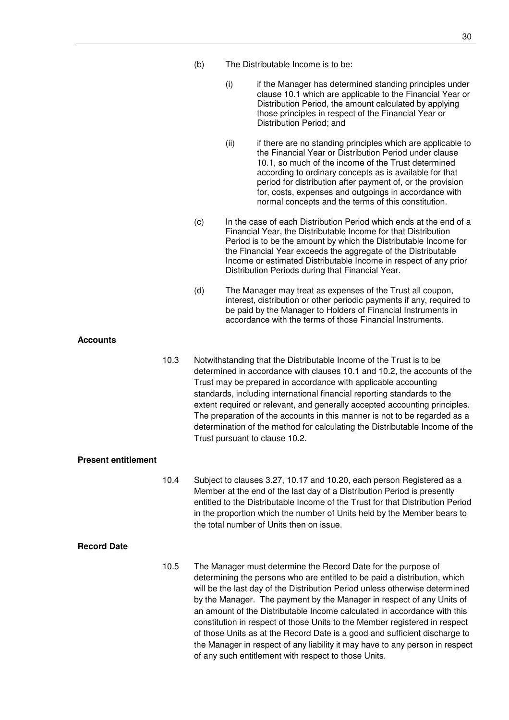- (b) The Distributable Income is to be:
	- (i) if the Manager has determined standing principles under clause 10.1 which are applicable to the Financial Year or Distribution Period, the amount calculated by applying those principles in respect of the Financial Year or Distribution Period; and
	- (ii) if there are no standing principles which are applicable to the Financial Year or Distribution Period under clause 10.1, so much of the income of the Trust determined according to ordinary concepts as is available for that period for distribution after payment of, or the provision for, costs, expenses and outgoings in accordance with normal concepts and the terms of this constitution.
- (c) In the case of each Distribution Period which ends at the end of a Financial Year, the Distributable Income for that Distribution Period is to be the amount by which the Distributable Income for the Financial Year exceeds the aggregate of the Distributable Income or estimated Distributable Income in respect of any prior Distribution Periods during that Financial Year.
- (d) The Manager may treat as expenses of the Trust all coupon, interest, distribution or other periodic payments if any, required to be paid by the Manager to Holders of Financial Instruments in accordance with the terms of those Financial Instruments.

#### **Accounts**

10.3 Notwithstanding that the Distributable Income of the Trust is to be determined in accordance with clauses 10.1 and 10.2, the accounts of the Trust may be prepared in accordance with applicable accounting standards, including international financial reporting standards to the extent required or relevant, and generally accepted accounting principles. The preparation of the accounts in this manner is not to be regarded as a determination of the method for calculating the Distributable Income of the Trust pursuant to clause 10.2.

#### **Present entitlement**

10.4 Subject to clauses 3.27, 10.17 and 10.20, each person Registered as a Member at the end of the last day of a Distribution Period is presently entitled to the Distributable Income of the Trust for that Distribution Period in the proportion which the number of Units held by the Member bears to the total number of Units then on issue.

#### **Record Date**

10.5 The Manager must determine the Record Date for the purpose of determining the persons who are entitled to be paid a distribution, which will be the last day of the Distribution Period unless otherwise determined by the Manager. The payment by the Manager in respect of any Units of an amount of the Distributable Income calculated in accordance with this constitution in respect of those Units to the Member registered in respect of those Units as at the Record Date is a good and sufficient discharge to the Manager in respect of any liability it may have to any person in respect of any such entitlement with respect to those Units.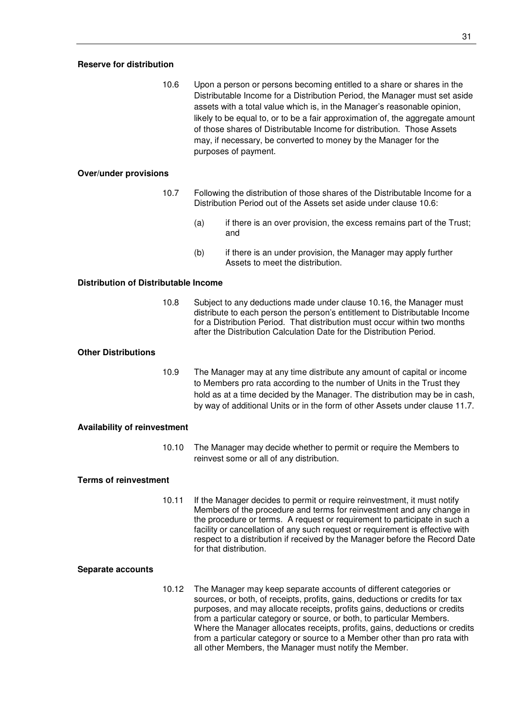#### **Reserve for distribution**

10.6 Upon a person or persons becoming entitled to a share or shares in the Distributable Income for a Distribution Period, the Manager must set aside assets with a total value which is, in the Manager's reasonable opinion, likely to be equal to, or to be a fair approximation of, the aggregate amount of those shares of Distributable Income for distribution. Those Assets may, if necessary, be converted to money by the Manager for the purposes of payment.

#### **Over/under provisions**

- 10.7 Following the distribution of those shares of the Distributable Income for a Distribution Period out of the Assets set aside under clause 10.6:
	- (a) if there is an over provision, the excess remains part of the Trust; and
	- (b) if there is an under provision, the Manager may apply further Assets to meet the distribution.

#### **Distribution of Distributable Income**

10.8 Subject to any deductions made under clause 10.16, the Manager must distribute to each person the person's entitlement to Distributable Income for a Distribution Period. That distribution must occur within two months after the Distribution Calculation Date for the Distribution Period.

#### **Other Distributions**

10.9 The Manager may at any time distribute any amount of capital or income to Members pro rata according to the number of Units in the Trust they hold as at a time decided by the Manager. The distribution may be in cash, by way of additional Units or in the form of other Assets under clause 11.7.

#### **Availability of reinvestment**

10.10 The Manager may decide whether to permit or require the Members to reinvest some or all of any distribution.

#### **Terms of reinvestment**

10.11 If the Manager decides to permit or require reinvestment, it must notify Members of the procedure and terms for reinvestment and any change in the procedure or terms. A request or requirement to participate in such a facility or cancellation of any such request or requirement is effective with respect to a distribution if received by the Manager before the Record Date for that distribution.

#### **Separate accounts**

10.12 The Manager may keep separate accounts of different categories or sources, or both, of receipts, profits, gains, deductions or credits for tax purposes, and may allocate receipts, profits gains, deductions or credits from a particular category or source, or both, to particular Members. Where the Manager allocates receipts, profits, gains, deductions or credits from a particular category or source to a Member other than pro rata with all other Members, the Manager must notify the Member.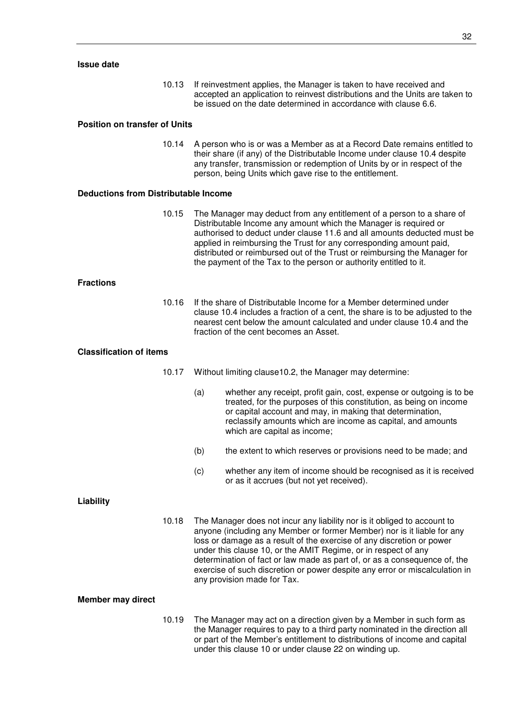10.13 If reinvestment applies, the Manager is taken to have received and accepted an application to reinvest distributions and the Units are taken to be issued on the date determined in accordance with clause 6.6.

#### **Position on transfer of Units**

10.14 A person who is or was a Member as at a Record Date remains entitled to their share (if any) of the Distributable Income under clause 10.4 despite any transfer, transmission or redemption of Units by or in respect of the person, being Units which gave rise to the entitlement.

#### **Deductions from Distributable Income**

10.15 The Manager may deduct from any entitlement of a person to a share of Distributable Income any amount which the Manager is required or authorised to deduct under clause 11.6 and all amounts deducted must be applied in reimbursing the Trust for any corresponding amount paid, distributed or reimbursed out of the Trust or reimbursing the Manager for the payment of the Tax to the person or authority entitled to it.

#### **Fractions**

10.16 If the share of Distributable Income for a Member determined under clause 10.4 includes a fraction of a cent, the share is to be adjusted to the nearest cent below the amount calculated and under clause 10.4 and the fraction of the cent becomes an Asset.

#### **Classification of items**

- 10.17 Without limiting clause10.2, the Manager may determine:
	- (a) whether any receipt, profit gain, cost, expense or outgoing is to be treated, for the purposes of this constitution, as being on income or capital account and may, in making that determination, reclassify amounts which are income as capital, and amounts which are capital as income;
	- (b) the extent to which reserves or provisions need to be made; and
	- (c) whether any item of income should be recognised as it is received or as it accrues (but not yet received).

#### **Liability**

10.18 The Manager does not incur any liability nor is it obliged to account to anyone (including any Member or former Member) nor is it liable for any loss or damage as a result of the exercise of any discretion or power under this clause 10, or the AMIT Regime, or in respect of any determination of fact or law made as part of, or as a consequence of, the exercise of such discretion or power despite any error or miscalculation in any provision made for Tax.

#### **Member may direct**

10.19 The Manager may act on a direction given by a Member in such form as the Manager requires to pay to a third party nominated in the direction all or part of the Member's entitlement to distributions of income and capital under this clause 10 or under clause 22 on winding up.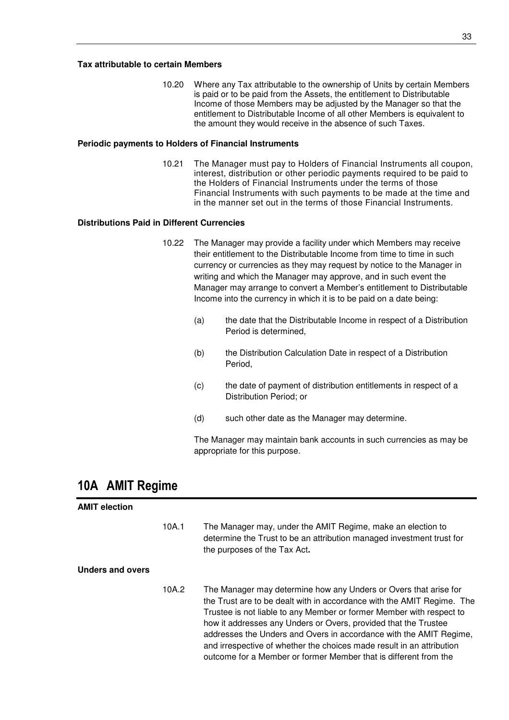10.20 Where any Tax attributable to the ownership of Units by certain Members is paid or to be paid from the Assets, the entitlement to Distributable Income of those Members may be adjusted by the Manager so that the entitlement to Distributable Income of all other Members is equivalent to the amount they would receive in the absence of such Taxes.

#### **Periodic payments to Holders of Financial Instruments**

10.21 The Manager must pay to Holders of Financial Instruments all coupon, interest, distribution or other periodic payments required to be paid to the Holders of Financial Instruments under the terms of those Financial Instruments with such payments to be made at the time and in the manner set out in the terms of those Financial Instruments.

#### **Distributions Paid in Different Currencies**

- 10.22 The Manager may provide a facility under which Members may receive their entitlement to the Distributable Income from time to time in such currency or currencies as they may request by notice to the Manager in writing and which the Manager may approve, and in such event the Manager may arrange to convert a Member's entitlement to Distributable Income into the currency in which it is to be paid on a date being:
	- (a) the date that the Distributable Income in respect of a Distribution Period is determined,
	- (b) the Distribution Calculation Date in respect of a Distribution Period,
	- (c) the date of payment of distribution entitlements in respect of a Distribution Period; or
	- (d) such other date as the Manager may determine.

The Manager may maintain bank accounts in such currencies as may be appropriate for this purpose.

## **10A AMIT Regime**

| <b>AMIT election</b> |       |                                                                                                                                                                                                                                                                                                                                                                                                                                                                                                          |
|----------------------|-------|----------------------------------------------------------------------------------------------------------------------------------------------------------------------------------------------------------------------------------------------------------------------------------------------------------------------------------------------------------------------------------------------------------------------------------------------------------------------------------------------------------|
|                      | 10A.1 | The Manager may, under the AMIT Regime, make an election to<br>determine the Trust to be an attribution managed investment trust for<br>the purposes of the Tax Act.                                                                                                                                                                                                                                                                                                                                     |
| Unders and overs     |       |                                                                                                                                                                                                                                                                                                                                                                                                                                                                                                          |
|                      | 10A.2 | The Manager may determine how any Unders or Overs that arise for<br>the Trust are to be dealt with in accordance with the AMIT Regime. The<br>Trustee is not liable to any Member or former Member with respect to<br>how it addresses any Unders or Overs, provided that the Trustee<br>addresses the Unders and Overs in accordance with the AMIT Regime,<br>and irrespective of whether the choices made result in an attribution<br>outcome for a Member or former Member that is different from the |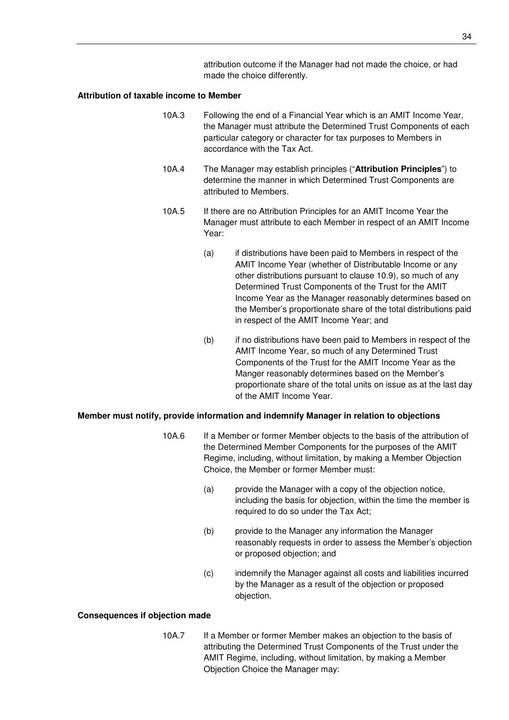attribution outcome if the Manager had not made the choice, or had made the choice differently.

#### **Attribution of taxable income to Member**

- 10A.3 Following the end of a Financial Year which is an AMIT Income Year, the Manager must attribute the Determined Trust Components of each particular category or character for tax purposes to Members in accordance with the Tax Act.
- 10A.4 The Manager may establish principles ("**Attribution Principles**") to determine the manner in which Determined Trust Components are attributed to Members.
- 10A.5 If there are no Attribution Principles for an AMIT Income Year the Manager must attribute to each Member in respect of an AMIT Income Year:
	- (a) if distributions have been paid to Members in respect of the AMIT Income Year (whether of Distributable Income or any other distributions pursuant to clause 10.9), so much of any Determined Trust Components of the Trust for the AMIT Income Year as the Manager reasonably determines based on the Member's proportionate share of the total distributions paid in respect of the AMIT Income Year; and
	- (b) if no distributions have been paid to Members in respect of the AMIT Income Year, so much of any Determined Trust Components of the Trust for the AMIT Income Year as the Manger reasonably determines based on the Member's proportionate share of the total units on issue as at the last day of the AMIT Income Year.

#### **Member must notify, provide information and indemnify Manager in relation to objections**

- 10A.6 If a Member or former Member objects to the basis of the attribution of the Determined Member Components for the purposes of the AMIT Regime, including, without limitation, by making a Member Objection Choice, the Member or former Member must:
	- (a) provide the Manager with a copy of the objection notice, including the basis for objection, within the time the member is required to do so under the Tax Act;
	- (b) provide to the Manager any information the Manager reasonably requests in order to assess the Member's objection or proposed objection; and
	- (c) indemnify the Manager against all costs and liabilities incurred by the Manager as a result of the objection or proposed objection.

#### **Consequences if objection made**

10A.7 If a Member or former Member makes an objection to the basis of attributing the Determined Trust Components of the Trust under the AMIT Regime, including, without limitation, by making a Member Objection Choice the Manager may: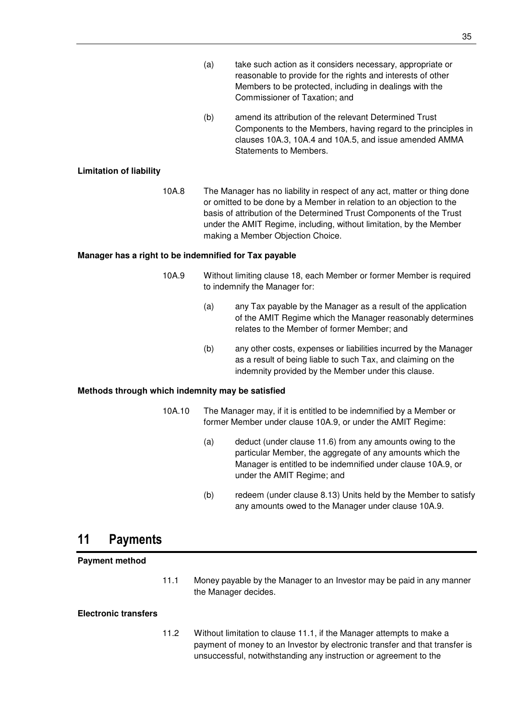- (a) take such action as it considers necessary, appropriate or reasonable to provide for the rights and interests of other Members to be protected, including in dealings with the Commissioner of Taxation; and
- (b) amend its attribution of the relevant Determined Trust Components to the Members, having regard to the principles in clauses 10A.3, 10A.4 and 10A.5, and issue amended AMMA Statements to Members.

## **Limitation of liability**

10A.8 The Manager has no liability in respect of any act, matter or thing done or omitted to be done by a Member in relation to an objection to the basis of attribution of the Determined Trust Components of the Trust under the AMIT Regime, including, without limitation, by the Member making a Member Objection Choice.

## **Manager has a right to be indemnified for Tax payable**

- 10A.9 Without limiting clause 18, each Member or former Member is required to indemnify the Manager for:
	- (a) any Tax payable by the Manager as a result of the application of the AMIT Regime which the Manager reasonably determines relates to the Member of former Member; and
	- (b) any other costs, expenses or liabilities incurred by the Manager as a result of being liable to such Tax, and claiming on the indemnity provided by the Member under this clause.

## **Methods through which indemnity may be satisfied**

- 10A.10 The Manager may, if it is entitled to be indemnified by a Member or former Member under clause 10A.9, or under the AMIT Regime:
	- (a) deduct (under clause 11.6) from any amounts owing to the particular Member, the aggregate of any amounts which the Manager is entitled to be indemnified under clause 10A.9, or under the AMIT Regime; and
	- (b) redeem (under clause 8.13) Units held by the Member to satisfy any amounts owed to the Manager under clause 10A.9.

## **11 Payments**

## **Payment method**

11.1 Money payable by the Manager to an Investor may be paid in any manner the Manager decides.

## **Electronic transfers**

11.2 Without limitation to clause 11.1, if the Manager attempts to make a payment of money to an Investor by electronic transfer and that transfer is unsuccessful, notwithstanding any instruction or agreement to the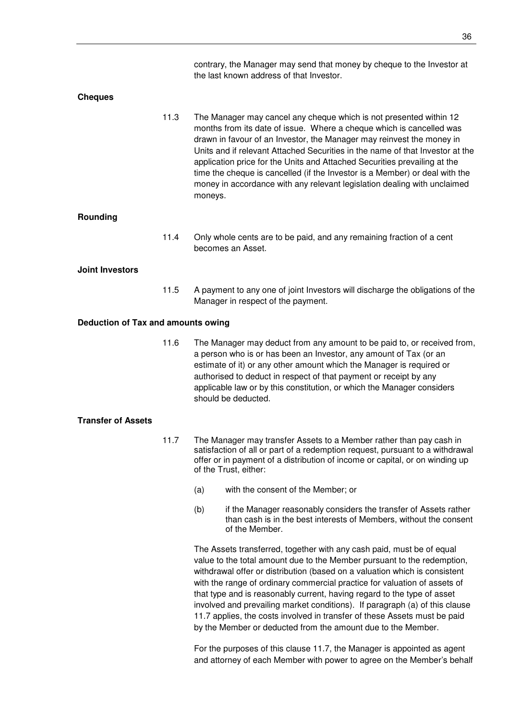contrary, the Manager may send that money by cheque to the Investor at the last known address of that Investor.

#### **Cheques**

11.3 The Manager may cancel any cheque which is not presented within 12 months from its date of issue. Where a cheque which is cancelled was drawn in favour of an Investor, the Manager may reinvest the money in Units and if relevant Attached Securities in the name of that Investor at the application price for the Units and Attached Securities prevailing at the time the cheque is cancelled (if the Investor is a Member) or deal with the money in accordance with any relevant legislation dealing with unclaimed moneys.

#### **Rounding**

11.4 Only whole cents are to be paid, and any remaining fraction of a cent becomes an Asset.

#### **Joint Investors**

11.5 A payment to any one of joint Investors will discharge the obligations of the Manager in respect of the payment.

#### **Deduction of Tax and amounts owing**

11.6 The Manager may deduct from any amount to be paid to, or received from, a person who is or has been an Investor, any amount of Tax (or an estimate of it) or any other amount which the Manager is required or authorised to deduct in respect of that payment or receipt by any applicable law or by this constitution, or which the Manager considers should be deducted.

#### **Transfer of Assets**

- 11.7 The Manager may transfer Assets to a Member rather than pay cash in satisfaction of all or part of a redemption request, pursuant to a withdrawal offer or in payment of a distribution of income or capital, or on winding up of the Trust, either:
	- (a) with the consent of the Member; or
	- (b) if the Manager reasonably considers the transfer of Assets rather than cash is in the best interests of Members, without the consent of the Member.

The Assets transferred, together with any cash paid, must be of equal value to the total amount due to the Member pursuant to the redemption, withdrawal offer or distribution (based on a valuation which is consistent with the range of ordinary commercial practice for valuation of assets of that type and is reasonably current, having regard to the type of asset involved and prevailing market conditions). If paragraph (a) of this clause 11.7 applies, the costs involved in transfer of these Assets must be paid by the Member or deducted from the amount due to the Member.

For the purposes of this clause 11.7, the Manager is appointed as agent and attorney of each Member with power to agree on the Member's behalf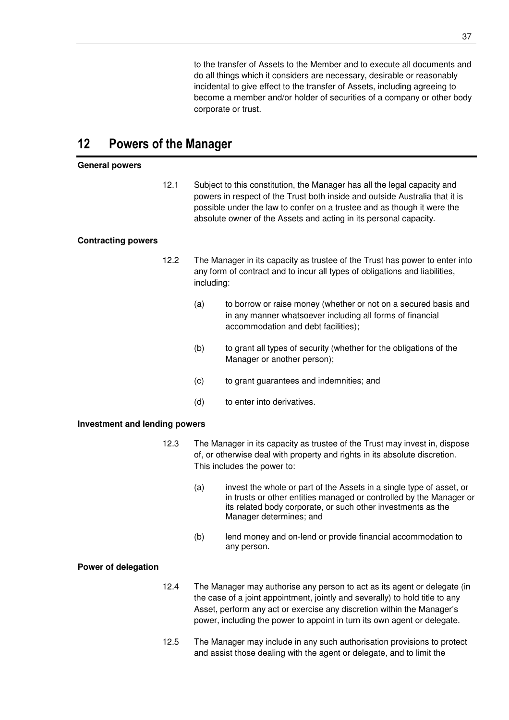to the transfer of Assets to the Member and to execute all documents and do all things which it considers are necessary, desirable or reasonably incidental to give effect to the transfer of Assets, including agreeing to become a member and/or holder of securities of a company or other body corporate or trust.

# **12 Powers of the Manager**

### **General powers**

12.1 Subject to this constitution, the Manager has all the legal capacity and powers in respect of the Trust both inside and outside Australia that it is possible under the law to confer on a trustee and as though it were the absolute owner of the Assets and acting in its personal capacity.

# **Contracting powers**

- 12.2 The Manager in its capacity as trustee of the Trust has power to enter into any form of contract and to incur all types of obligations and liabilities, including:
	- (a) to borrow or raise money (whether or not on a secured basis and in any manner whatsoever including all forms of financial accommodation and debt facilities);
	- (b) to grant all types of security (whether for the obligations of the Manager or another person);
	- (c) to grant guarantees and indemnities; and
	- (d) to enter into derivatives.

### **Investment and lending powers**

- 12.3 The Manager in its capacity as trustee of the Trust may invest in, dispose of, or otherwise deal with property and rights in its absolute discretion. This includes the power to:
	- (a) invest the whole or part of the Assets in a single type of asset, or in trusts or other entities managed or controlled by the Manager or its related body corporate, or such other investments as the Manager determines; and
	- (b) lend money and on-lend or provide financial accommodation to any person.

### **Power of delegation**

- 12.4 The Manager may authorise any person to act as its agent or delegate (in the case of a joint appointment, jointly and severally) to hold title to any Asset, perform any act or exercise any discretion within the Manager's power, including the power to appoint in turn its own agent or delegate.
- 12.5 The Manager may include in any such authorisation provisions to protect and assist those dealing with the agent or delegate, and to limit the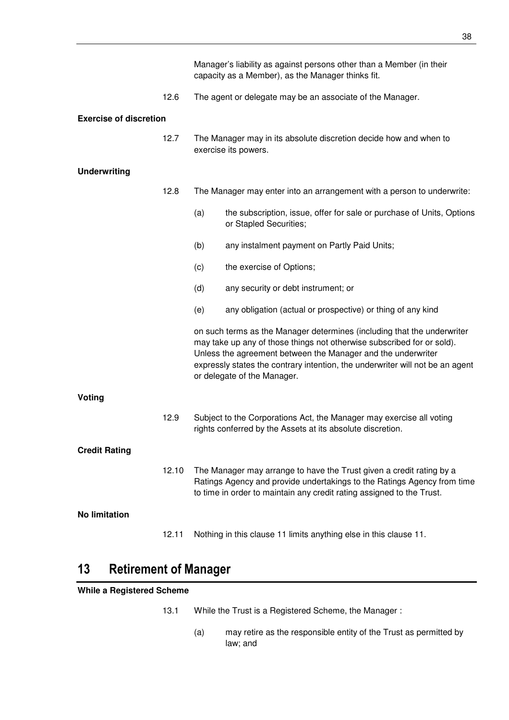|                               |       | Manager's liability as against persons other than a Member (in their<br>capacity as a Member), as the Manager thinks fit.                                                                                                                                                                                                         |                                                                                                 |  |
|-------------------------------|-------|-----------------------------------------------------------------------------------------------------------------------------------------------------------------------------------------------------------------------------------------------------------------------------------------------------------------------------------|-------------------------------------------------------------------------------------------------|--|
|                               | 12.6  |                                                                                                                                                                                                                                                                                                                                   | The agent or delegate may be an associate of the Manager.                                       |  |
| <b>Exercise of discretion</b> |       |                                                                                                                                                                                                                                                                                                                                   |                                                                                                 |  |
|                               | 12.7  | The Manager may in its absolute discretion decide how and when to<br>exercise its powers.                                                                                                                                                                                                                                         |                                                                                                 |  |
| <b>Underwriting</b>           |       |                                                                                                                                                                                                                                                                                                                                   |                                                                                                 |  |
|                               | 12.8  | The Manager may enter into an arrangement with a person to underwrite:                                                                                                                                                                                                                                                            |                                                                                                 |  |
|                               |       | (a)                                                                                                                                                                                                                                                                                                                               | the subscription, issue, offer for sale or purchase of Units, Options<br>or Stapled Securities; |  |
|                               |       | (b)                                                                                                                                                                                                                                                                                                                               | any instalment payment on Partly Paid Units;                                                    |  |
|                               |       | (c)                                                                                                                                                                                                                                                                                                                               | the exercise of Options;                                                                        |  |
|                               |       | (d)                                                                                                                                                                                                                                                                                                                               | any security or debt instrument; or                                                             |  |
|                               |       | (e)                                                                                                                                                                                                                                                                                                                               | any obligation (actual or prospective) or thing of any kind                                     |  |
|                               |       | on such terms as the Manager determines (including that the underwriter<br>may take up any of those things not otherwise subscribed for or sold).<br>Unless the agreement between the Manager and the underwriter<br>expressly states the contrary intention, the underwriter will not be an agent<br>or delegate of the Manager. |                                                                                                 |  |
| Voting                        |       |                                                                                                                                                                                                                                                                                                                                   |                                                                                                 |  |
|                               | 12.9  | Subject to the Corporations Act, the Manager may exercise all voting<br>rights conferred by the Assets at its absolute discretion.                                                                                                                                                                                                |                                                                                                 |  |
| <b>Credit Rating</b>          |       |                                                                                                                                                                                                                                                                                                                                   |                                                                                                 |  |
|                               | 12.10 | The Manager may arrange to have the Trust given a credit rating by a<br>Ratings Agency and provide undertakings to the Ratings Agency from time<br>to time in order to maintain any credit rating assigned to the Trust.                                                                                                          |                                                                                                 |  |
| <b>No limitation</b>          |       |                                                                                                                                                                                                                                                                                                                                   |                                                                                                 |  |
|                               | 12.11 |                                                                                                                                                                                                                                                                                                                                   | Nothing in this clause 11 limits anything else in this clause 11.                               |  |

# **13 Retirement of Manager**

# **While a Registered Scheme**

- 13.1 While the Trust is a Registered Scheme, the Manager :
	- (a) may retire as the responsible entity of the Trust as permitted by law; and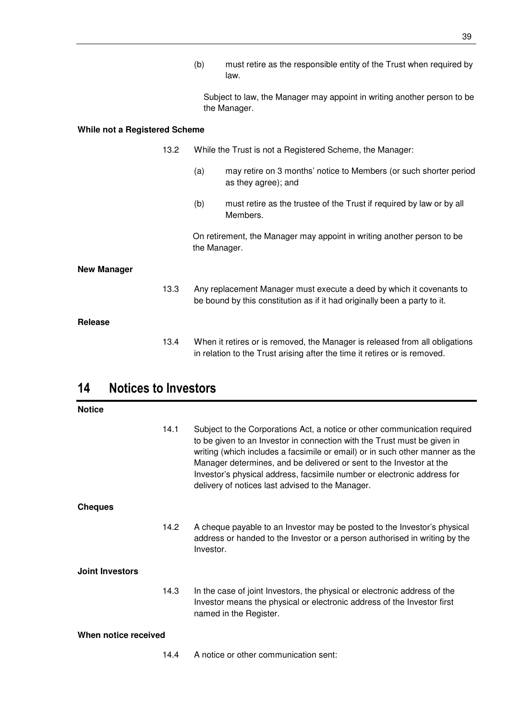Subject to law, the Manager may appoint in writing another person to be the Manager.

# **While not a Registered Scheme**

|                    | 13.2 | While the Trust is not a Registered Scheme, the Manager:                                                                                          |                                                                                                                                                          |
|--------------------|------|---------------------------------------------------------------------------------------------------------------------------------------------------|----------------------------------------------------------------------------------------------------------------------------------------------------------|
|                    |      | (a)                                                                                                                                               | may retire on 3 months' notice to Members (or such shorter period<br>as they agree); and                                                                 |
|                    |      | (b)                                                                                                                                               | must retire as the trustee of the Trust if required by law or by all<br>Members.                                                                         |
|                    |      | the Manager.                                                                                                                                      | On retirement, the Manager may appoint in writing another person to be                                                                                   |
| <b>New Manager</b> |      |                                                                                                                                                   |                                                                                                                                                          |
|                    | 13.3 | Any replacement Manager must execute a deed by which it covenants to<br>be bound by this constitution as if it had originally been a party to it. |                                                                                                                                                          |
| Release            |      |                                                                                                                                                   |                                                                                                                                                          |
|                    | 13.4 |                                                                                                                                                   | When it retires or is removed, the Manager is released from all obligations<br>in relation to the Trust arising after the time it retires or is removed. |

# **14 Notices to Investors**

| <b>Notice</b>          |      |                                                                                                                                                                                                                                                                                                                                                                                                                                             |
|------------------------|------|---------------------------------------------------------------------------------------------------------------------------------------------------------------------------------------------------------------------------------------------------------------------------------------------------------------------------------------------------------------------------------------------------------------------------------------------|
|                        | 14.1 | Subject to the Corporations Act, a notice or other communication required<br>to be given to an Investor in connection with the Trust must be given in<br>writing (which includes a facsimile or email) or in such other manner as the<br>Manager determines, and be delivered or sent to the Investor at the<br>Investor's physical address, facsimile number or electronic address for<br>delivery of notices last advised to the Manager. |
| <b>Cheques</b>         |      |                                                                                                                                                                                                                                                                                                                                                                                                                                             |
|                        | 14.2 | A cheque payable to an Investor may be posted to the Investor's physical<br>address or handed to the Investor or a person authorised in writing by the<br>Investor.                                                                                                                                                                                                                                                                         |
| <b>Joint Investors</b> |      |                                                                                                                                                                                                                                                                                                                                                                                                                                             |
|                        | 14.3 | In the case of joint Investors, the physical or electronic address of the<br>Investor means the physical or electronic address of the Investor first<br>named in the Register.                                                                                                                                                                                                                                                              |
| When notice received   |      |                                                                                                                                                                                                                                                                                                                                                                                                                                             |
|                        | 14.4 | A notice or other communication sent:                                                                                                                                                                                                                                                                                                                                                                                                       |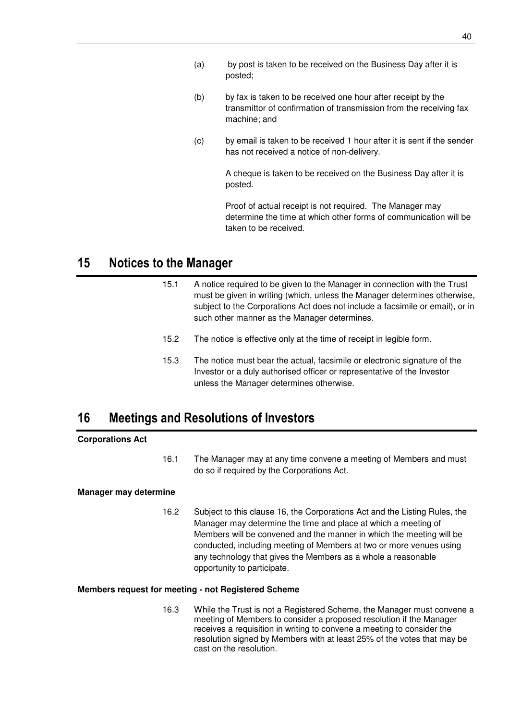- (a) by post is taken to be received on the Business Day after it is posted;
- (b) by fax is taken to be received one hour after receipt by the transmittor of confirmation of transmission from the receiving fax machine; and
- (c) by email is taken to be received 1 hour after it is sent if the sender has not received a notice of non-delivery.

A cheque is taken to be received on the Business Day after it is posted.

Proof of actual receipt is not required. The Manager may determine the time at which other forms of communication will be taken to be received.

# **15 Notices to the Manager**

- 15.1 A notice required to be given to the Manager in connection with the Trust must be given in writing (which, unless the Manager determines otherwise, subject to the Corporations Act does not include a facsimile or email), or in such other manner as the Manager determines.
- 15.2 The notice is effective only at the time of receipt in legible form.
- 15.3 The notice must bear the actual, facsimile or electronic signature of the Investor or a duly authorised officer or representative of the Investor unless the Manager determines otherwise.

# **16 Meetings and Resolutions of Investors**

# **Corporations Act**

16.1 The Manager may at any time convene a meeting of Members and must do so if required by the Corporations Act.

# **Manager may determine**

16.2 Subject to this clause 16, the Corporations Act and the Listing Rules, the Manager may determine the time and place at which a meeting of Members will be convened and the manner in which the meeting will be conducted, including meeting of Members at two or more venues using any technology that gives the Members as a whole a reasonable opportunity to participate.

### **Members request for meeting - not Registered Scheme**

16.3 While the Trust is not a Registered Scheme, the Manager must convene a meeting of Members to consider a proposed resolution if the Manager receives a requisition in writing to convene a meeting to consider the resolution signed by Members with at least 25% of the votes that may be cast on the resolution.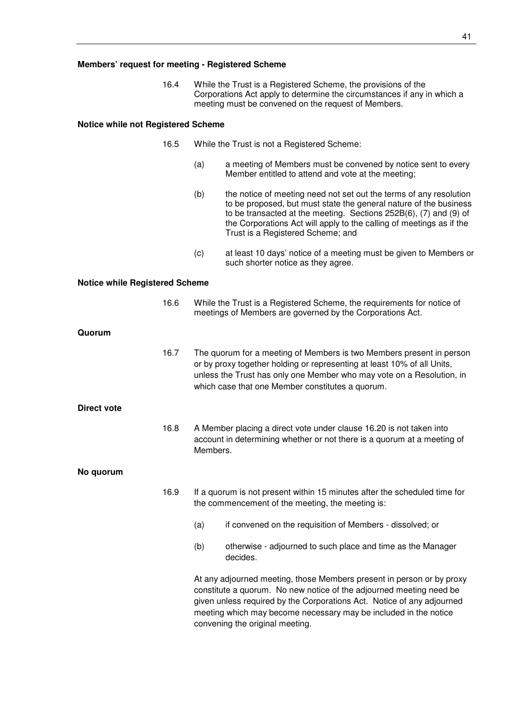16.4 While the Trust is a Registered Scheme, the provisions of the Corporations Act apply to determine the circumstances if any in which a meeting must be convened on the request of Members.

#### **Notice while not Registered Scheme**

- 16.5 While the Trust is not a Registered Scheme:
	- (a) a meeting of Members must be convened by notice sent to every Member entitled to attend and vote at the meeting;
	- (b) the notice of meeting need not set out the terms of any resolution to be proposed, but must state the general nature of the business to be transacted at the meeting. Sections 252B(6), (7) and (9) of the Corporations Act will apply to the calling of meetings as if the Trust is a Registered Scheme; and
	- (c) at least 10 days' notice of a meeting must be given to Members or such shorter notice as they agree.

#### **Notice while Registered Scheme**

|                    | 16.6 | While the Trust is a Registered Scheme, the requirements for notice of<br>meetings of Members are governed by the Corporations Act.                                                                                                                                                                                           |  |
|--------------------|------|-------------------------------------------------------------------------------------------------------------------------------------------------------------------------------------------------------------------------------------------------------------------------------------------------------------------------------|--|
| Quorum             |      |                                                                                                                                                                                                                                                                                                                               |  |
|                    | 16.7 | The quorum for a meeting of Members is two Members present in person<br>or by proxy together holding or representing at least 10% of all Units,<br>unless the Trust has only one Member who may vote on a Resolution, in<br>which case that one Member constitutes a quorum.                                                  |  |
| <b>Direct vote</b> |      |                                                                                                                                                                                                                                                                                                                               |  |
|                    | 16.8 | A Member placing a direct vote under clause 16.20 is not taken into<br>account in determining whether or not there is a quorum at a meeting of<br>Members.                                                                                                                                                                    |  |
| No quorum          |      |                                                                                                                                                                                                                                                                                                                               |  |
|                    | 16.9 | If a quorum is not present within 15 minutes after the scheduled time for<br>the commencement of the meeting, the meeting is:                                                                                                                                                                                                 |  |
|                    |      | if convened on the requisition of Members - dissolved; or<br>(a)                                                                                                                                                                                                                                                              |  |
|                    |      | otherwise - adjourned to such place and time as the Manager<br>(b)<br>decides.                                                                                                                                                                                                                                                |  |
|                    |      | At any adjourned meeting, those Members present in person or by proxy<br>constitute a quorum. No new notice of the adjourned meeting need be<br>given unless required by the Corporations Act. Notice of any adjourned<br>meeting which may become necessary may be included in the notice<br>convening the original meeting. |  |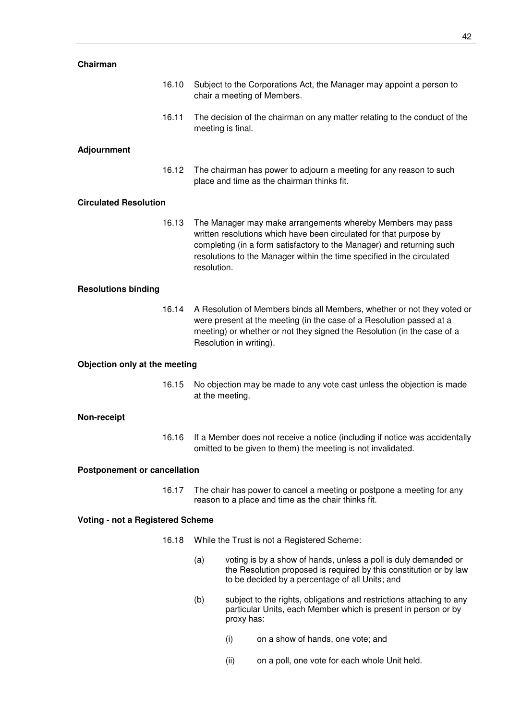| Chairman                            |       |                                                                                                                                                                                                                                                                                                    |  |
|-------------------------------------|-------|----------------------------------------------------------------------------------------------------------------------------------------------------------------------------------------------------------------------------------------------------------------------------------------------------|--|
|                                     | 16.10 | Subject to the Corporations Act, the Manager may appoint a person to<br>chair a meeting of Members.                                                                                                                                                                                                |  |
|                                     | 16.11 | The decision of the chairman on any matter relating to the conduct of the<br>meeting is final.                                                                                                                                                                                                     |  |
| <b>Adjournment</b>                  |       |                                                                                                                                                                                                                                                                                                    |  |
|                                     | 16.12 | The chairman has power to adjourn a meeting for any reason to such<br>place and time as the chairman thinks fit.                                                                                                                                                                                   |  |
| <b>Circulated Resolution</b>        |       |                                                                                                                                                                                                                                                                                                    |  |
|                                     | 16.13 | The Manager may make arrangements whereby Members may pass<br>written resolutions which have been circulated for that purpose by<br>completing (in a form satisfactory to the Manager) and returning such<br>resolutions to the Manager within the time specified in the circulated<br>resolution. |  |
| <b>Resolutions binding</b>          |       |                                                                                                                                                                                                                                                                                                    |  |
|                                     | 16.14 | A Resolution of Members binds all Members, whether or not they voted or<br>were present at the meeting (in the case of a Resolution passed at a<br>meeting) or whether or not they signed the Resolution (in the case of a<br>Resolution in writing).                                              |  |
| Objection only at the meeting       |       |                                                                                                                                                                                                                                                                                                    |  |
|                                     | 16.15 | No objection may be made to any vote cast unless the objection is made<br>at the meeting.                                                                                                                                                                                                          |  |
| Non-receipt                         |       |                                                                                                                                                                                                                                                                                                    |  |
|                                     | 16.16 | If a Member does not receive a notice (including if notice was accidentally<br>omitted to be given to them) the meeting is not invalidated.                                                                                                                                                        |  |
| <b>Postponement or cancellation</b> |       |                                                                                                                                                                                                                                                                                                    |  |
|                                     | 16.17 | The chair has power to cancel a meeting or postpone a meeting for any<br>reason to a place and time as the chair thinks fit.                                                                                                                                                                       |  |
| Voting - not a Registered Scheme    |       |                                                                                                                                                                                                                                                                                                    |  |

- 16.18 While the Trust is not a Registered Scheme:
	- (a) voting is by a show of hands, unless a poll is duly demanded or the Resolution proposed is required by this constitution or by law to be decided by a percentage of all Units; and
	- (b) subject to the rights, obligations and restrictions attaching to any particular Units, each Member which is present in person or by proxy has:
		- (i) on a show of hands, one vote; and
		- (ii) on a poll, one vote for each whole Unit held.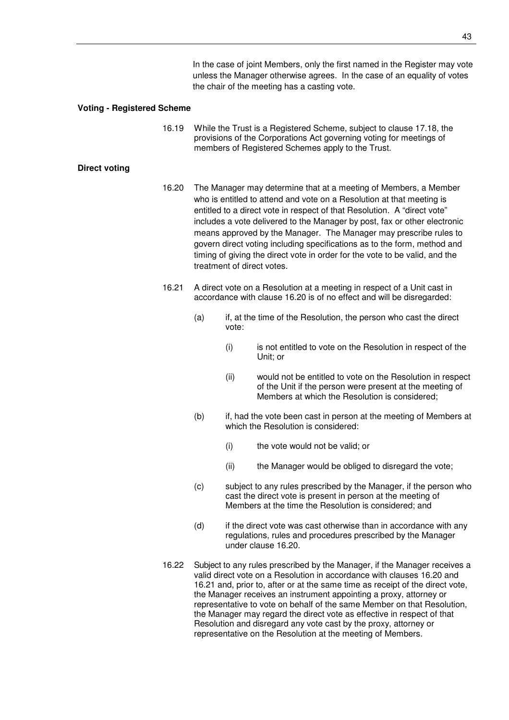In the case of joint Members, only the first named in the Register may vote unless the Manager otherwise agrees. In the case of an equality of votes the chair of the meeting has a casting vote.

#### **Voting - Registered Scheme**

16.19 While the Trust is a Registered Scheme, subject to clause 17.18, the provisions of the Corporations Act governing voting for meetings of members of Registered Schemes apply to the Trust.

# **Direct voting**

- 16.20 The Manager may determine that at a meeting of Members, a Member who is entitled to attend and vote on a Resolution at that meeting is entitled to a direct vote in respect of that Resolution. A "direct vote" includes a vote delivered to the Manager by post, fax or other electronic means approved by the Manager. The Manager may prescribe rules to govern direct voting including specifications as to the form, method and timing of giving the direct vote in order for the vote to be valid, and the treatment of direct votes.
- 16.21 A direct vote on a Resolution at a meeting in respect of a Unit cast in accordance with clause 16.20 is of no effect and will be disregarded:
	- (a) if, at the time of the Resolution, the person who cast the direct vote:
		- (i) is not entitled to vote on the Resolution in respect of the Unit; or
		- (ii) would not be entitled to vote on the Resolution in respect of the Unit if the person were present at the meeting of Members at which the Resolution is considered;
	- (b) if, had the vote been cast in person at the meeting of Members at which the Resolution is considered:
		- (i) the vote would not be valid; or
		- (ii) the Manager would be obliged to disregard the vote;
	- (c) subject to any rules prescribed by the Manager, if the person who cast the direct vote is present in person at the meeting of Members at the time the Resolution is considered; and
	- (d) if the direct vote was cast otherwise than in accordance with any regulations, rules and procedures prescribed by the Manager under clause 16.20.
- 16.22 Subject to any rules prescribed by the Manager, if the Manager receives a valid direct vote on a Resolution in accordance with clauses 16.20 and 16.21 and, prior to, after or at the same time as receipt of the direct vote, the Manager receives an instrument appointing a proxy, attorney or representative to vote on behalf of the same Member on that Resolution, the Manager may regard the direct vote as effective in respect of that Resolution and disregard any vote cast by the proxy, attorney or representative on the Resolution at the meeting of Members.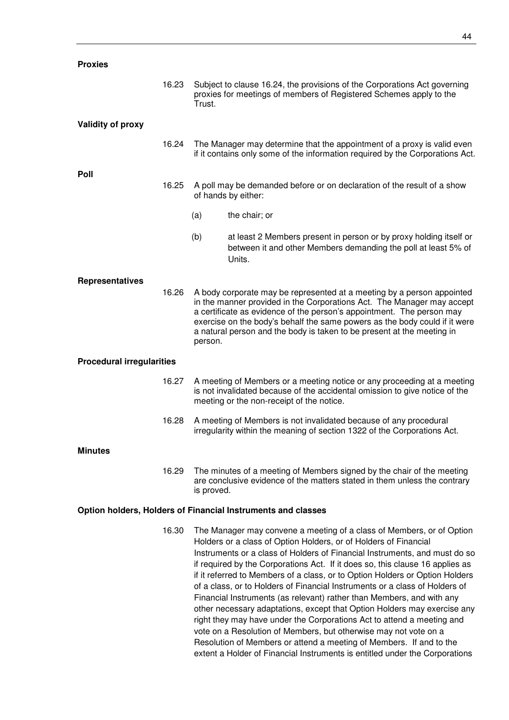| <b>Proxies</b>                                               |       |                                                                                                                                                                                                                                                                                                                                                                                              |                                                                                                                                                                                                                                                                                                                                                                                                                                                                                                                                                                                                                                                                                                                                                                                                                                                   |  |
|--------------------------------------------------------------|-------|----------------------------------------------------------------------------------------------------------------------------------------------------------------------------------------------------------------------------------------------------------------------------------------------------------------------------------------------------------------------------------------------|---------------------------------------------------------------------------------------------------------------------------------------------------------------------------------------------------------------------------------------------------------------------------------------------------------------------------------------------------------------------------------------------------------------------------------------------------------------------------------------------------------------------------------------------------------------------------------------------------------------------------------------------------------------------------------------------------------------------------------------------------------------------------------------------------------------------------------------------------|--|
|                                                              | 16.23 | Subject to clause 16.24, the provisions of the Corporations Act governing<br>proxies for meetings of members of Registered Schemes apply to the<br>Trust.                                                                                                                                                                                                                                    |                                                                                                                                                                                                                                                                                                                                                                                                                                                                                                                                                                                                                                                                                                                                                                                                                                                   |  |
| <b>Validity of proxy</b>                                     |       |                                                                                                                                                                                                                                                                                                                                                                                              |                                                                                                                                                                                                                                                                                                                                                                                                                                                                                                                                                                                                                                                                                                                                                                                                                                                   |  |
|                                                              | 16.24 | The Manager may determine that the appointment of a proxy is valid even<br>if it contains only some of the information required by the Corporations Act.                                                                                                                                                                                                                                     |                                                                                                                                                                                                                                                                                                                                                                                                                                                                                                                                                                                                                                                                                                                                                                                                                                                   |  |
| Poll                                                         |       |                                                                                                                                                                                                                                                                                                                                                                                              |                                                                                                                                                                                                                                                                                                                                                                                                                                                                                                                                                                                                                                                                                                                                                                                                                                                   |  |
|                                                              | 16.25 |                                                                                                                                                                                                                                                                                                                                                                                              | A poll may be demanded before or on declaration of the result of a show<br>of hands by either:                                                                                                                                                                                                                                                                                                                                                                                                                                                                                                                                                                                                                                                                                                                                                    |  |
|                                                              |       | (a)                                                                                                                                                                                                                                                                                                                                                                                          | the chair; or                                                                                                                                                                                                                                                                                                                                                                                                                                                                                                                                                                                                                                                                                                                                                                                                                                     |  |
|                                                              |       | (b)                                                                                                                                                                                                                                                                                                                                                                                          | at least 2 Members present in person or by proxy holding itself or<br>between it and other Members demanding the poll at least 5% of<br>Units.                                                                                                                                                                                                                                                                                                                                                                                                                                                                                                                                                                                                                                                                                                    |  |
| <b>Representatives</b>                                       | 16.26 | A body corporate may be represented at a meeting by a person appointed<br>in the manner provided in the Corporations Act. The Manager may accept<br>a certificate as evidence of the person's appointment. The person may<br>exercise on the body's behalf the same powers as the body could if it were<br>a natural person and the body is taken to be present at the meeting in<br>person. |                                                                                                                                                                                                                                                                                                                                                                                                                                                                                                                                                                                                                                                                                                                                                                                                                                                   |  |
| <b>Procedural irregularities</b>                             |       |                                                                                                                                                                                                                                                                                                                                                                                              |                                                                                                                                                                                                                                                                                                                                                                                                                                                                                                                                                                                                                                                                                                                                                                                                                                                   |  |
|                                                              | 16.27 | A meeting of Members or a meeting notice or any proceeding at a meeting<br>is not invalidated because of the accidental omission to give notice of the<br>meeting or the non-receipt of the notice.                                                                                                                                                                                          |                                                                                                                                                                                                                                                                                                                                                                                                                                                                                                                                                                                                                                                                                                                                                                                                                                                   |  |
|                                                              | 16.28 |                                                                                                                                                                                                                                                                                                                                                                                              | A meeting of Members is not invalidated because of any procedural<br>irregularity within the meaning of section 1322 of the Corporations Act.                                                                                                                                                                                                                                                                                                                                                                                                                                                                                                                                                                                                                                                                                                     |  |
| <b>Minutes</b>                                               |       |                                                                                                                                                                                                                                                                                                                                                                                              |                                                                                                                                                                                                                                                                                                                                                                                                                                                                                                                                                                                                                                                                                                                                                                                                                                                   |  |
|                                                              | 16.29 | is proved.                                                                                                                                                                                                                                                                                                                                                                                   | The minutes of a meeting of Members signed by the chair of the meeting<br>are conclusive evidence of the matters stated in them unless the contrary                                                                                                                                                                                                                                                                                                                                                                                                                                                                                                                                                                                                                                                                                               |  |
| Option holders, Holders of Financial Instruments and classes |       |                                                                                                                                                                                                                                                                                                                                                                                              |                                                                                                                                                                                                                                                                                                                                                                                                                                                                                                                                                                                                                                                                                                                                                                                                                                                   |  |
|                                                              | 16.30 |                                                                                                                                                                                                                                                                                                                                                                                              | The Manager may convene a meeting of a class of Members, or of Option<br>Holders or a class of Option Holders, or of Holders of Financial<br>Instruments or a class of Holders of Financial Instruments, and must do so<br>if required by the Corporations Act. If it does so, this clause 16 applies as<br>if it referred to Members of a class, or to Option Holders or Option Holders<br>of a class, or to Holders of Financial Instruments or a class of Holders of<br>Financial Instruments (as relevant) rather than Members, and with any<br>other necessary adaptations, except that Option Holders may exercise any<br>right they may have under the Corporations Act to attend a meeting and<br>vote on a Resolution of Members, but otherwise may not vote on a<br>Resolution of Members or attend a meeting of Members. If and to the |  |

extent a Holder of Financial Instruments is entitled under the Corporations

44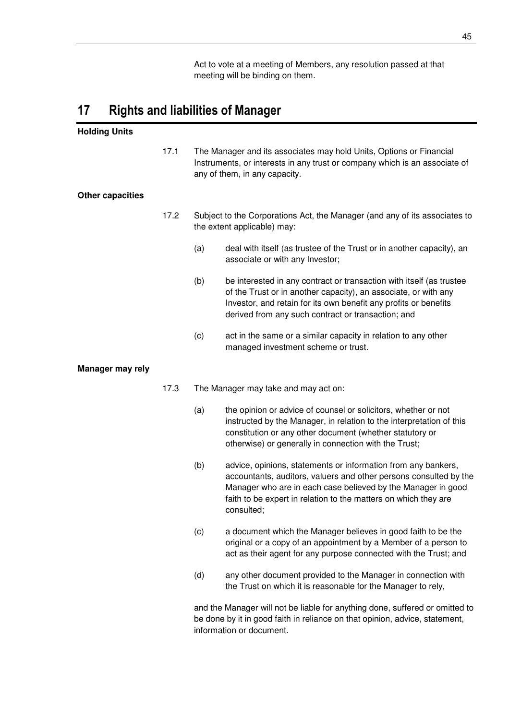Act to vote at a meeting of Members, any resolution passed at that meeting will be binding on them.

# **17 Rights and liabilities of Manager**

# **Holding Units**

17.1 The Manager and its associates may hold Units, Options or Financial Instruments, or interests in any trust or company which is an associate of any of them, in any capacity.

### **Other capacities**

- 17.2 Subject to the Corporations Act, the Manager (and any of its associates to the extent applicable) may:
	- (a) deal with itself (as trustee of the Trust or in another capacity), an associate or with any Investor;
	- (b) be interested in any contract or transaction with itself (as trustee of the Trust or in another capacity), an associate, or with any Investor, and retain for its own benefit any profits or benefits derived from any such contract or transaction; and
	- (c) act in the same or a similar capacity in relation to any other managed investment scheme or trust.

#### **Manager may rely**

- 17.3 The Manager may take and may act on:
	- (a) the opinion or advice of counsel or solicitors, whether or not instructed by the Manager, in relation to the interpretation of this constitution or any other document (whether statutory or otherwise) or generally in connection with the Trust;
	- (b) advice, opinions, statements or information from any bankers, accountants, auditors, valuers and other persons consulted by the Manager who are in each case believed by the Manager in good faith to be expert in relation to the matters on which they are consulted;
	- (c) a document which the Manager believes in good faith to be the original or a copy of an appointment by a Member of a person to act as their agent for any purpose connected with the Trust; and
	- (d) any other document provided to the Manager in connection with the Trust on which it is reasonable for the Manager to rely,

and the Manager will not be liable for anything done, suffered or omitted to be done by it in good faith in reliance on that opinion, advice, statement, information or document.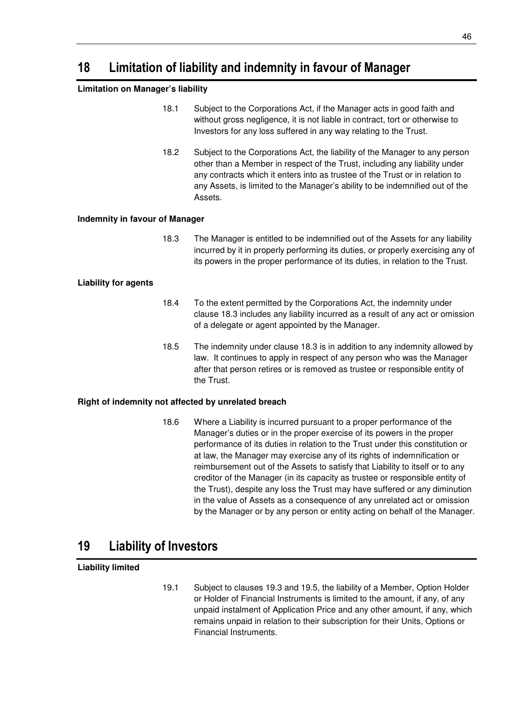# **18 Limitation of liability and indemnity in favour of Manager**

# **Limitation on Manager's liability**

- 18.1 Subject to the Corporations Act, if the Manager acts in good faith and without gross negligence, it is not liable in contract, tort or otherwise to Investors for any loss suffered in any way relating to the Trust.
- 18.2 Subject to the Corporations Act, the liability of the Manager to any person other than a Member in respect of the Trust, including any liability under any contracts which it enters into as trustee of the Trust or in relation to any Assets, is limited to the Manager's ability to be indemnified out of the Assets.

# **Indemnity in favour of Manager**

18.3 The Manager is entitled to be indemnified out of the Assets for any liability incurred by it in properly performing its duties, or properly exercising any of its powers in the proper performance of its duties, in relation to the Trust.

# **Liability for agents**

- 18.4 To the extent permitted by the Corporations Act, the indemnity under clause 18.3 includes any liability incurred as a result of any act or omission of a delegate or agent appointed by the Manager.
- 18.5 The indemnity under clause 18.3 is in addition to any indemnity allowed by law. It continues to apply in respect of any person who was the Manager after that person retires or is removed as trustee or responsible entity of the Trust.

# **Right of indemnity not affected by unrelated breach**

18.6 Where a Liability is incurred pursuant to a proper performance of the Manager's duties or in the proper exercise of its powers in the proper performance of its duties in relation to the Trust under this constitution or at law, the Manager may exercise any of its rights of indemnification or reimbursement out of the Assets to satisfy that Liability to itself or to any creditor of the Manager (in its capacity as trustee or responsible entity of the Trust), despite any loss the Trust may have suffered or any diminution in the value of Assets as a consequence of any unrelated act or omission by the Manager or by any person or entity acting on behalf of the Manager.

# **19 Liability of Investors**

# **Liability limited**

19.1 Subject to clauses 19.3 and 19.5, the liability of a Member, Option Holder or Holder of Financial Instruments is limited to the amount, if any, of any unpaid instalment of Application Price and any other amount, if any, which remains unpaid in relation to their subscription for their Units, Options or Financial Instruments.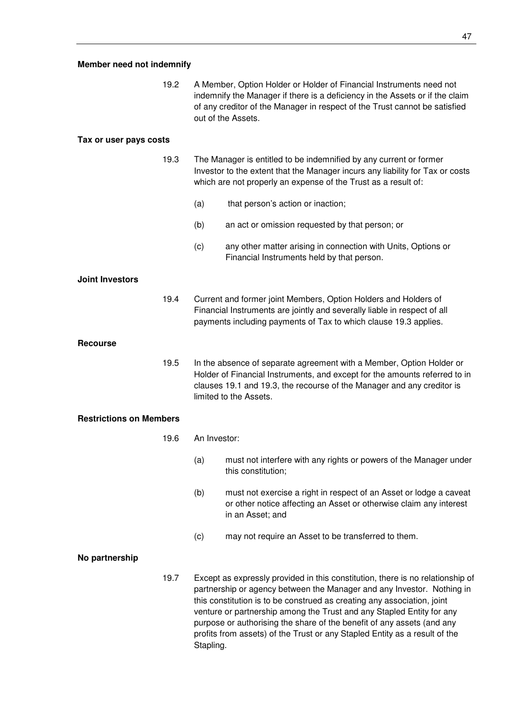# **Member need not indemnify**

19.2 A Member, Option Holder or Holder of Financial Instruments need not indemnify the Manager if there is a deficiency in the Assets or if the claim of any creditor of the Manager in respect of the Trust cannot be satisfied out of the Assets.

### **Tax or user pays costs**

19.3 The Manager is entitled to be indemnified by any current or former Investor to the extent that the Manager incurs any liability for Tax or costs which are not properly an expense of the Trust as a result of:

- (a) that person's action or inaction;
- (b) an act or omission requested by that person; or
- (c) any other matter arising in connection with Units, Options or Financial Instruments held by that person.

# **Joint Investors**

19.4 Current and former joint Members, Option Holders and Holders of Financial Instruments are jointly and severally liable in respect of all payments including payments of Tax to which clause 19.3 applies.

#### **Recourse**

19.5 In the absence of separate agreement with a Member, Option Holder or Holder of Financial Instruments, and except for the amounts referred to in clauses 19.1 and 19.3, the recourse of the Manager and any creditor is limited to the Assets.

### **Restrictions on Members**

- 19.6 An Investor:
	- (a) must not interfere with any rights or powers of the Manager under this constitution;
	- (b) must not exercise a right in respect of an Asset or lodge a caveat or other notice affecting an Asset or otherwise claim any interest in an Asset; and
	- (c) may not require an Asset to be transferred to them.

### **No partnership**

19.7 Except as expressly provided in this constitution, there is no relationship of partnership or agency between the Manager and any Investor. Nothing in this constitution is to be construed as creating any association, joint venture or partnership among the Trust and any Stapled Entity for any purpose or authorising the share of the benefit of any assets (and any profits from assets) of the Trust or any Stapled Entity as a result of the Stapling.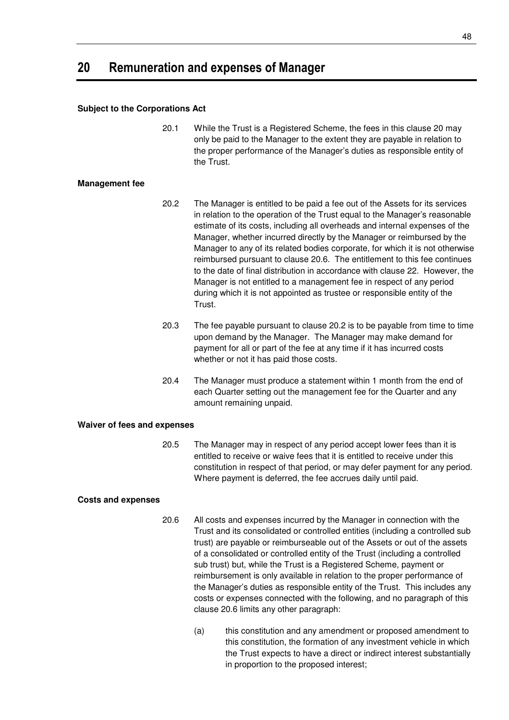# **20 Remuneration and expenses of Manager**

### **Subject to the Corporations Act**

20.1 While the Trust is a Registered Scheme, the fees in this clause 20 may only be paid to the Manager to the extent they are payable in relation to the proper performance of the Manager's duties as responsible entity of the Trust.

### **Management fee**

- 20.2 The Manager is entitled to be paid a fee out of the Assets for its services in relation to the operation of the Trust equal to the Manager's reasonable estimate of its costs, including all overheads and internal expenses of the Manager, whether incurred directly by the Manager or reimbursed by the Manager to any of its related bodies corporate, for which it is not otherwise reimbursed pursuant to clause 20.6. The entitlement to this fee continues to the date of final distribution in accordance with clause 22. However, the Manager is not entitled to a management fee in respect of any period during which it is not appointed as trustee or responsible entity of the Trust.
- 20.3 The fee payable pursuant to clause 20.2 is to be payable from time to time upon demand by the Manager. The Manager may make demand for payment for all or part of the fee at any time if it has incurred costs whether or not it has paid those costs.
- 20.4 The Manager must produce a statement within 1 month from the end of each Quarter setting out the management fee for the Quarter and any amount remaining unpaid.

### **Waiver of fees and expenses**

20.5 The Manager may in respect of any period accept lower fees than it is entitled to receive or waive fees that it is entitled to receive under this constitution in respect of that period, or may defer payment for any period. Where payment is deferred, the fee accrues daily until paid.

# **Costs and expenses**

- 20.6 All costs and expenses incurred by the Manager in connection with the Trust and its consolidated or controlled entities (including a controlled sub trust) are payable or reimburseable out of the Assets or out of the assets of a consolidated or controlled entity of the Trust (including a controlled sub trust) but, while the Trust is a Registered Scheme, payment or reimbursement is only available in relation to the proper performance of the Manager's duties as responsible entity of the Trust. This includes any costs or expenses connected with the following, and no paragraph of this clause 20.6 limits any other paragraph:
	- (a) this constitution and any amendment or proposed amendment to this constitution, the formation of any investment vehicle in which the Trust expects to have a direct or indirect interest substantially in proportion to the proposed interest;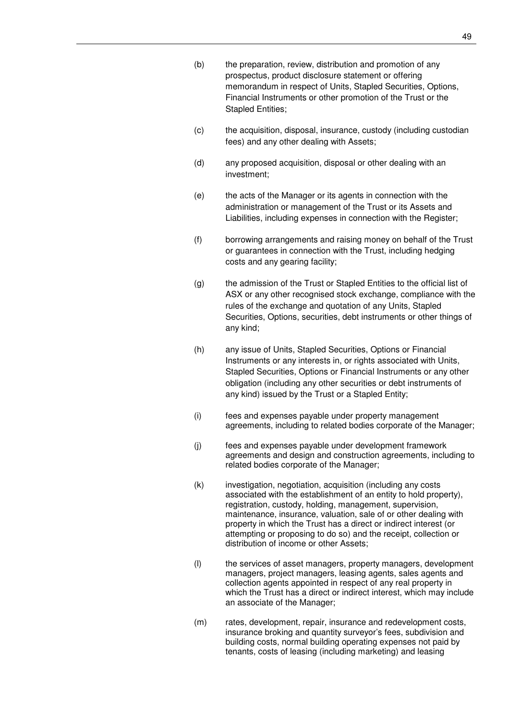- (b) the preparation, review, distribution and promotion of any prospectus, product disclosure statement or offering memorandum in respect of Units, Stapled Securities, Options, Financial Instruments or other promotion of the Trust or the Stapled Entities;
- (c) the acquisition, disposal, insurance, custody (including custodian fees) and any other dealing with Assets;
- (d) any proposed acquisition, disposal or other dealing with an investment;
- (e) the acts of the Manager or its agents in connection with the administration or management of the Trust or its Assets and Liabilities, including expenses in connection with the Register;
- (f) borrowing arrangements and raising money on behalf of the Trust or guarantees in connection with the Trust, including hedging costs and any gearing facility;
- (g) the admission of the Trust or Stapled Entities to the official list of ASX or any other recognised stock exchange, compliance with the rules of the exchange and quotation of any Units, Stapled Securities, Options, securities, debt instruments or other things of any kind;
- (h) any issue of Units, Stapled Securities, Options or Financial Instruments or any interests in, or rights associated with Units, Stapled Securities, Options or Financial Instruments or any other obligation (including any other securities or debt instruments of any kind) issued by the Trust or a Stapled Entity;
- (i) fees and expenses payable under property management agreements, including to related bodies corporate of the Manager;
- (j) fees and expenses payable under development framework agreements and design and construction agreements, including to related bodies corporate of the Manager;
- (k) investigation, negotiation, acquisition (including any costs associated with the establishment of an entity to hold property), registration, custody, holding, management, supervision, maintenance, insurance, valuation, sale of or other dealing with property in which the Trust has a direct or indirect interest (or attempting or proposing to do so) and the receipt, collection or distribution of income or other Assets;
- (l) the services of asset managers, property managers, development managers, project managers, leasing agents, sales agents and collection agents appointed in respect of any real property in which the Trust has a direct or indirect interest, which may include an associate of the Manager;
- (m) rates, development, repair, insurance and redevelopment costs, insurance broking and quantity surveyor's fees, subdivision and building costs, normal building operating expenses not paid by tenants, costs of leasing (including marketing) and leasing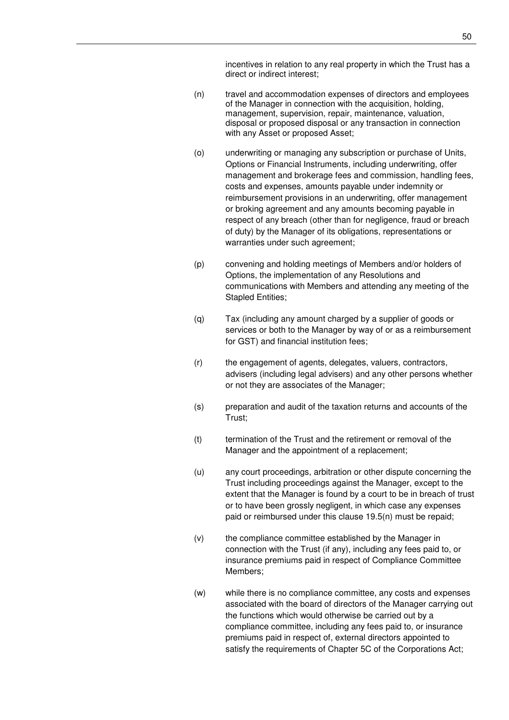incentives in relation to any real property in which the Trust has a direct or indirect interest;

- (n) travel and accommodation expenses of directors and employees of the Manager in connection with the acquisition, holding, management, supervision, repair, maintenance, valuation, disposal or proposed disposal or any transaction in connection with any Asset or proposed Asset;
- (o) underwriting or managing any subscription or purchase of Units, Options or Financial Instruments, including underwriting, offer management and brokerage fees and commission, handling fees, costs and expenses, amounts payable under indemnity or reimbursement provisions in an underwriting, offer management or broking agreement and any amounts becoming payable in respect of any breach (other than for negligence, fraud or breach of duty) by the Manager of its obligations, representations or warranties under such agreement;
- (p) convening and holding meetings of Members and/or holders of Options, the implementation of any Resolutions and communications with Members and attending any meeting of the Stapled Entities;
- (q) Tax (including any amount charged by a supplier of goods or services or both to the Manager by way of or as a reimbursement for GST) and financial institution fees;
- (r) the engagement of agents, delegates, valuers, contractors, advisers (including legal advisers) and any other persons whether or not they are associates of the Manager;
- (s) preparation and audit of the taxation returns and accounts of the Trust;
- (t) termination of the Trust and the retirement or removal of the Manager and the appointment of a replacement;
- (u) any court proceedings, arbitration or other dispute concerning the Trust including proceedings against the Manager, except to the extent that the Manager is found by a court to be in breach of trust or to have been grossly negligent, in which case any expenses paid or reimbursed under this clause 19.5(n) must be repaid;
- (v) the compliance committee established by the Manager in connection with the Trust (if any), including any fees paid to, or insurance premiums paid in respect of Compliance Committee Members;
- (w) while there is no compliance committee, any costs and expenses associated with the board of directors of the Manager carrying out the functions which would otherwise be carried out by a compliance committee, including any fees paid to, or insurance premiums paid in respect of, external directors appointed to satisfy the requirements of Chapter 5C of the Corporations Act;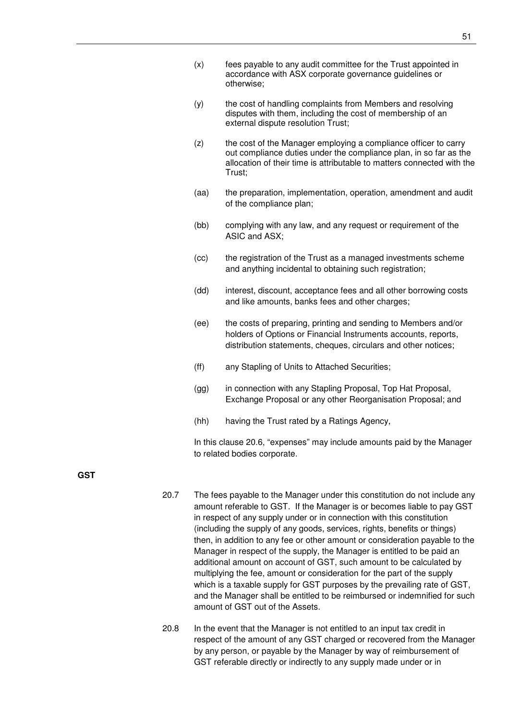- (x) fees payable to any audit committee for the Trust appointed in accordance with ASX corporate governance guidelines or otherwise;
- (y) the cost of handling complaints from Members and resolving disputes with them, including the cost of membership of an external dispute resolution Trust;
- (z) the cost of the Manager employing a compliance officer to carry out compliance duties under the compliance plan, in so far as the allocation of their time is attributable to matters connected with the Trust;
- (aa) the preparation, implementation, operation, amendment and audit of the compliance plan;
- (bb) complying with any law, and any request or requirement of the ASIC and ASX;
- (cc) the registration of the Trust as a managed investments scheme and anything incidental to obtaining such registration;
- (dd) interest, discount, acceptance fees and all other borrowing costs and like amounts, banks fees and other charges;
- (ee) the costs of preparing, printing and sending to Members and/or holders of Options or Financial Instruments accounts, reports, distribution statements, cheques, circulars and other notices;
- (ff) any Stapling of Units to Attached Securities;
- (gg) in connection with any Stapling Proposal, Top Hat Proposal, Exchange Proposal or any other Reorganisation Proposal; and
- (hh) having the Trust rated by a Ratings Agency,

In this clause 20.6, "expenses" may include amounts paid by the Manager to related bodies corporate.

**GST**

- 20.7 The fees payable to the Manager under this constitution do not include any amount referable to GST. If the Manager is or becomes liable to pay GST in respect of any supply under or in connection with this constitution (including the supply of any goods, services, rights, benefits or things) then, in addition to any fee or other amount or consideration payable to the Manager in respect of the supply, the Manager is entitled to be paid an additional amount on account of GST, such amount to be calculated by multiplying the fee, amount or consideration for the part of the supply which is a taxable supply for GST purposes by the prevailing rate of GST, and the Manager shall be entitled to be reimbursed or indemnified for such amount of GST out of the Assets.
- 20.8 In the event that the Manager is not entitled to an input tax credit in respect of the amount of any GST charged or recovered from the Manager by any person, or payable by the Manager by way of reimbursement of GST referable directly or indirectly to any supply made under or in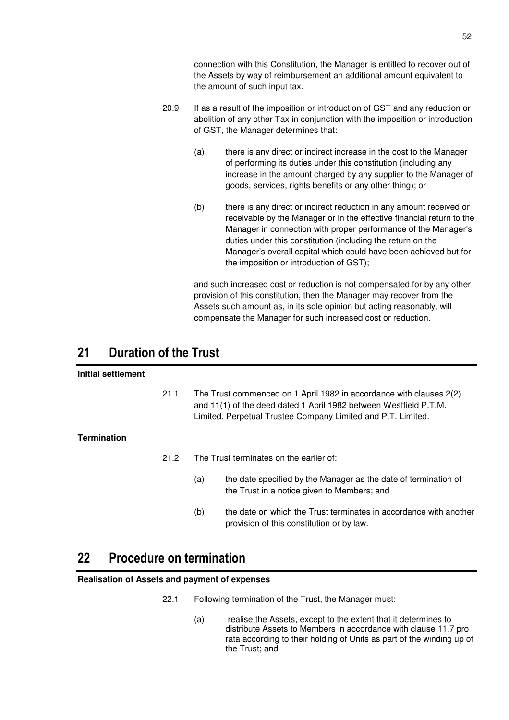connection with this Constitution, the Manager is entitled to recover out of the Assets by way of reimbursement an additional amount equivalent to the amount of such input tax.

- 20.9 If as a result of the imposition or introduction of GST and any reduction or abolition of any other Tax in conjunction with the imposition or introduction of GST, the Manager determines that:
	- (a) there is any direct or indirect increase in the cost to the Manager of performing its duties under this constitution (including any increase in the amount charged by any supplier to the Manager of goods, services, rights benefits or any other thing); or
	- (b) there is any direct or indirect reduction in any amount received or receivable by the Manager or in the effective financial return to the Manager in connection with proper performance of the Manager's duties under this constitution (including the return on the Manager's overall capital which could have been achieved but for the imposition or introduction of GST);

and such increased cost or reduction is not compensated for by any other provision of this constitution, then the Manager may recover from the Assets such amount as, in its sole opinion but acting reasonably, will compensate the Manager for such increased cost or reduction.

# **21 Duration of the Trust**

# **Initial settlement**

21.1 The Trust commenced on 1 April 1982 in accordance with clauses 2(2) and 11(1) of the deed dated 1 April 1982 between Westfield P.T.M. Limited, Perpetual Trustee Company Limited and P.T. Limited.

# **Termination**

- 21.2 The Trust terminates on the earlier of:
	- (a) the date specified by the Manager as the date of termination of the Trust in a notice given to Members; and
	- (b) the date on which the Trust terminates in accordance with another provision of this constitution or by law.

# **22 Procedure on termination**

### **Realisation of Assets and payment of expenses**

- 22.1 Following termination of the Trust, the Manager must:
	- (a) realise the Assets, except to the extent that it determines to distribute Assets to Members in accordance with clause 11.7 pro rata according to their holding of Units as part of the winding up of the Trust; and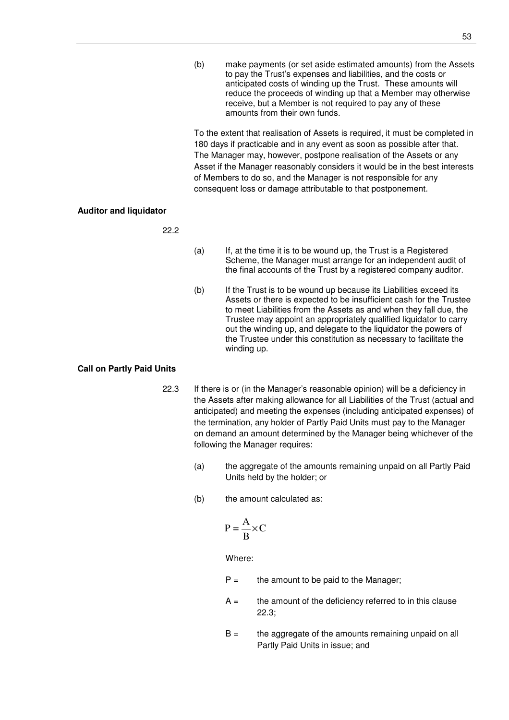(b) make payments (or set aside estimated amounts) from the Assets to pay the Trust's expenses and liabilities, and the costs or anticipated costs of winding up the Trust. These amounts will reduce the proceeds of winding up that a Member may otherwise receive, but a Member is not required to pay any of these amounts from their own funds.

To the extent that realisation of Assets is required, it must be completed in 180 days if practicable and in any event as soon as possible after that. The Manager may, however, postpone realisation of the Assets or any Asset if the Manager reasonably considers it would be in the best interests of Members to do so, and the Manager is not responsible for any consequent loss or damage attributable to that postponement.

# **Auditor and liquidator**

22.2

- (a) If, at the time it is to be wound up, the Trust is a Registered Scheme, the Manager must arrange for an independent audit of the final accounts of the Trust by a registered company auditor.
- (b) If the Trust is to be wound up because its Liabilities exceed its Assets or there is expected to be insufficient cash for the Trustee to meet Liabilities from the Assets as and when they fall due, the Trustee may appoint an appropriately qualified liquidator to carry out the winding up, and delegate to the liquidator the powers of the Trustee under this constitution as necessary to facilitate the winding up.

# **Call on Partly Paid Units**

- 22.3 If there is or (in the Manager's reasonable opinion) will be a deficiency in the Assets after making allowance for all Liabilities of the Trust (actual and anticipated) and meeting the expenses (including anticipated expenses) of the termination, any holder of Partly Paid Units must pay to the Manager on demand an amount determined by the Manager being whichever of the following the Manager requires:
	- (a) the aggregate of the amounts remaining unpaid on all Partly Paid Units held by the holder; or
	- (b) the amount calculated as:

$$
P = \frac{A}{B} \times C
$$

Where:

- $P =$  the amount to be paid to the Manager;
- $A =$  the amount of the deficiency referred to in this clause 22.3;
- $B =$  the aggregate of the amounts remaining unpaid on all Partly Paid Units in issue; and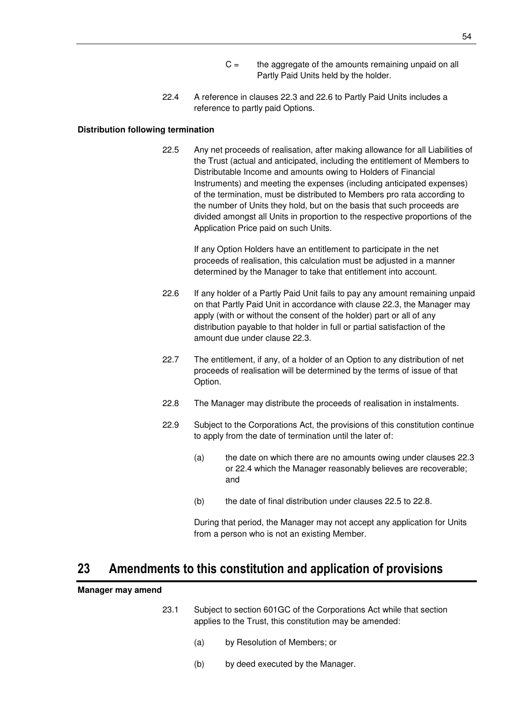- $C =$  the aggregate of the amounts remaining unpaid on all Partly Paid Units held by the holder.
- 22.4 A reference in clauses 22.3 and 22.6 to Partly Paid Units includes a reference to partly paid Options.

#### **Distribution following termination**

22.5 Any net proceeds of realisation, after making allowance for all Liabilities of the Trust (actual and anticipated, including the entitlement of Members to Distributable Income and amounts owing to Holders of Financial Instruments) and meeting the expenses (including anticipated expenses) of the termination, must be distributed to Members pro rata according to the number of Units they hold, but on the basis that such proceeds are divided amongst all Units in proportion to the respective proportions of the Application Price paid on such Units.

> If any Option Holders have an entitlement to participate in the net proceeds of realisation, this calculation must be adjusted in a manner determined by the Manager to take that entitlement into account.

- 22.6 If any holder of a Partly Paid Unit fails to pay any amount remaining unpaid on that Partly Paid Unit in accordance with clause 22.3, the Manager may apply (with or without the consent of the holder) part or all of any distribution payable to that holder in full or partial satisfaction of the amount due under clause 22.3.
- 22.7 The entitlement, if any, of a holder of an Option to any distribution of net proceeds of realisation will be determined by the terms of issue of that Option.
- 22.8 The Manager may distribute the proceeds of realisation in instalments.
- 22.9 Subject to the Corporations Act, the provisions of this constitution continue to apply from the date of termination until the later of:
	- (a) the date on which there are no amounts owing under clauses 22.3 or 22.4 which the Manager reasonably believes are recoverable; and
	- (b) the date of final distribution under clauses 22.5 to 22.8.

During that period, the Manager may not accept any application for Units from a person who is not an existing Member.

# **23 Amendments to this constitution and application of provisions**

#### **Manager may amend**

- 23.1 Subject to section 601GC of the Corporations Act while that section applies to the Trust, this constitution may be amended:
	- (a) by Resolution of Members; or
	- (b) by deed executed by the Manager.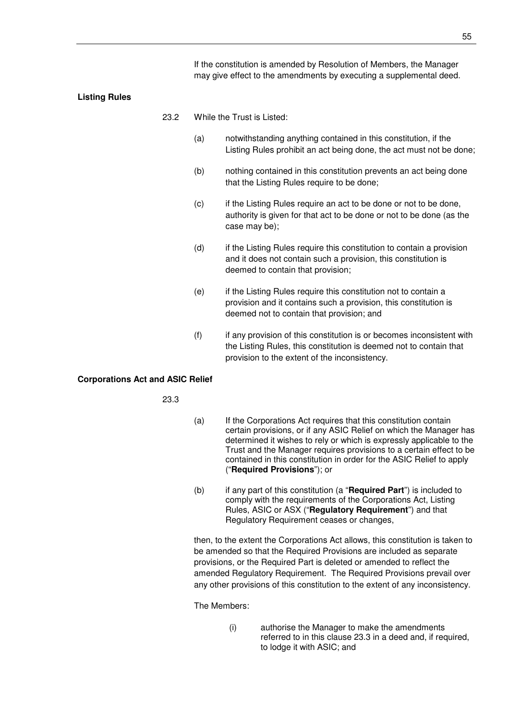If the constitution is amended by Resolution of Members, the Manager may give effect to the amendments by executing a supplemental deed.

#### **Listing Rules**

- 23.2 While the Trust is Listed:
	- (a) notwithstanding anything contained in this constitution, if the Listing Rules prohibit an act being done, the act must not be done;
	- (b) nothing contained in this constitution prevents an act being done that the Listing Rules require to be done;
	- (c) if the Listing Rules require an act to be done or not to be done, authority is given for that act to be done or not to be done (as the case may be);
	- (d) if the Listing Rules require this constitution to contain a provision and it does not contain such a provision, this constitution is deemed to contain that provision;
	- (e) if the Listing Rules require this constitution not to contain a provision and it contains such a provision, this constitution is deemed not to contain that provision; and
	- (f) if any provision of this constitution is or becomes inconsistent with the Listing Rules, this constitution is deemed not to contain that provision to the extent of the inconsistency.

#### **Corporations Act and ASIC Relief**

23.3

- (a) If the Corporations Act requires that this constitution contain certain provisions, or if any ASIC Relief on which the Manager has determined it wishes to rely or which is expressly applicable to the Trust and the Manager requires provisions to a certain effect to be contained in this constitution in order for the ASIC Relief to apply ("**Required Provisions**"); or
- (b) if any part of this constitution (a "**Required Part**") is included to comply with the requirements of the Corporations Act, Listing Rules, ASIC or ASX ("**Regulatory Requirement**") and that Regulatory Requirement ceases or changes,

then, to the extent the Corporations Act allows, this constitution is taken to be amended so that the Required Provisions are included as separate provisions, or the Required Part is deleted or amended to reflect the amended Regulatory Requirement. The Required Provisions prevail over any other provisions of this constitution to the extent of any inconsistency.

The Members:

(i) authorise the Manager to make the amendments referred to in this clause 23.3 in a deed and, if required, to lodge it with ASIC; and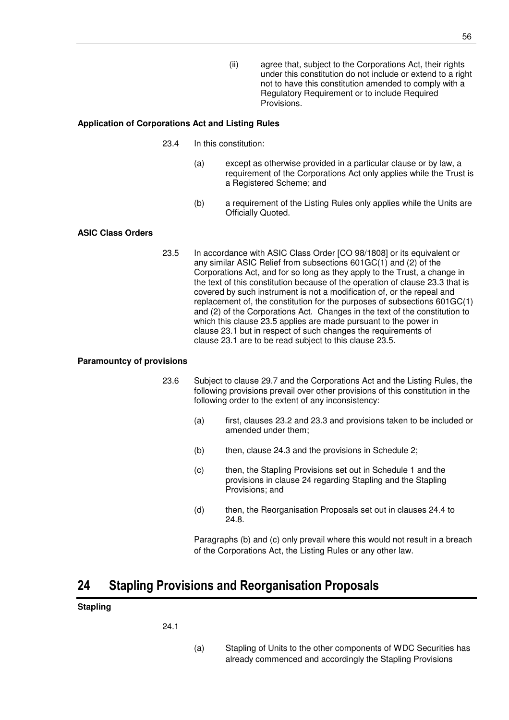(ii) agree that, subject to the Corporations Act, their rights under this constitution do not include or extend to a right not to have this constitution amended to comply with a Regulatory Requirement or to include Required Provisions.

### **Application of Corporations Act and Listing Rules**

- 23.4 In this constitution:
	- (a) except as otherwise provided in a particular clause or by law, a requirement of the Corporations Act only applies while the Trust is a Registered Scheme; and
	- (b) a requirement of the Listing Rules only applies while the Units are Officially Quoted.

# **ASIC Class Orders**

23.5 In accordance with ASIC Class Order [CO 98/1808] or its equivalent or any similar ASIC Relief from subsections 601GC(1) and (2) of the Corporations Act, and for so long as they apply to the Trust, a change in the text of this constitution because of the operation of clause 23.3 that is covered by such instrument is not a modification of, or the repeal and replacement of, the constitution for the purposes of subsections 601GC(1) and (2) of the Corporations Act. Changes in the text of the constitution to which this clause 23.5 applies are made pursuant to the power in clause 23.1 but in respect of such changes the requirements of clause 23.1 are to be read subject to this clause 23.5.

### **Paramountcy of provisions**

- 23.6 Subject to clause 29.7 and the Corporations Act and the Listing Rules, the following provisions prevail over other provisions of this constitution in the following order to the extent of any inconsistency:
	- (a) first, clauses 23.2 and 23.3 and provisions taken to be included or amended under them;
	- (b) then, clause 24.3 and the provisions in Schedule 2;
	- (c) then, the Stapling Provisions set out in Schedule 1 and the provisions in clause 24 regarding Stapling and the Stapling Provisions; and
	- (d) then, the Reorganisation Proposals set out in clauses 24.4 to 24.8.

Paragraphs (b) and (c) only prevail where this would not result in a breach of the Corporations Act, the Listing Rules or any other law.

# **24 Stapling Provisions and Reorganisation Proposals**

### **Stapling**

24.1

(a) Stapling of Units to the other components of WDC Securities has already commenced and accordingly the Stapling Provisions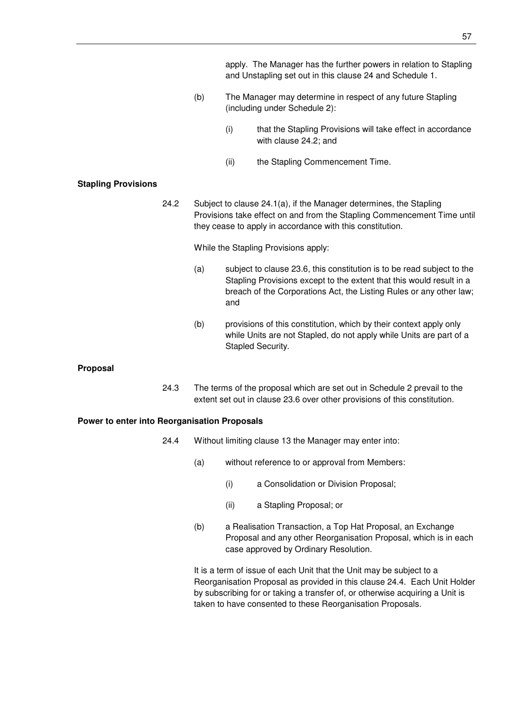apply. The Manager has the further powers in relation to Stapling and Unstapling set out in this clause 24 and Schedule 1.

- (b) The Manager may determine in respect of any future Stapling (including under Schedule 2):
	- (i) that the Stapling Provisions will take effect in accordance with clause 24.2; and
	- (ii) the Stapling Commencement Time.

### **Stapling Provisions**

24.2 Subject to clause 24.1(a), if the Manager determines, the Stapling Provisions take effect on and from the Stapling Commencement Time until they cease to apply in accordance with this constitution.

While the Stapling Provisions apply:

- (a) subject to clause 23.6, this constitution is to be read subject to the Stapling Provisions except to the extent that this would result in a breach of the Corporations Act, the Listing Rules or any other law; and
- (b) provisions of this constitution, which by their context apply only while Units are not Stapled, do not apply while Units are part of a Stapled Security.

### **Proposal**

24.3 The terms of the proposal which are set out in Schedule 2 prevail to the extent set out in clause 23.6 over other provisions of this constitution.

#### **Power to enter into Reorganisation Proposals**

- 24.4 Without limiting clause 13 the Manager may enter into:
	- (a) without reference to or approval from Members:
		- (i) a Consolidation or Division Proposal;
		- (ii) a Stapling Proposal; or
	- (b) a Realisation Transaction, a Top Hat Proposal, an Exchange Proposal and any other Reorganisation Proposal, which is in each case approved by Ordinary Resolution.

It is a term of issue of each Unit that the Unit may be subject to a Reorganisation Proposal as provided in this clause 24.4. Each Unit Holder by subscribing for or taking a transfer of, or otherwise acquiring a Unit is taken to have consented to these Reorganisation Proposals.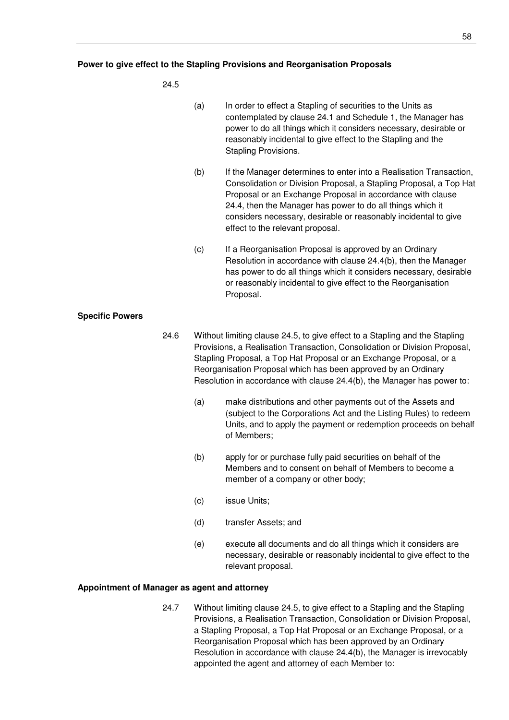### 24.5

|                        |      | (a)                                                                                                                                                                                                                                                                                                                                                                           | In order to effect a Stapling of securities to the Units as<br>contemplated by clause 24.1 and Schedule 1, the Manager has<br>power to do all things which it considers necessary, desirable or<br>reasonably incidental to give effect to the Stapling and the<br>Stapling Provisions.                                                                                     |
|------------------------|------|-------------------------------------------------------------------------------------------------------------------------------------------------------------------------------------------------------------------------------------------------------------------------------------------------------------------------------------------------------------------------------|-----------------------------------------------------------------------------------------------------------------------------------------------------------------------------------------------------------------------------------------------------------------------------------------------------------------------------------------------------------------------------|
|                        |      | (b)                                                                                                                                                                                                                                                                                                                                                                           | If the Manager determines to enter into a Realisation Transaction,<br>Consolidation or Division Proposal, a Stapling Proposal, a Top Hat<br>Proposal or an Exchange Proposal in accordance with clause<br>24.4, then the Manager has power to do all things which it<br>considers necessary, desirable or reasonably incidental to give<br>effect to the relevant proposal. |
|                        |      | (c)                                                                                                                                                                                                                                                                                                                                                                           | If a Reorganisation Proposal is approved by an Ordinary<br>Resolution in accordance with clause 24.4(b), then the Manager<br>has power to do all things which it considers necessary, desirable<br>or reasonably incidental to give effect to the Reorganisation<br>Proposal.                                                                                               |
| <b>Specific Powers</b> |      |                                                                                                                                                                                                                                                                                                                                                                               |                                                                                                                                                                                                                                                                                                                                                                             |
|                        | 24.6 | Without limiting clause 24.5, to give effect to a Stapling and the Stapling<br>Provisions, a Realisation Transaction, Consolidation or Division Proposal,<br>Stapling Proposal, a Top Hat Proposal or an Exchange Proposal, or a<br>Reorganisation Proposal which has been approved by an Ordinary<br>Resolution in accordance with clause 24.4(b), the Manager has power to: |                                                                                                                                                                                                                                                                                                                                                                             |
|                        |      | (a)                                                                                                                                                                                                                                                                                                                                                                           | make distributions and other payments out of the Assets and<br>(subject to the Corporations Act and the Listing Rules) to redeem<br>Units, and to apply the payment or redemption proceeds on behalf<br>of Members;                                                                                                                                                         |
|                        |      | (b)                                                                                                                                                                                                                                                                                                                                                                           | apply for or purchase fully paid securities on behalf of the<br>Members and to consent on behalf of Members to become a<br>member of a company or other body;                                                                                                                                                                                                               |

- (c) issue Units;
- (d) transfer Assets; and
- (e) execute all documents and do all things which it considers are necessary, desirable or reasonably incidental to give effect to the relevant proposal.

# **Appointment of Manager as agent and attorney**

24.7 Without limiting clause 24.5, to give effect to a Stapling and the Stapling Provisions, a Realisation Transaction, Consolidation or Division Proposal, a Stapling Proposal, a Top Hat Proposal or an Exchange Proposal, or a Reorganisation Proposal which has been approved by an Ordinary Resolution in accordance with clause 24.4(b), the Manager is irrevocably appointed the agent and attorney of each Member to: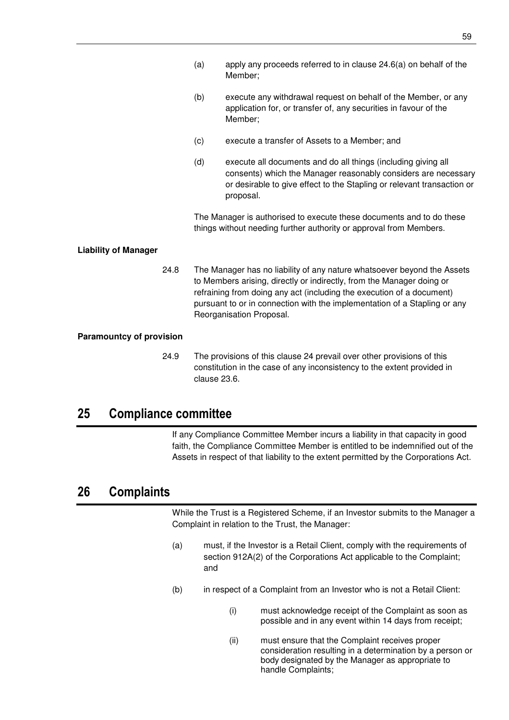- (a) apply any proceeds referred to in clause 24.6(a) on behalf of the Member;
- (b) execute any withdrawal request on behalf of the Member, or any application for, or transfer of, any securities in favour of the Member;
- (c) execute a transfer of Assets to a Member; and
- (d) execute all documents and do all things (including giving all consents) which the Manager reasonably considers are necessary or desirable to give effect to the Stapling or relevant transaction or proposal.

The Manager is authorised to execute these documents and to do these things without needing further authority or approval from Members.

# **Liability of Manager**

24.8 The Manager has no liability of any nature whatsoever beyond the Assets to Members arising, directly or indirectly, from the Manager doing or refraining from doing any act (including the execution of a document) pursuant to or in connection with the implementation of a Stapling or any Reorganisation Proposal.

### **Paramountcy of provision**

24.9 The provisions of this clause 24 prevail over other provisions of this constitution in the case of any inconsistency to the extent provided in clause 23.6.

# **25 Compliance committee**

If any Compliance Committee Member incurs a liability in that capacity in good faith, the Compliance Committee Member is entitled to be indemnified out of the Assets in respect of that liability to the extent permitted by the Corporations Act.

# **26 Complaints**

While the Trust is a Registered Scheme, if an Investor submits to the Manager a Complaint in relation to the Trust, the Manager:

- (a) must, if the Investor is a Retail Client, comply with the requirements of section 912A(2) of the Corporations Act applicable to the Complaint; and
- (b) in respect of a Complaint from an Investor who is not a Retail Client:
	- (i) must acknowledge receipt of the Complaint as soon as possible and in any event within 14 days from receipt;
	- (ii) must ensure that the Complaint receives proper consideration resulting in a determination by a person or body designated by the Manager as appropriate to handle Complaints;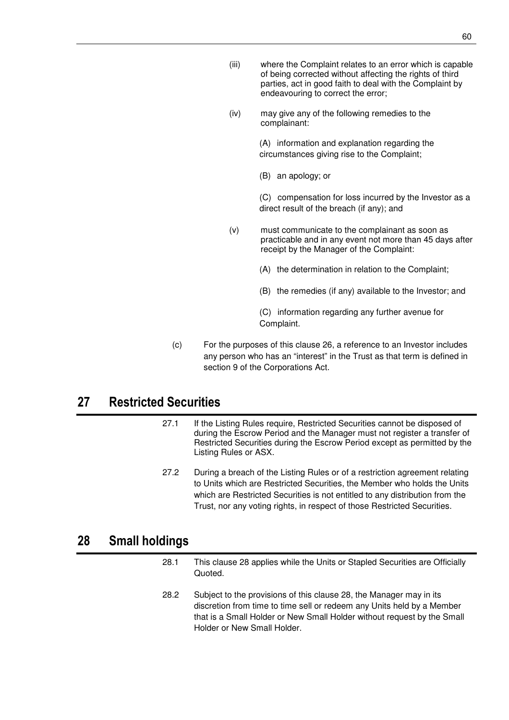- (iii) where the Complaint relates to an error which is capable of being corrected without affecting the rights of third parties, act in good faith to deal with the Complaint by endeavouring to correct the error;
- (iv) may give any of the following remedies to the complainant:

(A) information and explanation regarding the circumstances giving rise to the Complaint;

(B) an apology; or

(C) compensation for loss incurred by the Investor as a direct result of the breach (if any); and

(v) must communicate to the complainant as soon as practicable and in any event not more than 45 days after receipt by the Manager of the Complaint:

(A) the determination in relation to the Complaint;

(B) the remedies (if any) available to the Investor; and

(C) information regarding any further avenue for Complaint.

(c) For the purposes of this clause 26, a reference to an Investor includes any person who has an "interest" in the Trust as that term is defined in section 9 of the Corporations Act.

# **27 Restricted Securities**

- 27.1 If the Listing Rules require, Restricted Securities cannot be disposed of during the Escrow Period and the Manager must not register a transfer of Restricted Securities during the Escrow Period except as permitted by the Listing Rules or ASX.
- 27.2 During a breach of the Listing Rules or of a restriction agreement relating to Units which are Restricted Securities, the Member who holds the Units which are Restricted Securities is not entitled to any distribution from the Trust, nor any voting rights, in respect of those Restricted Securities.

# **28 Small holdings**

- 28.1 This clause 28 applies while the Units or Stapled Securities are Officially Quoted.
- 28.2 Subject to the provisions of this clause 28, the Manager may in its discretion from time to time sell or redeem any Units held by a Member that is a Small Holder or New Small Holder without request by the Small Holder or New Small Holder.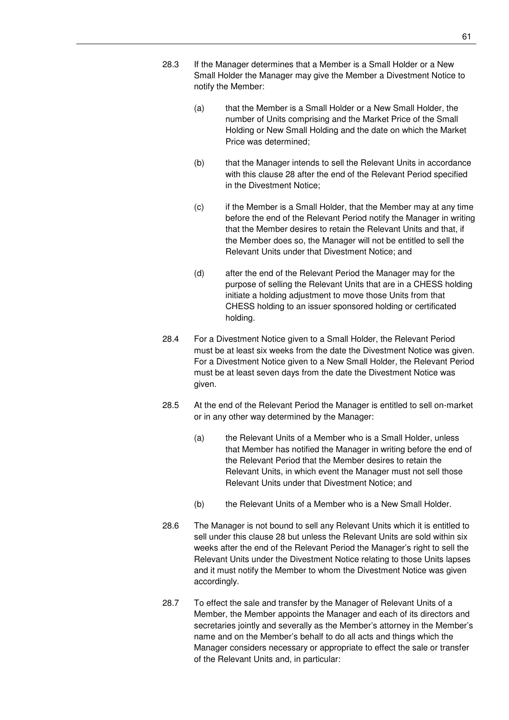- 28.3 If the Manager determines that a Member is a Small Holder or a New Small Holder the Manager may give the Member a Divestment Notice to notify the Member:
	- (a) that the Member is a Small Holder or a New Small Holder, the number of Units comprising and the Market Price of the Small Holding or New Small Holding and the date on which the Market Price was determined;
	- (b) that the Manager intends to sell the Relevant Units in accordance with this clause 28 after the end of the Relevant Period specified in the Divestment Notice;
	- (c) if the Member is a Small Holder, that the Member may at any time before the end of the Relevant Period notify the Manager in writing that the Member desires to retain the Relevant Units and that, if the Member does so, the Manager will not be entitled to sell the Relevant Units under that Divestment Notice; and
	- (d) after the end of the Relevant Period the Manager may for the purpose of selling the Relevant Units that are in a CHESS holding initiate a holding adjustment to move those Units from that CHESS holding to an issuer sponsored holding or certificated holding.
- 28.4 For a Divestment Notice given to a Small Holder, the Relevant Period must be at least six weeks from the date the Divestment Notice was given. For a Divestment Notice given to a New Small Holder, the Relevant Period must be at least seven days from the date the Divestment Notice was given.
- 28.5 At the end of the Relevant Period the Manager is entitled to sell on-market or in any other way determined by the Manager:
	- (a) the Relevant Units of a Member who is a Small Holder, unless that Member has notified the Manager in writing before the end of the Relevant Period that the Member desires to retain the Relevant Units, in which event the Manager must not sell those Relevant Units under that Divestment Notice; and
	- (b) the Relevant Units of a Member who is a New Small Holder.
- 28.6 The Manager is not bound to sell any Relevant Units which it is entitled to sell under this clause 28 but unless the Relevant Units are sold within six weeks after the end of the Relevant Period the Manager's right to sell the Relevant Units under the Divestment Notice relating to those Units lapses and it must notify the Member to whom the Divestment Notice was given accordingly.
- 28.7 To effect the sale and transfer by the Manager of Relevant Units of a Member, the Member appoints the Manager and each of its directors and secretaries jointly and severally as the Member's attorney in the Member's name and on the Member's behalf to do all acts and things which the Manager considers necessary or appropriate to effect the sale or transfer of the Relevant Units and, in particular: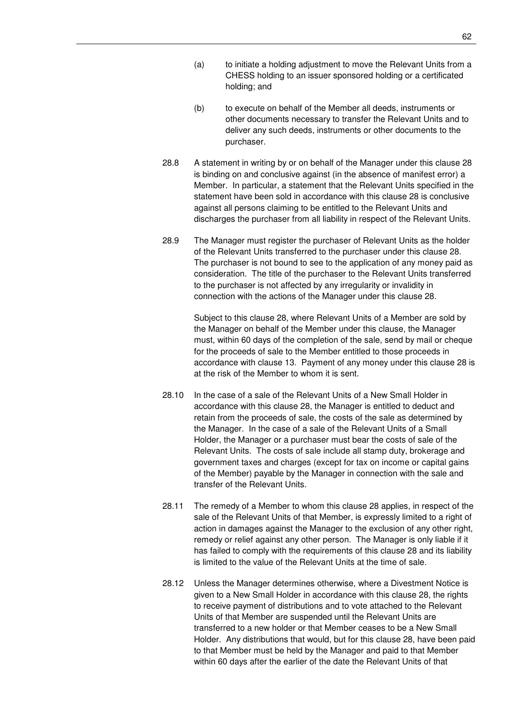- (b) to execute on behalf of the Member all deeds, instruments or other documents necessary to transfer the Relevant Units and to deliver any such deeds, instruments or other documents to the purchaser.
- 28.8 A statement in writing by or on behalf of the Manager under this clause 28 is binding on and conclusive against (in the absence of manifest error) a Member. In particular, a statement that the Relevant Units specified in the statement have been sold in accordance with this clause 28 is conclusive against all persons claiming to be entitled to the Relevant Units and discharges the purchaser from all liability in respect of the Relevant Units.
- 28.9 The Manager must register the purchaser of Relevant Units as the holder of the Relevant Units transferred to the purchaser under this clause 28. The purchaser is not bound to see to the application of any money paid as consideration. The title of the purchaser to the Relevant Units transferred to the purchaser is not affected by any irregularity or invalidity in connection with the actions of the Manager under this clause 28.

Subject to this clause 28, where Relevant Units of a Member are sold by the Manager on behalf of the Member under this clause, the Manager must, within 60 days of the completion of the sale, send by mail or cheque for the proceeds of sale to the Member entitled to those proceeds in accordance with clause 13. Payment of any money under this clause 28 is at the risk of the Member to whom it is sent.

- 28.10 In the case of a sale of the Relevant Units of a New Small Holder in accordance with this clause 28, the Manager is entitled to deduct and retain from the proceeds of sale, the costs of the sale as determined by the Manager. In the case of a sale of the Relevant Units of a Small Holder, the Manager or a purchaser must bear the costs of sale of the Relevant Units. The costs of sale include all stamp duty, brokerage and government taxes and charges (except for tax on income or capital gains of the Member) payable by the Manager in connection with the sale and transfer of the Relevant Units.
- 28.11 The remedy of a Member to whom this clause 28 applies, in respect of the sale of the Relevant Units of that Member, is expressly limited to a right of action in damages against the Manager to the exclusion of any other right, remedy or relief against any other person. The Manager is only liable if it has failed to comply with the requirements of this clause 28 and its liability is limited to the value of the Relevant Units at the time of sale.
- 28.12 Unless the Manager determines otherwise, where a Divestment Notice is given to a New Small Holder in accordance with this clause 28, the rights to receive payment of distributions and to vote attached to the Relevant Units of that Member are suspended until the Relevant Units are transferred to a new holder or that Member ceases to be a New Small Holder. Any distributions that would, but for this clause 28, have been paid to that Member must be held by the Manager and paid to that Member within 60 days after the earlier of the date the Relevant Units of that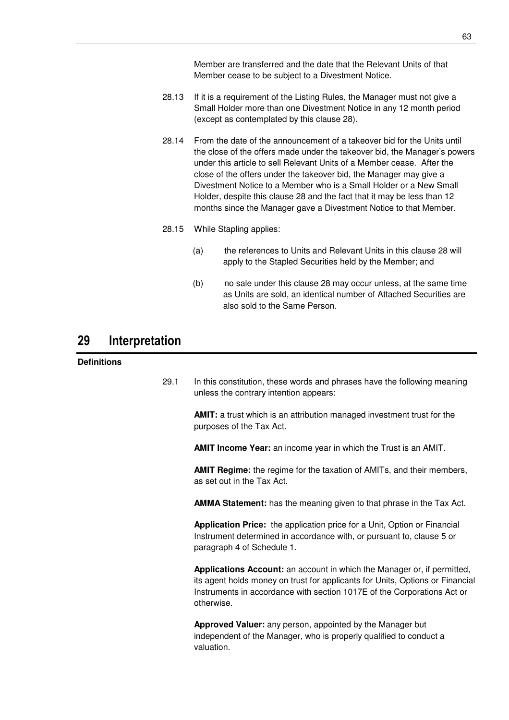Member are transferred and the date that the Relevant Units of that Member cease to be subject to a Divestment Notice.

- 28.13 If it is a requirement of the Listing Rules, the Manager must not give a Small Holder more than one Divestment Notice in any 12 month period (except as contemplated by this clause 28).
- 28.14 From the date of the announcement of a takeover bid for the Units until the close of the offers made under the takeover bid, the Manager's powers under this article to sell Relevant Units of a Member cease. After the close of the offers under the takeover bid, the Manager may give a Divestment Notice to a Member who is a Small Holder or a New Small Holder, despite this clause 28 and the fact that it may be less than 12 months since the Manager gave a Divestment Notice to that Member.
- 28.15 While Stapling applies:
	- (a) the references to Units and Relevant Units in this clause 28 will apply to the Stapled Securities held by the Member; and
	- (b) no sale under this clause 28 may occur unless, at the same time as Units are sold, an identical number of Attached Securities are also sold to the Same Person.

# **29 Interpretation**

# **Definitions**

29.1 In this constitution, these words and phrases have the following meaning unless the contrary intention appears:

> **AMIT:** a trust which is an attribution managed investment trust for the purposes of the Tax Act.

**AMIT Income Year:** an income year in which the Trust is an AMIT.

**AMIT Regime:** the regime for the taxation of AMITs, and their members, as set out in the Tax Act.

**AMMA Statement:** has the meaning given to that phrase in the Tax Act.

**Application Price:** the application price for a Unit, Option or Financial Instrument determined in accordance with, or pursuant to, clause 5 or paragraph 4 of Schedule 1.

**Applications Account:** an account in which the Manager or, if permitted, its agent holds money on trust for applicants for Units, Options or Financial Instruments in accordance with section 1017E of the Corporations Act or otherwise.

**Approved Valuer:** any person, appointed by the Manager but independent of the Manager, who is properly qualified to conduct a valuation.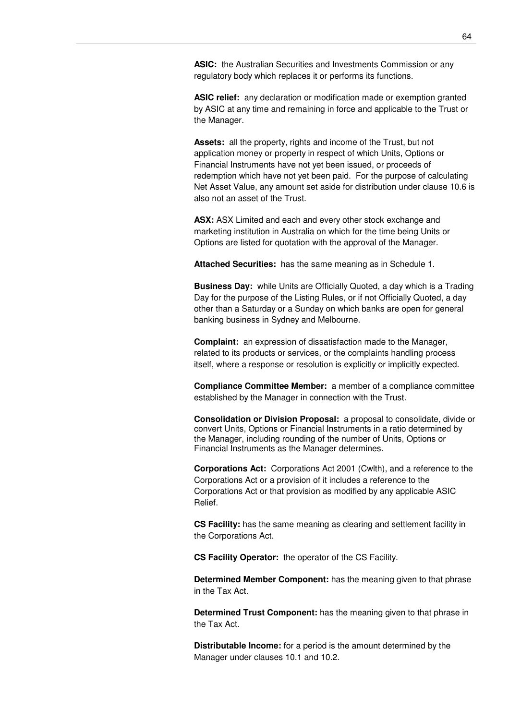**ASIC:** the Australian Securities and Investments Commission or any regulatory body which replaces it or performs its functions.

**ASIC relief:** any declaration or modification made or exemption granted by ASIC at any time and remaining in force and applicable to the Trust or the Manager.

**Assets:** all the property, rights and income of the Trust, but not application money or property in respect of which Units, Options or Financial Instruments have not yet been issued, or proceeds of redemption which have not yet been paid. For the purpose of calculating Net Asset Value, any amount set aside for distribution under clause 10.6 is also not an asset of the Trust.

**ASX:** ASX Limited and each and every other stock exchange and marketing institution in Australia on which for the time being Units or Options are listed for quotation with the approval of the Manager.

**Attached Securities:** has the same meaning as in Schedule 1.

**Business Day:** while Units are Officially Quoted, a day which is a Trading Day for the purpose of the Listing Rules, or if not Officially Quoted, a day other than a Saturday or a Sunday on which banks are open for general banking business in Sydney and Melbourne.

**Complaint:** an expression of dissatisfaction made to the Manager, related to its products or services, or the complaints handling process itself, where a response or resolution is explicitly or implicitly expected.

**Compliance Committee Member:** a member of a compliance committee established by the Manager in connection with the Trust.

**Consolidation or Division Proposal:** a proposal to consolidate, divide or convert Units, Options or Financial Instruments in a ratio determined by the Manager, including rounding of the number of Units, Options or Financial Instruments as the Manager determines.

**Corporations Act:** Corporations Act 2001 (Cwlth), and a reference to the Corporations Act or a provision of it includes a reference to the Corporations Act or that provision as modified by any applicable ASIC Relief.

**CS Facility:** has the same meaning as clearing and settlement facility in the Corporations Act.

**CS Facility Operator:** the operator of the CS Facility.

**Determined Member Component:** has the meaning given to that phrase in the Tax Act.

**Determined Trust Component:** has the meaning given to that phrase in the Tax Act.

**Distributable Income:** for a period is the amount determined by the Manager under clauses 10.1 and 10.2.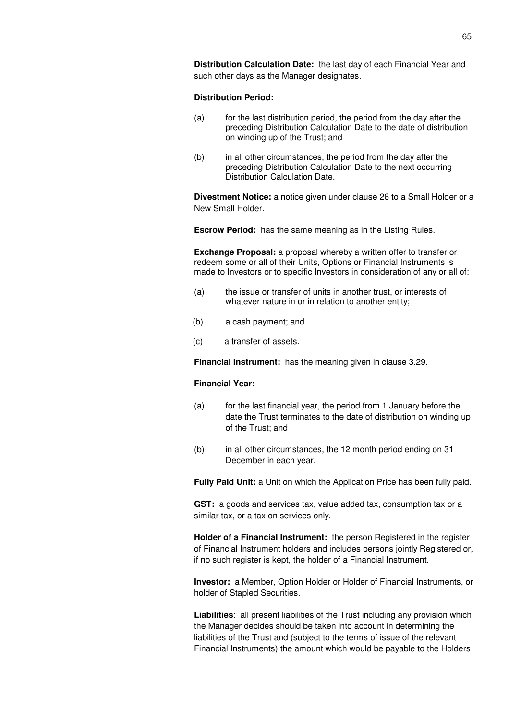**Distribution Calculation Date:** the last day of each Financial Year and such other days as the Manager designates.

#### **Distribution Period:**

- (a) for the last distribution period, the period from the day after the preceding Distribution Calculation Date to the date of distribution on winding up of the Trust; and
- (b) in all other circumstances, the period from the day after the preceding Distribution Calculation Date to the next occurring Distribution Calculation Date.

**Divestment Notice:** a notice given under clause 26 to a Small Holder or a New Small Holder.

**Escrow Period:** has the same meaning as in the Listing Rules.

**Exchange Proposal:** a proposal whereby a written offer to transfer or redeem some or all of their Units, Options or Financial Instruments is made to Investors or to specific Investors in consideration of any or all of:

- (a) the issue or transfer of units in another trust, or interests of whatever nature in or in relation to another entity;
- (b) a cash payment; and
- (c) a transfer of assets.

**Financial Instrument:** has the meaning given in clause 3.29.

#### **Financial Year:**

- (a) for the last financial year, the period from 1 January before the date the Trust terminates to the date of distribution on winding up of the Trust; and
- (b) in all other circumstances, the 12 month period ending on 31 December in each year.

**Fully Paid Unit:** a Unit on which the Application Price has been fully paid.

**GST:** a goods and services tax, value added tax, consumption tax or a similar tax, or a tax on services only.

**Holder of a Financial Instrument:** the person Registered in the register of Financial Instrument holders and includes persons jointly Registered or, if no such register is kept, the holder of a Financial Instrument.

**Investor:** a Member, Option Holder or Holder of Financial Instruments, or holder of Stapled Securities.

**Liabilities**: all present liabilities of the Trust including any provision which the Manager decides should be taken into account in determining the liabilities of the Trust and (subject to the terms of issue of the relevant Financial Instruments) the amount which would be payable to the Holders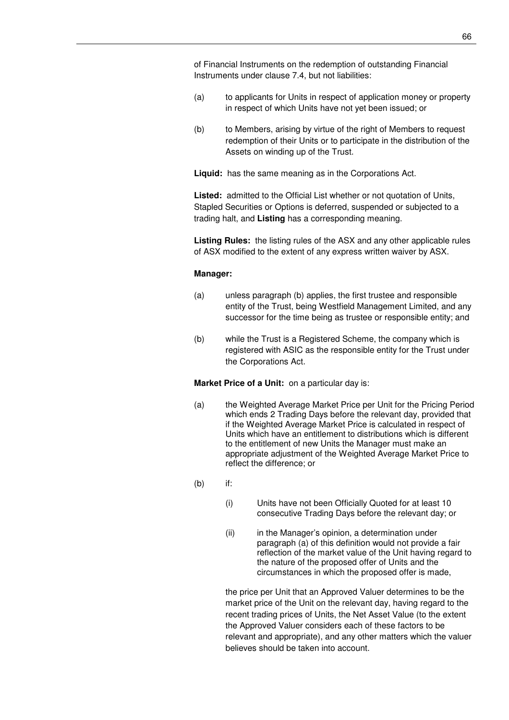of Financial Instruments on the redemption of outstanding Financial Instruments under clause 7.4, but not liabilities:

- (a) to applicants for Units in respect of application money or property in respect of which Units have not yet been issued; or
- (b) to Members, arising by virtue of the right of Members to request redemption of their Units or to participate in the distribution of the Assets on winding up of the Trust.

**Liquid:** has the same meaning as in the Corporations Act.

**Listed:** admitted to the Official List whether or not quotation of Units, Stapled Securities or Options is deferred, suspended or subjected to a trading halt, and **Listing** has a corresponding meaning.

**Listing Rules:** the listing rules of the ASX and any other applicable rules of ASX modified to the extent of any express written waiver by ASX.

#### **Manager:**

- (a) unless paragraph (b) applies, the first trustee and responsible entity of the Trust, being Westfield Management Limited, and any successor for the time being as trustee or responsible entity; and
- (b) while the Trust is a Registered Scheme, the company which is registered with ASIC as the responsible entity for the Trust under the Corporations Act.

**Market Price of a Unit:** on a particular day is:

- (a) the Weighted Average Market Price per Unit for the Pricing Period which ends 2 Trading Days before the relevant day, provided that if the Weighted Average Market Price is calculated in respect of Units which have an entitlement to distributions which is different to the entitlement of new Units the Manager must make an appropriate adjustment of the Weighted Average Market Price to reflect the difference; or
- (b) if:
	- (i) Units have not been Officially Quoted for at least 10 consecutive Trading Days before the relevant day; or
	- (ii) in the Manager's opinion, a determination under paragraph (a) of this definition would not provide a fair reflection of the market value of the Unit having regard to the nature of the proposed offer of Units and the circumstances in which the proposed offer is made,

the price per Unit that an Approved Valuer determines to be the market price of the Unit on the relevant day, having regard to the recent trading prices of Units, the Net Asset Value (to the extent the Approved Valuer considers each of these factors to be relevant and appropriate), and any other matters which the valuer believes should be taken into account.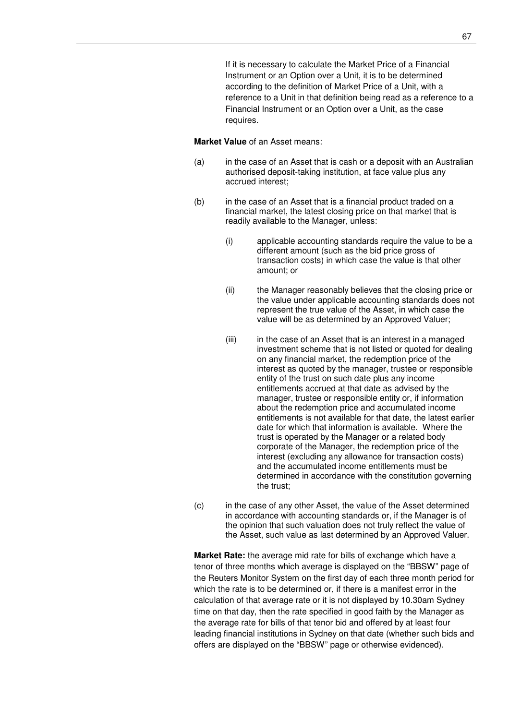If it is necessary to calculate the Market Price of a Financial Instrument or an Option over a Unit, it is to be determined according to the definition of Market Price of a Unit, with a reference to a Unit in that definition being read as a reference to a Financial Instrument or an Option over a Unit, as the case requires.

#### **Market Value** of an Asset means:

- (a) in the case of an Asset that is cash or a deposit with an Australian authorised deposit-taking institution, at face value plus any accrued interest;
- (b) in the case of an Asset that is a financial product traded on a financial market, the latest closing price on that market that is readily available to the Manager, unless:
	- (i) applicable accounting standards require the value to be a different amount (such as the bid price gross of transaction costs) in which case the value is that other amount; or
	- (ii) the Manager reasonably believes that the closing price or the value under applicable accounting standards does not represent the true value of the Asset, in which case the value will be as determined by an Approved Valuer;
	- (iii) in the case of an Asset that is an interest in a managed investment scheme that is not listed or quoted for dealing on any financial market, the redemption price of the interest as quoted by the manager, trustee or responsible entity of the trust on such date plus any income entitlements accrued at that date as advised by the manager, trustee or responsible entity or, if information about the redemption price and accumulated income entitlements is not available for that date, the latest earlier date for which that information is available. Where the trust is operated by the Manager or a related body corporate of the Manager, the redemption price of the interest (excluding any allowance for transaction costs) and the accumulated income entitlements must be determined in accordance with the constitution governing the trust;
- (c) in the case of any other Asset, the value of the Asset determined in accordance with accounting standards or, if the Manager is of the opinion that such valuation does not truly reflect the value of the Asset, such value as last determined by an Approved Valuer.

**Market Rate:** the average mid rate for bills of exchange which have a tenor of three months which average is displayed on the "BBSW" page of the Reuters Monitor System on the first day of each three month period for which the rate is to be determined or, if there is a manifest error in the calculation of that average rate or it is not displayed by 10.30am Sydney time on that day, then the rate specified in good faith by the Manager as the average rate for bills of that tenor bid and offered by at least four leading financial institutions in Sydney on that date (whether such bids and offers are displayed on the "BBSW" page or otherwise evidenced).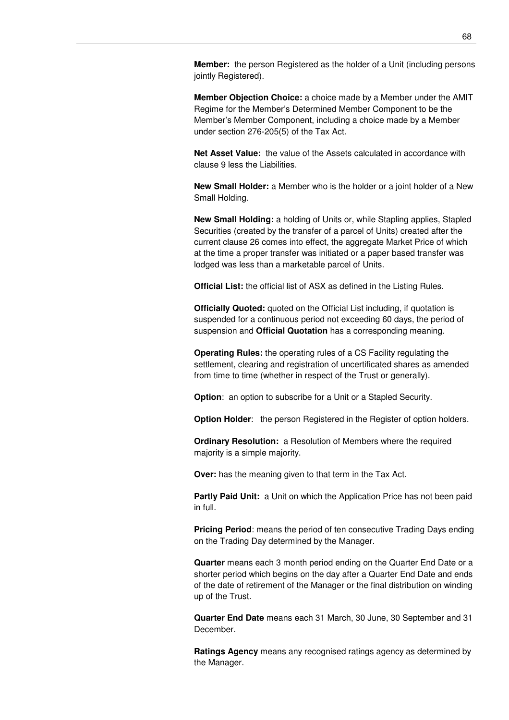**Member:** the person Registered as the holder of a Unit (including persons jointly Registered).

**Member Objection Choice:** a choice made by a Member under the AMIT Regime for the Member's Determined Member Component to be the Member's Member Component, including a choice made by a Member under section 276-205(5) of the Tax Act.

**Net Asset Value:** the value of the Assets calculated in accordance with clause 9 less the Liabilities.

**New Small Holder:** a Member who is the holder or a joint holder of a New Small Holding.

**New Small Holding:** a holding of Units or, while Stapling applies, Stapled Securities (created by the transfer of a parcel of Units) created after the current clause 26 comes into effect, the aggregate Market Price of which at the time a proper transfer was initiated or a paper based transfer was lodged was less than a marketable parcel of Units.

**Official List:** the official list of ASX as defined in the Listing Rules.

**Officially Quoted:** quoted on the Official List including, if quotation is suspended for a continuous period not exceeding 60 days, the period of suspension and **Official Quotation** has a corresponding meaning.

**Operating Rules:** the operating rules of a CS Facility regulating the settlement, clearing and registration of uncertificated shares as amended from time to time (whether in respect of the Trust or generally).

**Option:** an option to subscribe for a Unit or a Stapled Security.

**Option Holder:** the person Registered in the Register of option holders.

**Ordinary Resolution:** a Resolution of Members where the required majority is a simple majority.

**Over:** has the meaning given to that term in the Tax Act.

**Partly Paid Unit:** a Unit on which the Application Price has not been paid in full.

**Pricing Period**: means the period of ten consecutive Trading Days ending on the Trading Day determined by the Manager.

**Quarter** means each 3 month period ending on the Quarter End Date or a shorter period which begins on the day after a Quarter End Date and ends of the date of retirement of the Manager or the final distribution on winding up of the Trust.

**Quarter End Date** means each 31 March, 30 June, 30 September and 31 December.

**Ratings Agency** means any recognised ratings agency as determined by the Manager.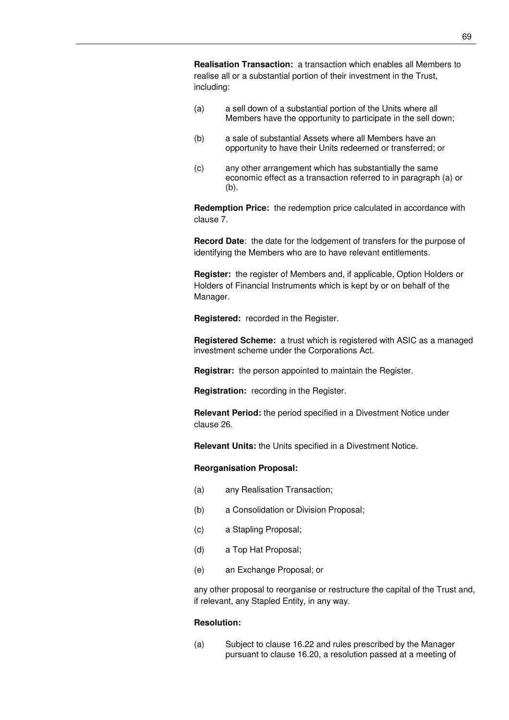**Realisation Transaction:** a transaction which enables all Members to realise all or a substantial portion of their investment in the Trust, including:

- (a) a sell down of a substantial portion of the Units where all Members have the opportunity to participate in the sell down;
- (b) a sale of substantial Assets where all Members have an opportunity to have their Units redeemed or transferred; or
- (c) any other arrangement which has substantially the same economic effect as a transaction referred to in paragraph (a) or (b).

**Redemption Price:** the redemption price calculated in accordance with clause 7.

**Record Date**: the date for the lodgement of transfers for the purpose of identifying the Members who are to have relevant entitlements.

**Register:** the register of Members and, if applicable, Option Holders or Holders of Financial Instruments which is kept by or on behalf of the Manager.

**Registered:** recorded in the Register.

**Registered Scheme:** a trust which is registered with ASIC as a managed investment scheme under the Corporations Act.

**Registrar:** the person appointed to maintain the Register.

**Registration:** recording in the Register.

**Relevant Period:** the period specified in a Divestment Notice under clause 26.

**Relevant Units:** the Units specified in a Divestment Notice.

#### **Reorganisation Proposal:**

- (a) any Realisation Transaction;
- (b) a Consolidation or Division Proposal;
- (c) a Stapling Proposal;
- (d) a Top Hat Proposal;
- (e) an Exchange Proposal; or

any other proposal to reorganise or restructure the capital of the Trust and, if relevant, any Stapled Entity, in any way.

#### **Resolution:**

(a) Subject to clause 16.22 and rules prescribed by the Manager pursuant to clause 16.20, a resolution passed at a meeting of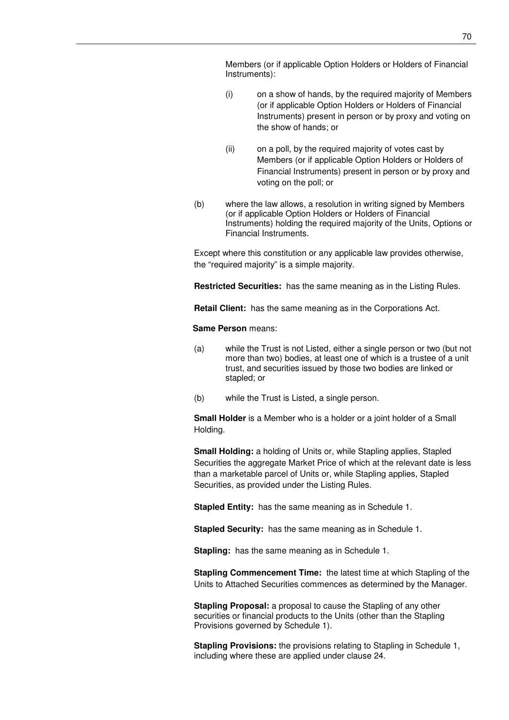Members (or if applicable Option Holders or Holders of Financial Instruments):

- (i) on a show of hands, by the required majority of Members (or if applicable Option Holders or Holders of Financial Instruments) present in person or by proxy and voting on the show of hands; or
- (ii) on a poll, by the required majority of votes cast by Members (or if applicable Option Holders or Holders of Financial Instruments) present in person or by proxy and voting on the poll; or
- (b) where the law allows, a resolution in writing signed by Members (or if applicable Option Holders or Holders of Financial Instruments) holding the required majority of the Units, Options or Financial Instruments.

Except where this constitution or any applicable law provides otherwise, the "required majority" is a simple majority.

**Restricted Securities:** has the same meaning as in the Listing Rules.

**Retail Client:** has the same meaning as in the Corporations Act.

### **Same Person** means:

- (a) while the Trust is not Listed, either a single person or two (but not more than two) bodies, at least one of which is a trustee of a unit trust, and securities issued by those two bodies are linked or stapled; or
- (b) while the Trust is Listed, a single person.

**Small Holder** is a Member who is a holder or a joint holder of a Small Holding.

**Small Holding:** a holding of Units or, while Stapling applies, Stapled Securities the aggregate Market Price of which at the relevant date is less than a marketable parcel of Units or, while Stapling applies, Stapled Securities, as provided under the Listing Rules.

**Stapled Entity:** has the same meaning as in Schedule 1.

**Stapled Security:** has the same meaning as in Schedule 1.

**Stapling:** has the same meaning as in Schedule 1.

**Stapling Commencement Time:** the latest time at which Stapling of the Units to Attached Securities commences as determined by the Manager.

**Stapling Proposal:** a proposal to cause the Stapling of any other securities or financial products to the Units (other than the Stapling Provisions governed by Schedule 1).

**Stapling Provisions:** the provisions relating to Stapling in Schedule 1, including where these are applied under clause 24.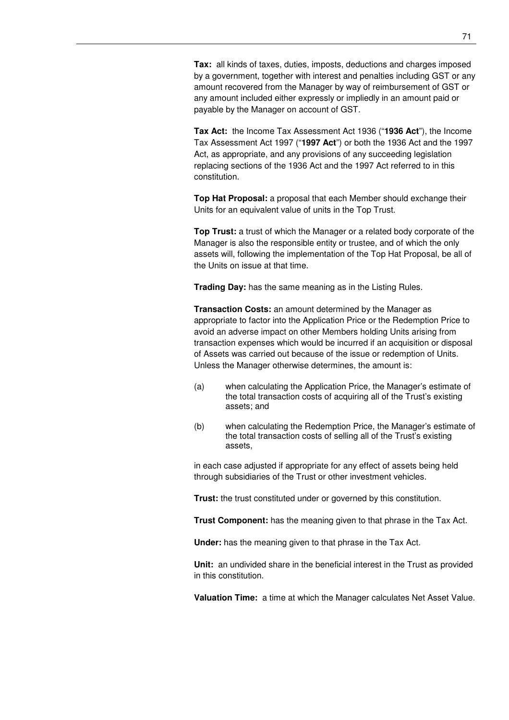**Tax:** all kinds of taxes, duties, imposts, deductions and charges imposed by a government, together with interest and penalties including GST or any amount recovered from the Manager by way of reimbursement of GST or any amount included either expressly or impliedly in an amount paid or payable by the Manager on account of GST.

**Tax Act:** the Income Tax Assessment Act 1936 ("**1936 Act**"), the Income Tax Assessment Act 1997 ("**1997 Act**") or both the 1936 Act and the 1997 Act, as appropriate, and any provisions of any succeeding legislation replacing sections of the 1936 Act and the 1997 Act referred to in this constitution.

**Top Hat Proposal:** a proposal that each Member should exchange their Units for an equivalent value of units in the Top Trust.

**Top Trust:** a trust of which the Manager or a related body corporate of the Manager is also the responsible entity or trustee, and of which the only assets will, following the implementation of the Top Hat Proposal, be all of the Units on issue at that time.

**Trading Day:** has the same meaning as in the Listing Rules.

**Transaction Costs:** an amount determined by the Manager as appropriate to factor into the Application Price or the Redemption Price to avoid an adverse impact on other Members holding Units arising from transaction expenses which would be incurred if an acquisition or disposal of Assets was carried out because of the issue or redemption of Units. Unless the Manager otherwise determines, the amount is:

- (a) when calculating the Application Price, the Manager's estimate of the total transaction costs of acquiring all of the Trust's existing assets; and
- (b) when calculating the Redemption Price, the Manager's estimate of the total transaction costs of selling all of the Trust's existing assets,

in each case adjusted if appropriate for any effect of assets being held through subsidiaries of the Trust or other investment vehicles.

**Trust:** the trust constituted under or governed by this constitution.

**Trust Component:** has the meaning given to that phrase in the Tax Act.

**Under:** has the meaning given to that phrase in the Tax Act.

**Unit:** an undivided share in the beneficial interest in the Trust as provided in this constitution.

**Valuation Time:** a time at which the Manager calculates Net Asset Value.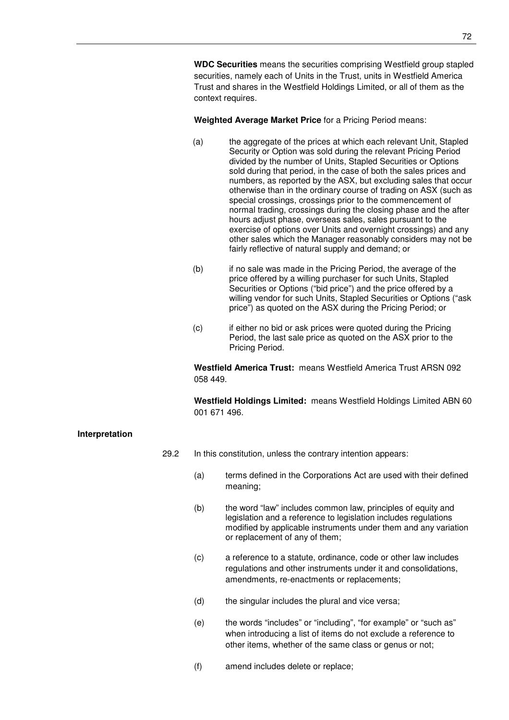**WDC Securities** means the securities comprising Westfield group stapled securities, namely each of Units in the Trust, units in Westfield America Trust and shares in the Westfield Holdings Limited, or all of them as the context requires.

**Weighted Average Market Price** for a Pricing Period means:

- (a) the aggregate of the prices at which each relevant Unit, Stapled Security or Option was sold during the relevant Pricing Period divided by the number of Units, Stapled Securities or Options sold during that period, in the case of both the sales prices and numbers, as reported by the ASX, but excluding sales that occur otherwise than in the ordinary course of trading on ASX (such as special crossings, crossings prior to the commencement of normal trading, crossings during the closing phase and the after hours adjust phase, overseas sales, sales pursuant to the exercise of options over Units and overnight crossings) and any other sales which the Manager reasonably considers may not be fairly reflective of natural supply and demand; or
- (b) if no sale was made in the Pricing Period, the average of the price offered by a willing purchaser for such Units, Stapled Securities or Options ("bid price") and the price offered by a willing vendor for such Units, Stapled Securities or Options ("ask price") as quoted on the ASX during the Pricing Period; or
- (c) if either no bid or ask prices were quoted during the Pricing Period, the last sale price as quoted on the ASX prior to the Pricing Period.

**Westfield America Trust:** means Westfield America Trust ARSN 092 058 449.

**Westfield Holdings Limited:** means Westfield Holdings Limited ABN 60 001 671 496.

# **Interpretation**

- 29.2 In this constitution, unless the contrary intention appears:
	- (a) terms defined in the Corporations Act are used with their defined meaning;
	- (b) the word "law" includes common law, principles of equity and legislation and a reference to legislation includes regulations modified by applicable instruments under them and any variation or replacement of any of them;
	- (c) a reference to a statute, ordinance, code or other law includes regulations and other instruments under it and consolidations, amendments, re-enactments or replacements;
	- (d) the singular includes the plural and vice versa;
	- (e) the words "includes" or "including", "for example" or "such as" when introducing a list of items do not exclude a reference to other items, whether of the same class or genus or not;
	- (f) amend includes delete or replace;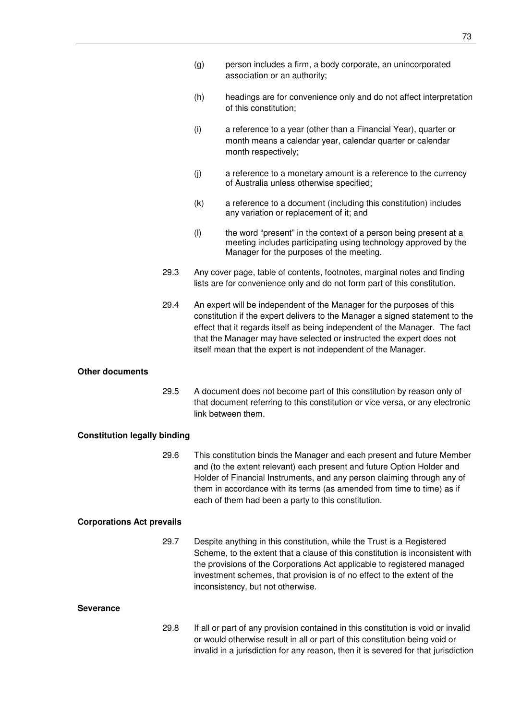- (g) person includes a firm, a body corporate, an unincorporated association or an authority;
- (h) headings are for convenience only and do not affect interpretation of this constitution;
- (i) a reference to a year (other than a Financial Year), quarter or month means a calendar year, calendar quarter or calendar month respectively;
- (j) a reference to a monetary amount is a reference to the currency of Australia unless otherwise specified;
- (k) a reference to a document (including this constitution) includes any variation or replacement of it; and
- (l) the word "present" in the context of a person being present at a meeting includes participating using technology approved by the Manager for the purposes of the meeting.
- 29.3 Any cover page, table of contents, footnotes, marginal notes and finding lists are for convenience only and do not form part of this constitution.
- 29.4 An expert will be independent of the Manager for the purposes of this constitution if the expert delivers to the Manager a signed statement to the effect that it regards itself as being independent of the Manager. The fact that the Manager may have selected or instructed the expert does not itself mean that the expert is not independent of the Manager.

## **Other documents**

29.5 A document does not become part of this constitution by reason only of that document referring to this constitution or vice versa, or any electronic link between them.

## **Constitution legally binding**

29.6 This constitution binds the Manager and each present and future Member and (to the extent relevant) each present and future Option Holder and Holder of Financial Instruments, and any person claiming through any of them in accordance with its terms (as amended from time to time) as if each of them had been a party to this constitution.

#### **Corporations Act prevails**

29.7 Despite anything in this constitution, while the Trust is a Registered Scheme, to the extent that a clause of this constitution is inconsistent with the provisions of the Corporations Act applicable to registered managed investment schemes, that provision is of no effect to the extent of the inconsistency, but not otherwise.

#### **Severance**

29.8 If all or part of any provision contained in this constitution is void or invalid or would otherwise result in all or part of this constitution being void or invalid in a jurisdiction for any reason, then it is severed for that jurisdiction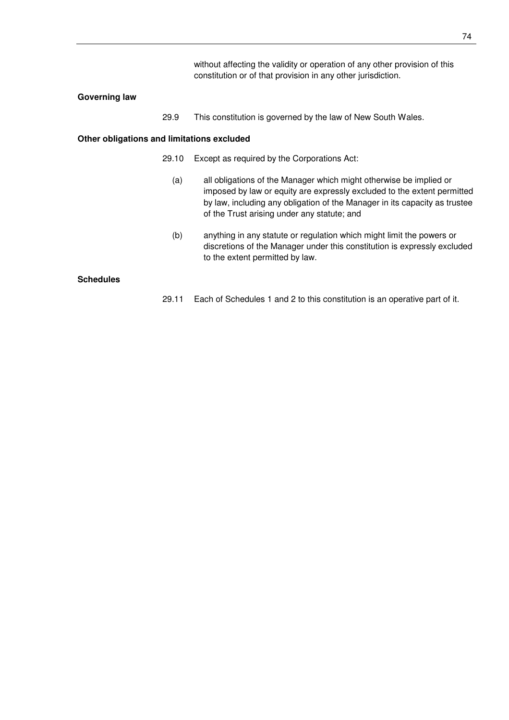without affecting the validity or operation of any other provision of this constitution or of that provision in any other jurisdiction.

#### **Governing law**

29.9 This constitution is governed by the law of New South Wales.

#### **Other obligations and limitations excluded**

- 29.10 Except as required by the Corporations Act:
	- (a) all obligations of the Manager which might otherwise be implied or imposed by law or equity are expressly excluded to the extent permitted by law, including any obligation of the Manager in its capacity as trustee of the Trust arising under any statute; and
	- (b) anything in any statute or regulation which might limit the powers or discretions of the Manager under this constitution is expressly excluded to the extent permitted by law.

## **Schedules**

29.11 Each of Schedules 1 and 2 to this constitution is an operative part of it.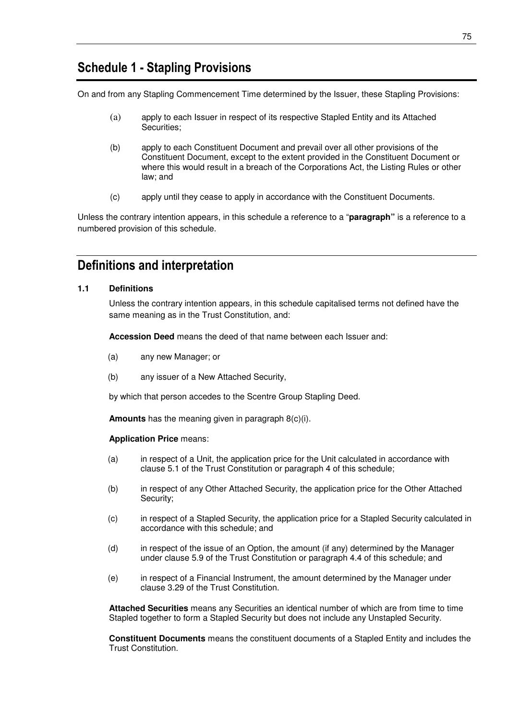## **Schedule 1 - Stapling Provisions**

On and from any Stapling Commencement Time determined by the Issuer, these Stapling Provisions:

- (a) apply to each Issuer in respect of its respective Stapled Entity and its Attached Securities;
- (b) apply to each Constituent Document and prevail over all other provisions of the Constituent Document, except to the extent provided in the Constituent Document or where this would result in a breach of the Corporations Act, the Listing Rules or other law; and
- (c) apply until they cease to apply in accordance with the Constituent Documents.

Unless the contrary intention appears, in this schedule a reference to a "**paragraph"** is a reference to a numbered provision of this schedule.

## **Definitions and interpretation**

## **1.1 Definitions**

Unless the contrary intention appears, in this schedule capitalised terms not defined have the same meaning as in the Trust Constitution, and:

**Accession Deed** means the deed of that name between each Issuer and:

- (a) any new Manager; or
- (b) any issuer of a New Attached Security,

by which that person accedes to the Scentre Group Stapling Deed.

**Amounts** has the meaning given in paragraph 8(c)(i).

#### **Application Price** means:

- (a) in respect of a Unit, the application price for the Unit calculated in accordance with clause 5.1 of the Trust Constitution or paragraph 4 of this schedule;
- (b) in respect of any Other Attached Security, the application price for the Other Attached Security;
- (c) in respect of a Stapled Security, the application price for a Stapled Security calculated in accordance with this schedule; and
- (d) in respect of the issue of an Option, the amount (if any) determined by the Manager under clause 5.9 of the Trust Constitution or paragraph 4.4 of this schedule; and
- (e) in respect of a Financial Instrument, the amount determined by the Manager under clause 3.29 of the Trust Constitution.

**Attached Securities** means any Securities an identical number of which are from time to time Stapled together to form a Stapled Security but does not include any Unstapled Security.

**Constituent Documents** means the constituent documents of a Stapled Entity and includes the Trust Constitution.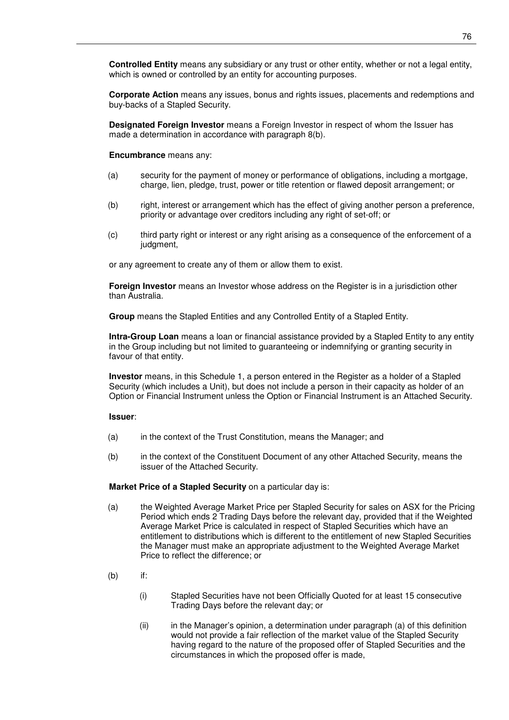**Corporate Action** means any issues, bonus and rights issues, placements and redemptions and buy-backs of a Stapled Security.

**Designated Foreign Investor** means a Foreign Investor in respect of whom the Issuer has made a determination in accordance with paragraph 8(b).

**Encumbrance** means any:

- (a) security for the payment of money or performance of obligations, including a mortgage, charge, lien, pledge, trust, power or title retention or flawed deposit arrangement; or
- (b) right, interest or arrangement which has the effect of giving another person a preference, priority or advantage over creditors including any right of set-off; or
- (c) third party right or interest or any right arising as a consequence of the enforcement of a judgment,

or any agreement to create any of them or allow them to exist.

**Foreign Investor** means an Investor whose address on the Register is in a jurisdiction other than Australia.

**Group** means the Stapled Entities and any Controlled Entity of a Stapled Entity.

**Intra-Group Loan** means a loan or financial assistance provided by a Stapled Entity to any entity in the Group including but not limited to guaranteeing or indemnifying or granting security in favour of that entity.

**Investor** means, in this Schedule 1, a person entered in the Register as a holder of a Stapled Security (which includes a Unit), but does not include a person in their capacity as holder of an Option or Financial Instrument unless the Option or Financial Instrument is an Attached Security.

#### **Issuer**:

- (a) in the context of the Trust Constitution, means the Manager; and
- (b) in the context of the Constituent Document of any other Attached Security, means the issuer of the Attached Security.

**Market Price of a Stapled Security** on a particular day is:

- (a) the Weighted Average Market Price per Stapled Security for sales on ASX for the Pricing Period which ends 2 Trading Days before the relevant day, provided that if the Weighted Average Market Price is calculated in respect of Stapled Securities which have an entitlement to distributions which is different to the entitlement of new Stapled Securities the Manager must make an appropriate adjustment to the Weighted Average Market Price to reflect the difference; or
- (b) if:
	- (i) Stapled Securities have not been Officially Quoted for at least 15 consecutive Trading Days before the relevant day; or
	- (ii) in the Manager's opinion, a determination under paragraph (a) of this definition would not provide a fair reflection of the market value of the Stapled Security having regard to the nature of the proposed offer of Stapled Securities and the circumstances in which the proposed offer is made,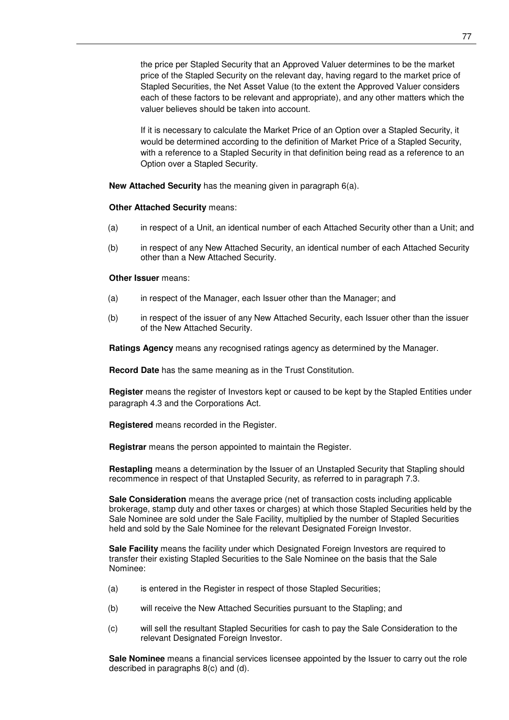the price per Stapled Security that an Approved Valuer determines to be the market price of the Stapled Security on the relevant day, having regard to the market price of Stapled Securities, the Net Asset Value (to the extent the Approved Valuer considers each of these factors to be relevant and appropriate), and any other matters which the valuer believes should be taken into account.

If it is necessary to calculate the Market Price of an Option over a Stapled Security, it would be determined according to the definition of Market Price of a Stapled Security, with a reference to a Stapled Security in that definition being read as a reference to an Option over a Stapled Security.

**New Attached Security** has the meaning given in paragraph 6(a).

#### **Other Attached Security** means:

- (a) in respect of a Unit, an identical number of each Attached Security other than a Unit; and
- (b) in respect of any New Attached Security, an identical number of each Attached Security other than a New Attached Security.

#### **Other Issuer** means:

- (a) in respect of the Manager, each Issuer other than the Manager; and
- (b) in respect of the issuer of any New Attached Security, each Issuer other than the issuer of the New Attached Security.

**Ratings Agency** means any recognised ratings agency as determined by the Manager.

**Record Date** has the same meaning as in the Trust Constitution.

**Register** means the register of Investors kept or caused to be kept by the Stapled Entities under paragraph 4.3 and the Corporations Act.

**Registered** means recorded in the Register.

**Registrar** means the person appointed to maintain the Register.

**Restapling** means a determination by the Issuer of an Unstapled Security that Stapling should recommence in respect of that Unstapled Security, as referred to in paragraph 7.3.

**Sale Consideration** means the average price (net of transaction costs including applicable brokerage, stamp duty and other taxes or charges) at which those Stapled Securities held by the Sale Nominee are sold under the Sale Facility, multiplied by the number of Stapled Securities held and sold by the Sale Nominee for the relevant Designated Foreign Investor.

**Sale Facility** means the facility under which Designated Foreign Investors are required to transfer their existing Stapled Securities to the Sale Nominee on the basis that the Sale Nominee:

- (a) is entered in the Register in respect of those Stapled Securities;
- (b) will receive the New Attached Securities pursuant to the Stapling; and
- (c) will sell the resultant Stapled Securities for cash to pay the Sale Consideration to the relevant Designated Foreign Investor.

**Sale Nominee** means a financial services licensee appointed by the Issuer to carry out the role described in paragraphs 8(c) and (d).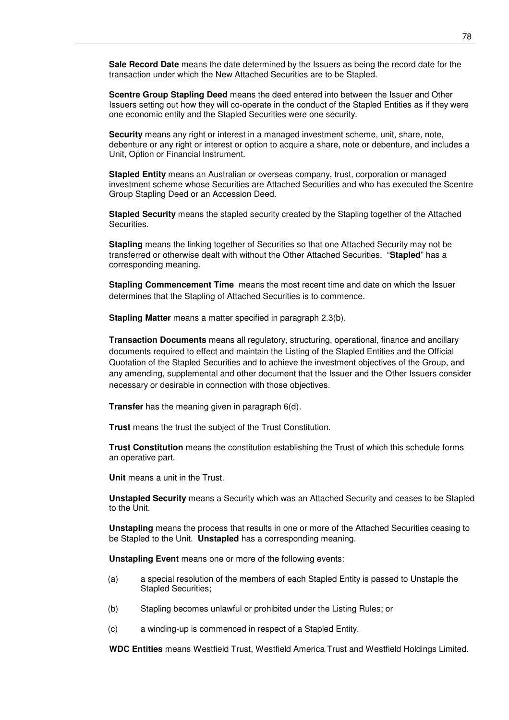**Sale Record Date** means the date determined by the Issuers as being the record date for the transaction under which the New Attached Securities are to be Stapled.

**Scentre Group Stapling Deed** means the deed entered into between the Issuer and Other Issuers setting out how they will co-operate in the conduct of the Stapled Entities as if they were one economic entity and the Stapled Securities were one security.

**Security** means any right or interest in a managed investment scheme, unit, share, note, debenture or any right or interest or option to acquire a share, note or debenture, and includes a Unit, Option or Financial Instrument.

**Stapled Entity** means an Australian or overseas company, trust, corporation or managed investment scheme whose Securities are Attached Securities and who has executed the Scentre Group Stapling Deed or an Accession Deed.

**Stapled Security** means the stapled security created by the Stapling together of the Attached Securities.

**Stapling** means the linking together of Securities so that one Attached Security may not be transferred or otherwise dealt with without the Other Attached Securities. "**Stapled**" has a corresponding meaning.

**Stapling Commencement Time** means the most recent time and date on which the Issuer determines that the Stapling of Attached Securities is to commence.

**Stapling Matter** means a matter specified in paragraph 2.3(b).

**Transaction Documents** means all regulatory, structuring, operational, finance and ancillary documents required to effect and maintain the Listing of the Stapled Entities and the Official Quotation of the Stapled Securities and to achieve the investment objectives of the Group, and any amending, supplemental and other document that the Issuer and the Other Issuers consider necessary or desirable in connection with those objectives.

**Transfer** has the meaning given in paragraph 6(d).

**Trust** means the trust the subject of the Trust Constitution.

**Trust Constitution** means the constitution establishing the Trust of which this schedule forms an operative part.

**Unit** means a unit in the Trust.

**Unstapled Security** means a Security which was an Attached Security and ceases to be Stapled to the Unit.

**Unstapling** means the process that results in one or more of the Attached Securities ceasing to be Stapled to the Unit. **Unstapled** has a corresponding meaning.

**Unstapling Event** means one or more of the following events:

- (a) a special resolution of the members of each Stapled Entity is passed to Unstaple the Stapled Securities;
- (b) Stapling becomes unlawful or prohibited under the Listing Rules; or
- (c) a winding-up is commenced in respect of a Stapled Entity.

**WDC Entities** means Westfield Trust, Westfield America Trust and Westfield Holdings Limited.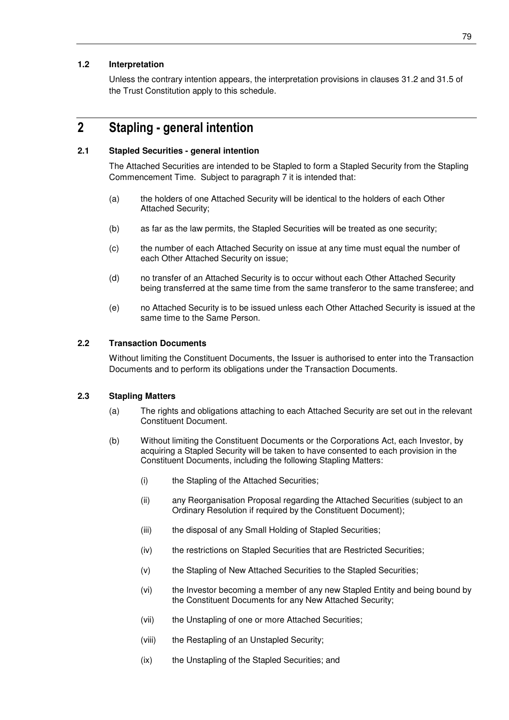## **1.2 Interpretation**

Unless the contrary intention appears, the interpretation provisions in clauses 31.2 and 31.5 of the Trust Constitution apply to this schedule.

## **2 Stapling - general intention**

### **2.1 Stapled Securities - general intention**

The Attached Securities are intended to be Stapled to form a Stapled Security from the Stapling Commencement Time. Subject to paragraph 7 it is intended that:

- (a) the holders of one Attached Security will be identical to the holders of each Other Attached Security;
- (b) as far as the law permits, the Stapled Securities will be treated as one security;
- (c) the number of each Attached Security on issue at any time must equal the number of each Other Attached Security on issue;
- (d) no transfer of an Attached Security is to occur without each Other Attached Security being transferred at the same time from the same transferor to the same transferee; and
- (e) no Attached Security is to be issued unless each Other Attached Security is issued at the same time to the Same Person.

#### **2.2 Transaction Documents**

Without limiting the Constituent Documents, the Issuer is authorised to enter into the Transaction Documents and to perform its obligations under the Transaction Documents.

## **2.3 Stapling Matters**

- (a) The rights and obligations attaching to each Attached Security are set out in the relevant Constituent Document.
- (b) Without limiting the Constituent Documents or the Corporations Act, each Investor, by acquiring a Stapled Security will be taken to have consented to each provision in the Constituent Documents, including the following Stapling Matters:
	- (i) the Stapling of the Attached Securities;
	- (ii) any Reorganisation Proposal regarding the Attached Securities (subject to an Ordinary Resolution if required by the Constituent Document);
	- (iii) the disposal of any Small Holding of Stapled Securities;
	- (iv) the restrictions on Stapled Securities that are Restricted Securities;
	- (v) the Stapling of New Attached Securities to the Stapled Securities;
	- (vi) the Investor becoming a member of any new Stapled Entity and being bound by the Constituent Documents for any New Attached Security;
	- (vii) the Unstapling of one or more Attached Securities;
	- (viii) the Restapling of an Unstapled Security;
	- (ix) the Unstapling of the Stapled Securities; and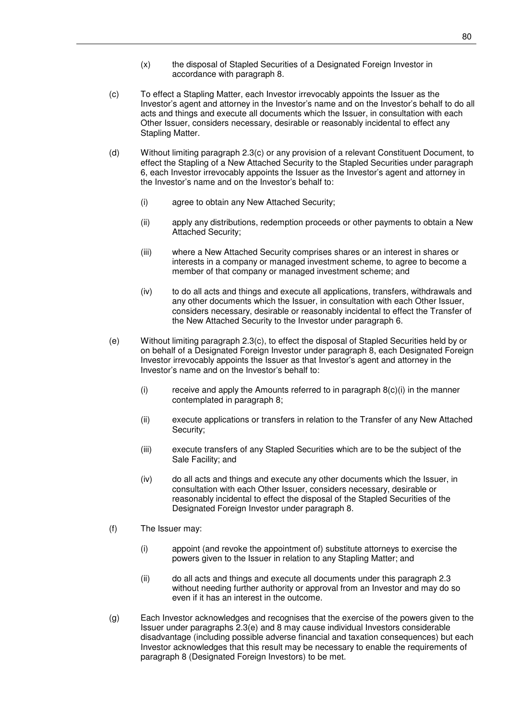- (x) the disposal of Stapled Securities of a Designated Foreign Investor in accordance with paragraph 8.
- (c) To effect a Stapling Matter, each Investor irrevocably appoints the Issuer as the Investor's agent and attorney in the Investor's name and on the Investor's behalf to do all acts and things and execute all documents which the Issuer, in consultation with each Other Issuer, considers necessary, desirable or reasonably incidental to effect any Stapling Matter.
- (d) Without limiting paragraph 2.3(c) or any provision of a relevant Constituent Document, to effect the Stapling of a New Attached Security to the Stapled Securities under paragraph 6, each Investor irrevocably appoints the Issuer as the Investor's agent and attorney in the Investor's name and on the Investor's behalf to:
	- (i) agree to obtain any New Attached Security;
	- (ii) apply any distributions, redemption proceeds or other payments to obtain a New Attached Security;
	- (iii) where a New Attached Security comprises shares or an interest in shares or interests in a company or managed investment scheme, to agree to become a member of that company or managed investment scheme; and
	- (iv) to do all acts and things and execute all applications, transfers, withdrawals and any other documents which the Issuer, in consultation with each Other Issuer, considers necessary, desirable or reasonably incidental to effect the Transfer of the New Attached Security to the Investor under paragraph 6.
- (e) Without limiting paragraph 2.3(c), to effect the disposal of Stapled Securities held by or on behalf of a Designated Foreign Investor under paragraph 8, each Designated Foreign Investor irrevocably appoints the Issuer as that Investor's agent and attorney in the Investor's name and on the Investor's behalf to:
	- (i) receive and apply the Amounts referred to in paragraph  $8(c)(i)$  in the manner contemplated in paragraph 8;
	- (ii) execute applications or transfers in relation to the Transfer of any New Attached Security;
	- (iii) execute transfers of any Stapled Securities which are to be the subject of the Sale Facility; and
	- (iv) do all acts and things and execute any other documents which the Issuer, in consultation with each Other Issuer, considers necessary, desirable or reasonably incidental to effect the disposal of the Stapled Securities of the Designated Foreign Investor under paragraph 8.
- (f) The Issuer may:
	- (i) appoint (and revoke the appointment of) substitute attorneys to exercise the powers given to the Issuer in relation to any Stapling Matter; and
	- (ii) do all acts and things and execute all documents under this paragraph 2.3 without needing further authority or approval from an Investor and may do so even if it has an interest in the outcome.
- (g) Each Investor acknowledges and recognises that the exercise of the powers given to the Issuer under paragraphs 2.3(e) and 8 may cause individual Investors considerable disadvantage (including possible adverse financial and taxation consequences) but each Investor acknowledges that this result may be necessary to enable the requirements of paragraph 8 (Designated Foreign Investors) to be met.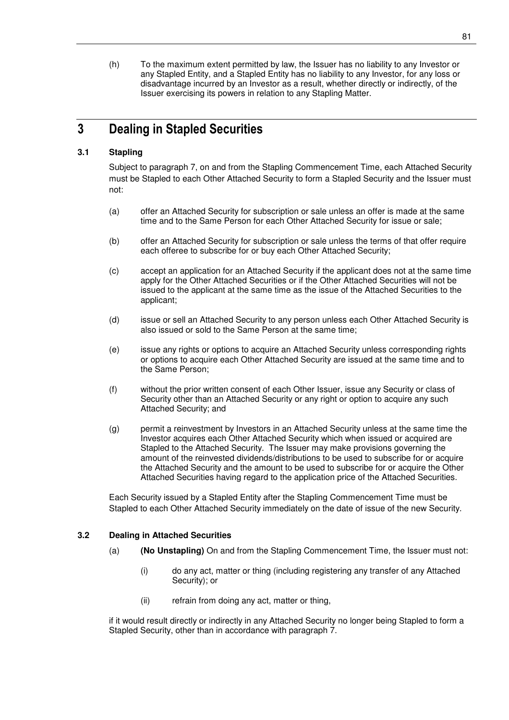(h) To the maximum extent permitted by law, the Issuer has no liability to any Investor or any Stapled Entity, and a Stapled Entity has no liability to any Investor, for any loss or disadvantage incurred by an Investor as a result, whether directly or indirectly, of the Issuer exercising its powers in relation to any Stapling Matter.

# **3 Dealing in Stapled Securities**

## **3.1 Stapling**

Subject to paragraph 7, on and from the Stapling Commencement Time, each Attached Security must be Stapled to each Other Attached Security to form a Stapled Security and the Issuer must not:

- (a) offer an Attached Security for subscription or sale unless an offer is made at the same time and to the Same Person for each Other Attached Security for issue or sale;
- (b) offer an Attached Security for subscription or sale unless the terms of that offer require each offeree to subscribe for or buy each Other Attached Security;
- (c) accept an application for an Attached Security if the applicant does not at the same time apply for the Other Attached Securities or if the Other Attached Securities will not be issued to the applicant at the same time as the issue of the Attached Securities to the applicant;
- (d) issue or sell an Attached Security to any person unless each Other Attached Security is also issued or sold to the Same Person at the same time;
- (e) issue any rights or options to acquire an Attached Security unless corresponding rights or options to acquire each Other Attached Security are issued at the same time and to the Same Person;
- (f) without the prior written consent of each Other Issuer, issue any Security or class of Security other than an Attached Security or any right or option to acquire any such Attached Security; and
- (g) permit a reinvestment by Investors in an Attached Security unless at the same time the Investor acquires each Other Attached Security which when issued or acquired are Stapled to the Attached Security. The Issuer may make provisions governing the amount of the reinvested dividends/distributions to be used to subscribe for or acquire the Attached Security and the amount to be used to subscribe for or acquire the Other Attached Securities having regard to the application price of the Attached Securities.

Each Security issued by a Stapled Entity after the Stapling Commencement Time must be Stapled to each Other Attached Security immediately on the date of issue of the new Security.

## **3.2 Dealing in Attached Securities**

- (a) **(No Unstapling)** On and from the Stapling Commencement Time, the Issuer must not:
	- (i) do any act, matter or thing (including registering any transfer of any Attached Security); or
	- (ii) refrain from doing any act, matter or thing,

if it would result directly or indirectly in any Attached Security no longer being Stapled to form a Stapled Security, other than in accordance with paragraph 7.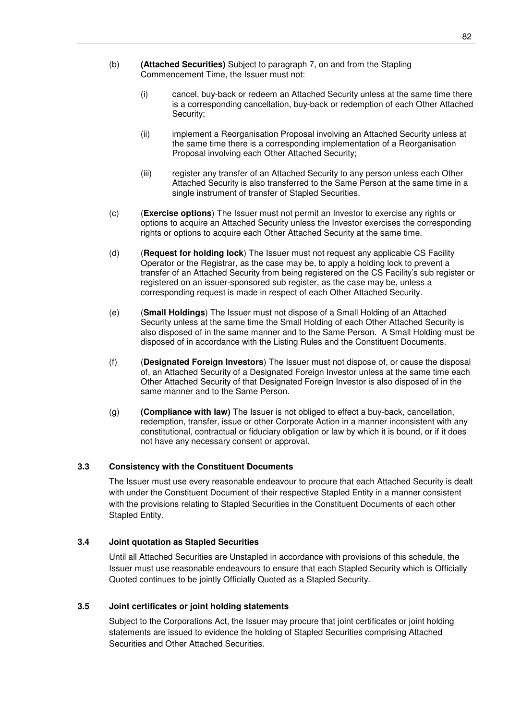- (b) **(Attached Securities)** Subject to paragraph 7, on and from the Stapling Commencement Time, the Issuer must not:
	- (i) cancel, buy-back or redeem an Attached Security unless at the same time there is a corresponding cancellation, buy-back or redemption of each Other Attached Security;
	- (ii) implement a Reorganisation Proposal involving an Attached Security unless at the same time there is a corresponding implementation of a Reorganisation Proposal involving each Other Attached Security;
	- (iii) register any transfer of an Attached Security to any person unless each Other Attached Security is also transferred to the Same Person at the same time in a single instrument of transfer of Stapled Securities.
- (c) (**Exercise options**) The Issuer must not permit an Investor to exercise any rights or options to acquire an Attached Security unless the Investor exercises the corresponding rights or options to acquire each Other Attached Security at the same time.
- (d) (**Request for holding lock**) The Issuer must not request any applicable CS Facility Operator or the Registrar, as the case may be, to apply a holding lock to prevent a transfer of an Attached Security from being registered on the CS Facility's sub register or registered on an issuer-sponsored sub register, as the case may be, unless a corresponding request is made in respect of each Other Attached Security.
- (e) (**Small Holdings**) The Issuer must not dispose of a Small Holding of an Attached Security unless at the same time the Small Holding of each Other Attached Security is also disposed of in the same manner and to the Same Person. A Small Holding must be disposed of in accordance with the Listing Rules and the Constituent Documents.
- (f) (**Designated Foreign Investors**) The Issuer must not dispose of, or cause the disposal of, an Attached Security of a Designated Foreign Investor unless at the same time each Other Attached Security of that Designated Foreign Investor is also disposed of in the same manner and to the Same Person.
- (g) **(Compliance with law)** The Issuer is not obliged to effect a buy-back, cancellation, redemption, transfer, issue or other Corporate Action in a manner inconsistent with any constitutional, contractual or fiduciary obligation or law by which it is bound, or if it does not have any necessary consent or approval.

## **3.3 Consistency with the Constituent Documents**

The Issuer must use every reasonable endeavour to procure that each Attached Security is dealt with under the Constituent Document of their respective Stapled Entity in a manner consistent with the provisions relating to Stapled Securities in the Constituent Documents of each other Stapled Entity.

## **3.4 Joint quotation as Stapled Securities**

Until all Attached Securities are Unstapled in accordance with provisions of this schedule, the Issuer must use reasonable endeavours to ensure that each Stapled Security which is Officially Quoted continues to be jointly Officially Quoted as a Stapled Security.

## **3.5 Joint certificates or joint holding statements**

Subject to the Corporations Act, the Issuer may procure that joint certificates or joint holding statements are issued to evidence the holding of Stapled Securities comprising Attached Securities and Other Attached Securities.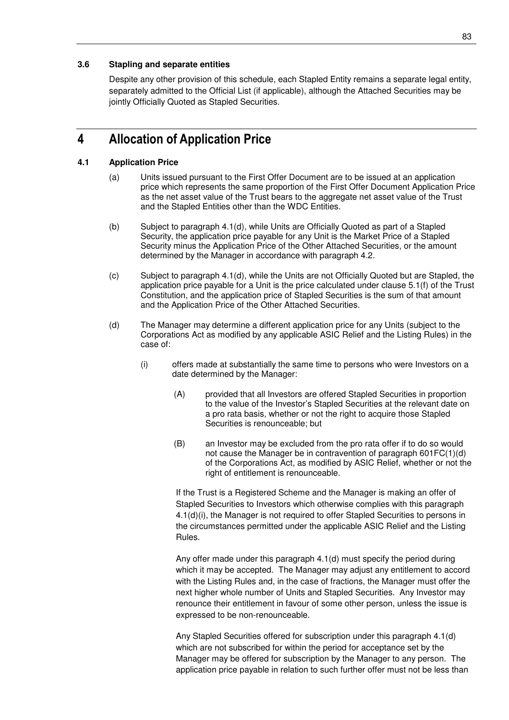## **3.6 Stapling and separate entities**

Despite any other provision of this schedule, each Stapled Entity remains a separate legal entity, separately admitted to the Official List (if applicable), although the Attached Securities may be jointly Officially Quoted as Stapled Securities.

## **4 Allocation of Application Price**

### **4.1 Application Price**

- (a) Units issued pursuant to the First Offer Document are to be issued at an application price which represents the same proportion of the First Offer Document Application Price as the net asset value of the Trust bears to the aggregate net asset value of the Trust and the Stapled Entities other than the WDC Entities.
- (b) Subject to paragraph 4.1(d), while Units are Officially Quoted as part of a Stapled Security, the application price payable for any Unit is the Market Price of a Stapled Security minus the Application Price of the Other Attached Securities, or the amount determined by the Manager in accordance with paragraph 4.2.
- (c) Subject to paragraph 4.1(d), while the Units are not Officially Quoted but are Stapled, the application price payable for a Unit is the price calculated under clause 5.1(f) of the Trust Constitution, and the application price of Stapled Securities is the sum of that amount and the Application Price of the Other Attached Securities.
- (d) The Manager may determine a different application price for any Units (subject to the Corporations Act as modified by any applicable ASIC Relief and the Listing Rules) in the case of:
	- (i) offers made at substantially the same time to persons who were Investors on a date determined by the Manager:
		- (A) provided that all Investors are offered Stapled Securities in proportion to the value of the Investor's Stapled Securities at the relevant date on a pro rata basis, whether or not the right to acquire those Stapled Securities is renounceable; but
		- (B) an Investor may be excluded from the pro rata offer if to do so would not cause the Manager be in contravention of paragraph 601FC(1)(d) of the Corporations Act, as modified by ASIC Relief, whether or not the right of entitlement is renounceable.

If the Trust is a Registered Scheme and the Manager is making an offer of Stapled Securities to Investors which otherwise complies with this paragraph 4.1(d)(i), the Manager is not required to offer Stapled Securities to persons in the circumstances permitted under the applicable ASIC Relief and the Listing Rules.

Any offer made under this paragraph 4.1(d) must specify the period during which it may be accepted. The Manager may adjust any entitlement to accord with the Listing Rules and, in the case of fractions, the Manager must offer the next higher whole number of Units and Stapled Securities. Any Investor may renounce their entitlement in favour of some other person, unless the issue is expressed to be non-renounceable.

Any Stapled Securities offered for subscription under this paragraph 4.1(d) which are not subscribed for within the period for acceptance set by the Manager may be offered for subscription by the Manager to any person. The application price payable in relation to such further offer must not be less than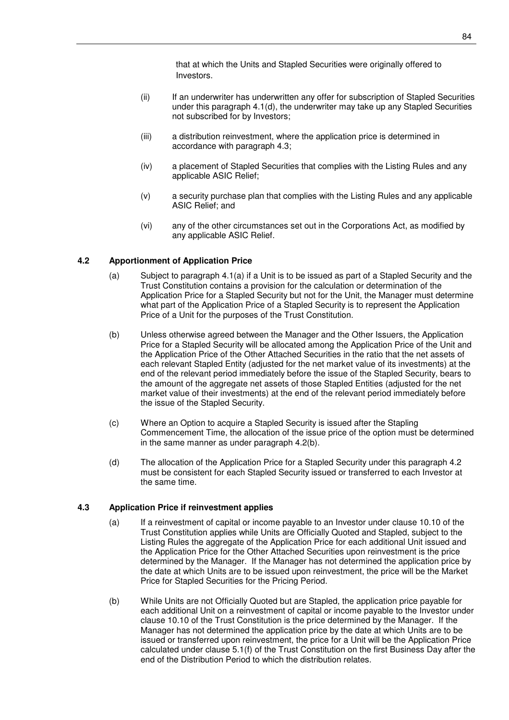that at which the Units and Stapled Securities were originally offered to Investors.

- (ii) If an underwriter has underwritten any offer for subscription of Stapled Securities under this paragraph 4.1(d), the underwriter may take up any Stapled Securities not subscribed for by Investors;
- (iii) a distribution reinvestment, where the application price is determined in accordance with paragraph 4.3;
- (iv) a placement of Stapled Securities that complies with the Listing Rules and any applicable ASIC Relief;
- (v) a security purchase plan that complies with the Listing Rules and any applicable ASIC Relief; and
- (vi) any of the other circumstances set out in the Corporations Act, as modified by any applicable ASIC Relief.

## **4.2 Apportionment of Application Price**

- (a) Subject to paragraph 4.1(a) if a Unit is to be issued as part of a Stapled Security and the Trust Constitution contains a provision for the calculation or determination of the Application Price for a Stapled Security but not for the Unit, the Manager must determine what part of the Application Price of a Stapled Security is to represent the Application Price of a Unit for the purposes of the Trust Constitution.
- (b) Unless otherwise agreed between the Manager and the Other Issuers, the Application Price for a Stapled Security will be allocated among the Application Price of the Unit and the Application Price of the Other Attached Securities in the ratio that the net assets of each relevant Stapled Entity (adjusted for the net market value of its investments) at the end of the relevant period immediately before the issue of the Stapled Security, bears to the amount of the aggregate net assets of those Stapled Entities (adjusted for the net market value of their investments) at the end of the relevant period immediately before the issue of the Stapled Security.
- (c) Where an Option to acquire a Stapled Security is issued after the Stapling Commencement Time, the allocation of the issue price of the option must be determined in the same manner as under paragraph 4.2(b).
- (d) The allocation of the Application Price for a Stapled Security under this paragraph 4.2 must be consistent for each Stapled Security issued or transferred to each Investor at the same time.

#### **4.3 Application Price if reinvestment applies**

- (a) If a reinvestment of capital or income payable to an Investor under clause 10.10 of the Trust Constitution applies while Units are Officially Quoted and Stapled, subject to the Listing Rules the aggregate of the Application Price for each additional Unit issued and the Application Price for the Other Attached Securities upon reinvestment is the price determined by the Manager. If the Manager has not determined the application price by the date at which Units are to be issued upon reinvestment, the price will be the Market Price for Stapled Securities for the Pricing Period.
- (b) While Units are not Officially Quoted but are Stapled, the application price payable for each additional Unit on a reinvestment of capital or income payable to the Investor under clause 10.10 of the Trust Constitution is the price determined by the Manager. If the Manager has not determined the application price by the date at which Units are to be issued or transferred upon reinvestment, the price for a Unit will be the Application Price calculated under clause 5.1(f) of the Trust Constitution on the first Business Day after the end of the Distribution Period to which the distribution relates.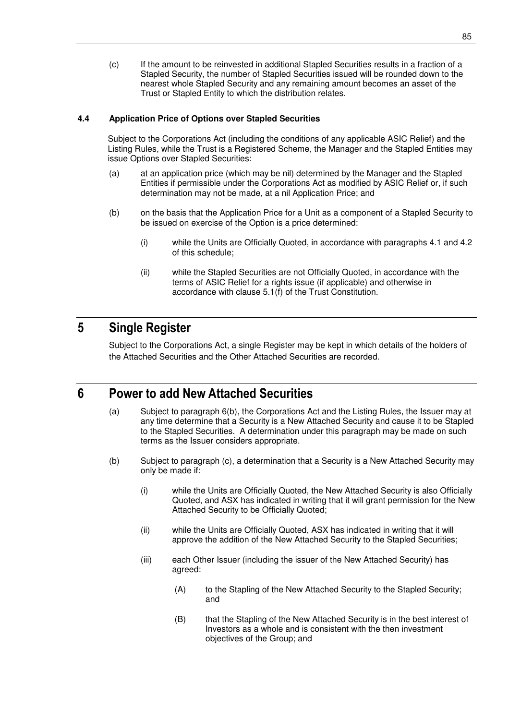(c) If the amount to be reinvested in additional Stapled Securities results in a fraction of a Stapled Security, the number of Stapled Securities issued will be rounded down to the nearest whole Stapled Security and any remaining amount becomes an asset of the Trust or Stapled Entity to which the distribution relates.

## **4.4 Application Price of Options over Stapled Securities**

Subject to the Corporations Act (including the conditions of any applicable ASIC Relief) and the Listing Rules, while the Trust is a Registered Scheme, the Manager and the Stapled Entities may issue Options over Stapled Securities:

- (a) at an application price (which may be nil) determined by the Manager and the Stapled Entities if permissible under the Corporations Act as modified by ASIC Relief or, if such determination may not be made, at a nil Application Price; and
- (b) on the basis that the Application Price for a Unit as a component of a Stapled Security to be issued on exercise of the Option is a price determined:
	- (i) while the Units are Officially Quoted, in accordance with paragraphs 4.1 and 4.2 of this schedule;
	- (ii) while the Stapled Securities are not Officially Quoted, in accordance with the terms of ASIC Relief for a rights issue (if applicable) and otherwise in accordance with clause 5.1(f) of the Trust Constitution.

## **5 Single Register**

Subject to the Corporations Act, a single Register may be kept in which details of the holders of the Attached Securities and the Other Attached Securities are recorded.

## **6 Power to add New Attached Securities**

- (a) Subject to paragraph 6(b), the Corporations Act and the Listing Rules, the Issuer may at any time determine that a Security is a New Attached Security and cause it to be Stapled to the Stapled Securities. A determination under this paragraph may be made on such terms as the Issuer considers appropriate.
- (b) Subject to paragraph (c), a determination that a Security is a New Attached Security may only be made if:
	- (i) while the Units are Officially Quoted, the New Attached Security is also Officially Quoted, and ASX has indicated in writing that it will grant permission for the New Attached Security to be Officially Quoted;
	- (ii) while the Units are Officially Quoted, ASX has indicated in writing that it will approve the addition of the New Attached Security to the Stapled Securities;
	- (iii) each Other Issuer (including the issuer of the New Attached Security) has agreed:
		- (A) to the Stapling of the New Attached Security to the Stapled Security; and
		- (B) that the Stapling of the New Attached Security is in the best interest of Investors as a whole and is consistent with the then investment objectives of the Group; and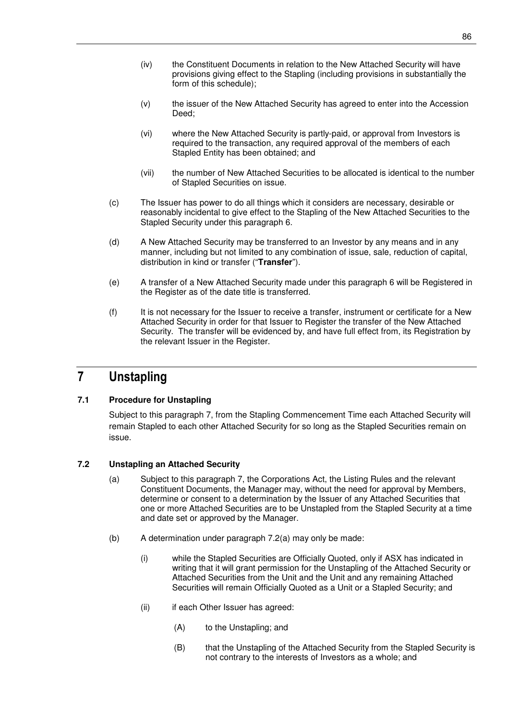- (iv) the Constituent Documents in relation to the New Attached Security will have provisions giving effect to the Stapling (including provisions in substantially the form of this schedule);
- (v) the issuer of the New Attached Security has agreed to enter into the Accession Deed;
- (vi) where the New Attached Security is partly-paid, or approval from Investors is required to the transaction, any required approval of the members of each Stapled Entity has been obtained; and
- (vii) the number of New Attached Securities to be allocated is identical to the number of Stapled Securities on issue.
- (c) The Issuer has power to do all things which it considers are necessary, desirable or reasonably incidental to give effect to the Stapling of the New Attached Securities to the Stapled Security under this paragraph 6.
- (d) A New Attached Security may be transferred to an Investor by any means and in any manner, including but not limited to any combination of issue, sale, reduction of capital, distribution in kind or transfer ("**Transfer**").
- (e) A transfer of a New Attached Security made under this paragraph 6 will be Registered in the Register as of the date title is transferred.
- (f) It is not necessary for the Issuer to receive a transfer, instrument or certificate for a New Attached Security in order for that Issuer to Register the transfer of the New Attached Security. The transfer will be evidenced by, and have full effect from, its Registration by the relevant Issuer in the Register.

# **7 Unstapling**

## **7.1 Procedure for Unstapling**

Subject to this paragraph 7, from the Stapling Commencement Time each Attached Security will remain Stapled to each other Attached Security for so long as the Stapled Securities remain on issue.

## **7.2 Unstapling an Attached Security**

- (a) Subject to this paragraph 7, the Corporations Act, the Listing Rules and the relevant Constituent Documents, the Manager may, without the need for approval by Members, determine or consent to a determination by the Issuer of any Attached Securities that one or more Attached Securities are to be Unstapled from the Stapled Security at a time and date set or approved by the Manager.
- (b) A determination under paragraph 7.2(a) may only be made:
	- (i) while the Stapled Securities are Officially Quoted, only if ASX has indicated in writing that it will grant permission for the Unstapling of the Attached Security or Attached Securities from the Unit and the Unit and any remaining Attached Securities will remain Officially Quoted as a Unit or a Stapled Security; and
	- (ii) if each Other Issuer has agreed:
		- (A) to the Unstapling; and
		- (B) that the Unstapling of the Attached Security from the Stapled Security is not contrary to the interests of Investors as a whole; and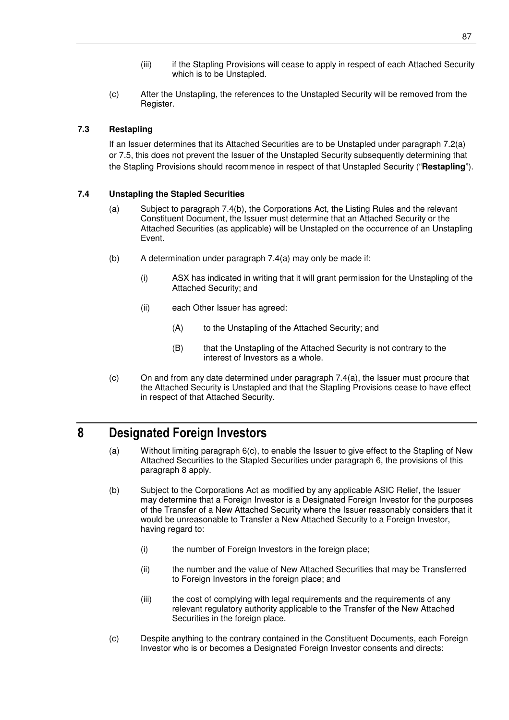- (iii) if the Stapling Provisions will cease to apply in respect of each Attached Security which is to be Unstapled.
- (c) After the Unstapling, the references to the Unstapled Security will be removed from the Register.

## **7.3 Restapling**

If an Issuer determines that its Attached Securities are to be Unstapled under paragraph 7.2(a) or 7.5, this does not prevent the Issuer of the Unstapled Security subsequently determining that the Stapling Provisions should recommence in respect of that Unstapled Security ("**Restapling**").

## **7.4 Unstapling the Stapled Securities**

- (a) Subject to paragraph 7.4(b), the Corporations Act, the Listing Rules and the relevant Constituent Document, the Issuer must determine that an Attached Security or the Attached Securities (as applicable) will be Unstapled on the occurrence of an Unstapling Event.
- (b) A determination under paragraph 7.4(a) may only be made if:
	- (i) ASX has indicated in writing that it will grant permission for the Unstapling of the Attached Security; and
	- (ii) each Other Issuer has agreed:
		- (A) to the Unstapling of the Attached Security; and
		- (B) that the Unstapling of the Attached Security is not contrary to the interest of Investors as a whole.
- (c) On and from any date determined under paragraph 7.4(a), the Issuer must procure that the Attached Security is Unstapled and that the Stapling Provisions cease to have effect in respect of that Attached Security.

## **8 Designated Foreign Investors**

- (a) Without limiting paragraph 6(c), to enable the Issuer to give effect to the Stapling of New Attached Securities to the Stapled Securities under paragraph 6, the provisions of this paragraph 8 apply.
- (b) Subject to the Corporations Act as modified by any applicable ASIC Relief, the Issuer may determine that a Foreign Investor is a Designated Foreign Investor for the purposes of the Transfer of a New Attached Security where the Issuer reasonably considers that it would be unreasonable to Transfer a New Attached Security to a Foreign Investor, having regard to:
	- (i) the number of Foreign Investors in the foreign place;
	- (ii) the number and the value of New Attached Securities that may be Transferred to Foreign Investors in the foreign place; and
	- (iii) the cost of complying with legal requirements and the requirements of any relevant regulatory authority applicable to the Transfer of the New Attached Securities in the foreign place.
- (c) Despite anything to the contrary contained in the Constituent Documents, each Foreign Investor who is or becomes a Designated Foreign Investor consents and directs: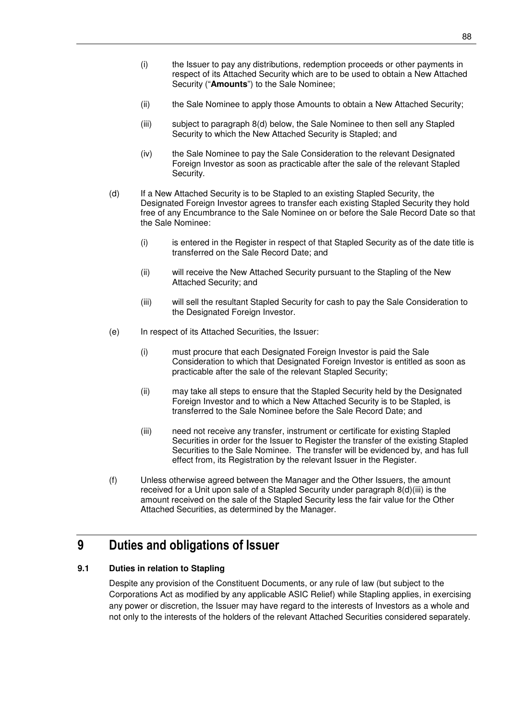- (i) the Issuer to pay any distributions, redemption proceeds or other payments in respect of its Attached Security which are to be used to obtain a New Attached Security ("**Amounts**") to the Sale Nominee;
- (ii) the Sale Nominee to apply those Amounts to obtain a New Attached Security;
- (iii) subject to paragraph 8(d) below, the Sale Nominee to then sell any Stapled Security to which the New Attached Security is Stapled; and
- (iv) the Sale Nominee to pay the Sale Consideration to the relevant Designated Foreign Investor as soon as practicable after the sale of the relevant Stapled Security.
- (d) If a New Attached Security is to be Stapled to an existing Stapled Security, the Designated Foreign Investor agrees to transfer each existing Stapled Security they hold free of any Encumbrance to the Sale Nominee on or before the Sale Record Date so that the Sale Nominee:
	- (i) is entered in the Register in respect of that Stapled Security as of the date title is transferred on the Sale Record Date; and
	- (ii) will receive the New Attached Security pursuant to the Stapling of the New Attached Security; and
	- (iii) will sell the resultant Stapled Security for cash to pay the Sale Consideration to the Designated Foreign Investor.
- (e) In respect of its Attached Securities, the Issuer:
	- (i) must procure that each Designated Foreign Investor is paid the Sale Consideration to which that Designated Foreign Investor is entitled as soon as practicable after the sale of the relevant Stapled Security;
	- (ii) may take all steps to ensure that the Stapled Security held by the Designated Foreign Investor and to which a New Attached Security is to be Stapled, is transferred to the Sale Nominee before the Sale Record Date; and
	- (iii) need not receive any transfer, instrument or certificate for existing Stapled Securities in order for the Issuer to Register the transfer of the existing Stapled Securities to the Sale Nominee. The transfer will be evidenced by, and has full effect from, its Registration by the relevant Issuer in the Register.
- (f) Unless otherwise agreed between the Manager and the Other Issuers, the amount received for a Unit upon sale of a Stapled Security under paragraph 8(d)(iii) is the amount received on the sale of the Stapled Security less the fair value for the Other Attached Securities, as determined by the Manager.

## **9 Duties and obligations of Issuer**

## **9.1 Duties in relation to Stapling**

Despite any provision of the Constituent Documents, or any rule of law (but subject to the Corporations Act as modified by any applicable ASIC Relief) while Stapling applies, in exercising any power or discretion, the Issuer may have regard to the interests of Investors as a whole and not only to the interests of the holders of the relevant Attached Securities considered separately.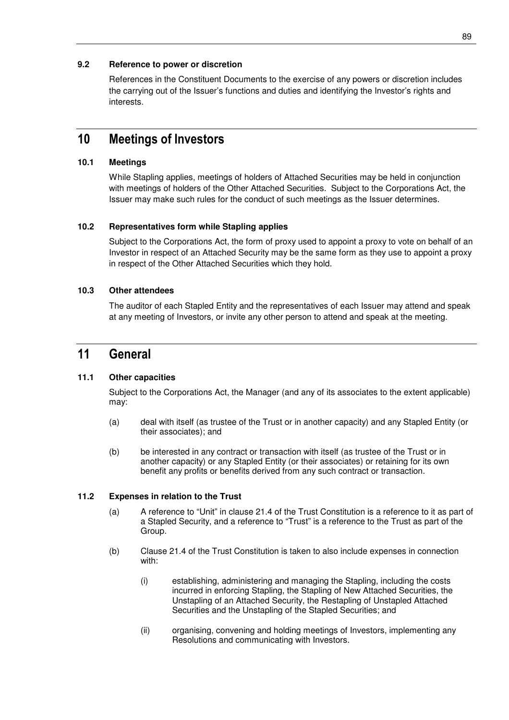## **9.2 Reference to power or discretion**

References in the Constituent Documents to the exercise of any powers or discretion includes the carrying out of the Issuer's functions and duties and identifying the Investor's rights and interests.

## **10 Meetings of Investors**

## **10.1 Meetings**

While Stapling applies, meetings of holders of Attached Securities may be held in conjunction with meetings of holders of the Other Attached Securities. Subject to the Corporations Act, the Issuer may make such rules for the conduct of such meetings as the Issuer determines.

## **10.2 Representatives form while Stapling applies**

Subject to the Corporations Act, the form of proxy used to appoint a proxy to vote on behalf of an Investor in respect of an Attached Security may be the same form as they use to appoint a proxy in respect of the Other Attached Securities which they hold.

## **10.3 Other attendees**

The auditor of each Stapled Entity and the representatives of each Issuer may attend and speak at any meeting of Investors, or invite any other person to attend and speak at the meeting.

## **11 General**

## **11.1 Other capacities**

Subject to the Corporations Act, the Manager (and any of its associates to the extent applicable) may:

- (a) deal with itself (as trustee of the Trust or in another capacity) and any Stapled Entity (or their associates); and
- (b) be interested in any contract or transaction with itself (as trustee of the Trust or in another capacity) or any Stapled Entity (or their associates) or retaining for its own benefit any profits or benefits derived from any such contract or transaction.

## **11.2 Expenses in relation to the Trust**

- (a) A reference to "Unit" in clause 21.4 of the Trust Constitution is a reference to it as part of a Stapled Security, and a reference to "Trust" is a reference to the Trust as part of the Group.
- (b) Clause 21.4 of the Trust Constitution is taken to also include expenses in connection with:
	- (i) establishing, administering and managing the Stapling, including the costs incurred in enforcing Stapling, the Stapling of New Attached Securities, the Unstapling of an Attached Security, the Restapling of Unstapled Attached Securities and the Unstapling of the Stapled Securities; and
	- (ii) organising, convening and holding meetings of Investors, implementing any Resolutions and communicating with Investors.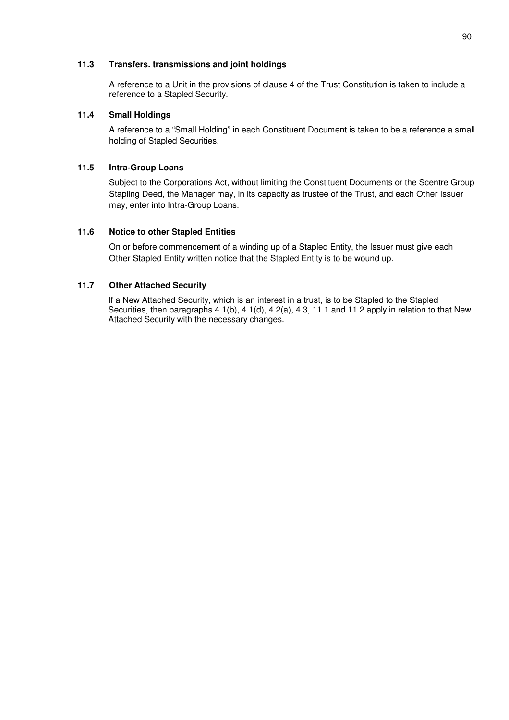### **11.3 Transfers. transmissions and joint holdings**

A reference to a Unit in the provisions of clause 4 of the Trust Constitution is taken to include a reference to a Stapled Security.

### **11.4 Small Holdings**

A reference to a "Small Holding" in each Constituent Document is taken to be a reference a small holding of Stapled Securities.

### **11.5 Intra-Group Loans**

Subject to the Corporations Act, without limiting the Constituent Documents or the Scentre Group Stapling Deed, the Manager may, in its capacity as trustee of the Trust, and each Other Issuer may, enter into Intra-Group Loans.

#### **11.6 Notice to other Stapled Entities**

On or before commencement of a winding up of a Stapled Entity, the Issuer must give each Other Stapled Entity written notice that the Stapled Entity is to be wound up.

### **11.7 Other Attached Security**

If a New Attached Security, which is an interest in a trust, is to be Stapled to the Stapled Securities, then paragraphs 4.1(b), 4.1(d), 4.2(a), 4.3, 11.1 and 11.2 apply in relation to that New Attached Security with the necessary changes.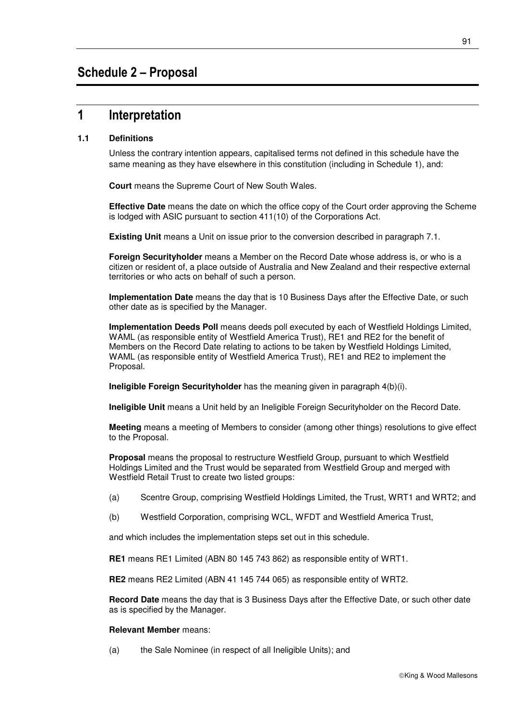## **1 Interpretation**

## **1.1 Definitions**

Unless the contrary intention appears, capitalised terms not defined in this schedule have the same meaning as they have elsewhere in this constitution (including in Schedule 1), and:

**Court** means the Supreme Court of New South Wales.

**Effective Date** means the date on which the office copy of the Court order approving the Scheme is lodged with ASIC pursuant to section 411(10) of the Corporations Act.

**Existing Unit** means a Unit on issue prior to the conversion described in paragraph 7.1.

**Foreign Securityholder** means a Member on the Record Date whose address is, or who is a citizen or resident of, a place outside of Australia and New Zealand and their respective external territories or who acts on behalf of such a person.

**Implementation Date** means the day that is 10 Business Days after the Effective Date, or such other date as is specified by the Manager.

**Implementation Deeds Poll** means deeds poll executed by each of Westfield Holdings Limited, WAML (as responsible entity of Westfield America Trust), RE1 and RE2 for the benefit of Members on the Record Date relating to actions to be taken by Westfield Holdings Limited, WAML (as responsible entity of Westfield America Trust), RE1 and RE2 to implement the Proposal.

**Ineligible Foreign Securityholder** has the meaning given in paragraph 4(b)(i).

**Ineligible Unit** means a Unit held by an Ineligible Foreign Securityholder on the Record Date.

**Meeting** means a meeting of Members to consider (among other things) resolutions to give effect to the Proposal.

**Proposal** means the proposal to restructure Westfield Group, pursuant to which Westfield Holdings Limited and the Trust would be separated from Westfield Group and merged with Westfield Retail Trust to create two listed groups:

- (a) Scentre Group, comprising Westfield Holdings Limited, the Trust, WRT1 and WRT2; and
- (b) Westfield Corporation, comprising WCL, WFDT and Westfield America Trust,

and which includes the implementation steps set out in this schedule.

**RE1** means RE1 Limited (ABN 80 145 743 862) as responsible entity of WRT1.

**RE2** means RE2 Limited (ABN 41 145 744 065) as responsible entity of WRT2.

**Record Date** means the day that is 3 Business Days after the Effective Date, or such other date as is specified by the Manager.

#### **Relevant Member** means:

(a) the Sale Nominee (in respect of all Ineligible Units); and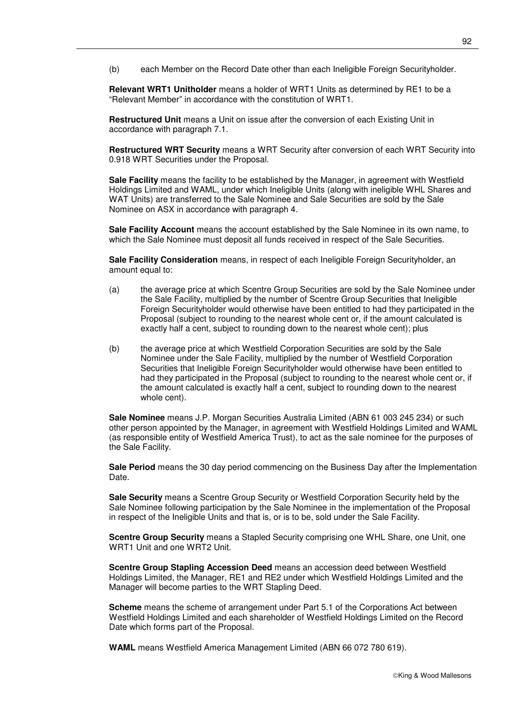(b) each Member on the Record Date other than each Ineligible Foreign Securityholder.

**Relevant WRT1 Unitholder** means a holder of WRT1 Units as determined by RE1 to be a "Relevant Member" in accordance with the constitution of WRT1.

**Restructured Unit** means a Unit on issue after the conversion of each Existing Unit in accordance with paragraph 7.1.

**Restructured WRT Security** means a WRT Security after conversion of each WRT Security into 0.918 WRT Securities under the Proposal.

**Sale Facility** means the facility to be established by the Manager, in agreement with Westfield Holdings Limited and WAML, under which Ineligible Units (along with ineligible WHL Shares and WAT Units) are transferred to the Sale Nominee and Sale Securities are sold by the Sale Nominee on ASX in accordance with paragraph 4.

**Sale Facility Account** means the account established by the Sale Nominee in its own name, to which the Sale Nominee must deposit all funds received in respect of the Sale Securities.

**Sale Facility Consideration** means, in respect of each Ineligible Foreign Securityholder, an amount equal to:

- (a) the average price at which Scentre Group Securities are sold by the Sale Nominee under the Sale Facility, multiplied by the number of Scentre Group Securities that Ineligible Foreign Securityholder would otherwise have been entitled to had they participated in the Proposal (subject to rounding to the nearest whole cent or, if the amount calculated is exactly half a cent, subject to rounding down to the nearest whole cent); plus
- (b) the average price at which Westfield Corporation Securities are sold by the Sale Nominee under the Sale Facility, multiplied by the number of Westfield Corporation Securities that Ineligible Foreign Securityholder would otherwise have been entitled to had they participated in the Proposal (subject to rounding to the nearest whole cent or, if the amount calculated is exactly half a cent, subject to rounding down to the nearest whole cent).

**Sale Nominee** means J.P. Morgan Securities Australia Limited (ABN 61 003 245 234) or such other person appointed by the Manager, in agreement with Westfield Holdings Limited and WAML (as responsible entity of Westfield America Trust), to act as the sale nominee for the purposes of the Sale Facility.

**Sale Period** means the 30 day period commencing on the Business Day after the Implementation Date.

**Sale Security** means a Scentre Group Security or Westfield Corporation Security held by the Sale Nominee following participation by the Sale Nominee in the implementation of the Proposal in respect of the Ineligible Units and that is, or is to be, sold under the Sale Facility.

**Scentre Group Security** means a Stapled Security comprising one WHL Share, one Unit, one WRT1 Unit and one WRT2 Unit.

**Scentre Group Stapling Accession Deed** means an accession deed between Westfield Holdings Limited, the Manager, RE1 and RE2 under which Westfield Holdings Limited and the Manager will become parties to the WRT Stapling Deed.

**Scheme** means the scheme of arrangement under Part 5.1 of the Corporations Act between Westfield Holdings Limited and each shareholder of Westfield Holdings Limited on the Record Date which forms part of the Proposal.

**WAML** means Westfield America Management Limited (ABN 66 072 780 619).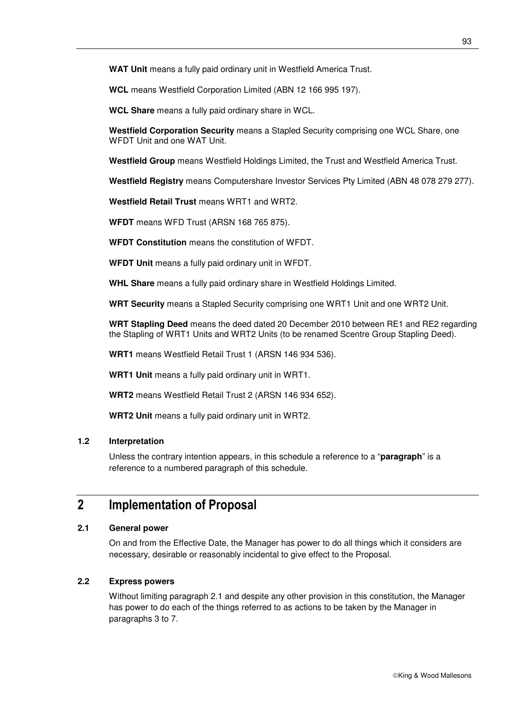**WAT Unit** means a fully paid ordinary unit in Westfield America Trust.

**WCL** means Westfield Corporation Limited (ABN 12 166 995 197).

**WCL Share** means a fully paid ordinary share in WCL.

**Westfield Corporation Security** means a Stapled Security comprising one WCL Share, one WFDT Unit and one WAT Unit.

**Westfield Group** means Westfield Holdings Limited, the Trust and Westfield America Trust.

**Westfield Registry** means Computershare Investor Services Pty Limited (ABN 48 078 279 277).

**Westfield Retail Trust** means WRT1 and WRT2.

**WFDT** means WFD Trust (ARSN 168 765 875).

**WFDT Constitution** means the constitution of WFDT.

**WFDT Unit** means a fully paid ordinary unit in WFDT.

**WHL Share** means a fully paid ordinary share in Westfield Holdings Limited.

**WRT Security** means a Stapled Security comprising one WRT1 Unit and one WRT2 Unit.

**WRT Stapling Deed** means the deed dated 20 December 2010 between RE1 and RE2 regarding the Stapling of WRT1 Units and WRT2 Units (to be renamed Scentre Group Stapling Deed).

**WRT1** means Westfield Retail Trust 1 (ARSN 146 934 536).

**WRT1 Unit** means a fully paid ordinary unit in WRT1.

**WRT2** means Westfield Retail Trust 2 (ARSN 146 934 652).

**WRT2 Unit** means a fully paid ordinary unit in WRT2.

#### **1.2 Interpretation**

Unless the contrary intention appears, in this schedule a reference to a "**paragraph**" is a reference to a numbered paragraph of this schedule.

## **2 Implementation of Proposal**

## **2.1 General power**

On and from the Effective Date, the Manager has power to do all things which it considers are necessary, desirable or reasonably incidental to give effect to the Proposal.

## **2.2 Express powers**

Without limiting paragraph 2.1 and despite any other provision in this constitution, the Manager has power to do each of the things referred to as actions to be taken by the Manager in paragraphs 3 to 7.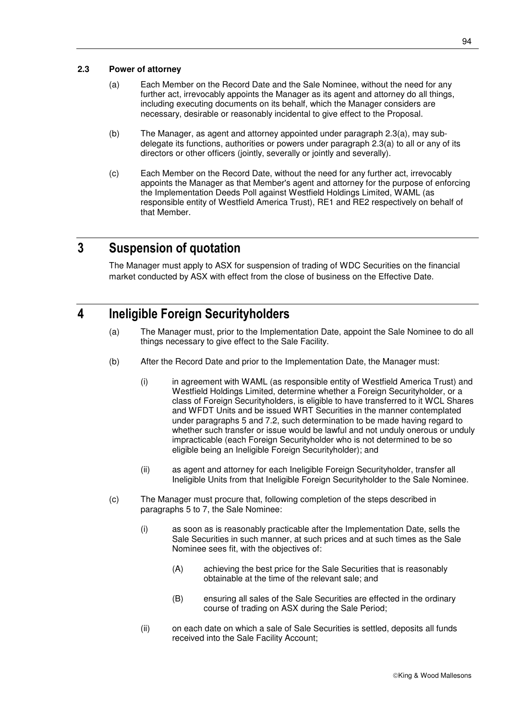94

## **2.3 Power of attorney**

- (a) Each Member on the Record Date and the Sale Nominee, without the need for any further act, irrevocably appoints the Manager as its agent and attorney do all things, including executing documents on its behalf, which the Manager considers are necessary, desirable or reasonably incidental to give effect to the Proposal.
- (b) The Manager, as agent and attorney appointed under paragraph 2.3(a), may subdelegate its functions, authorities or powers under paragraph 2.3(a) to all or any of its directors or other officers (jointly, severally or jointly and severally).
- (c) Each Member on the Record Date, without the need for any further act, irrevocably appoints the Manager as that Member's agent and attorney for the purpose of enforcing the Implementation Deeds Poll against Westfield Holdings Limited, WAML (as responsible entity of Westfield America Trust), RE1 and RE2 respectively on behalf of that Member.

## **3 Suspension of quotation**

The Manager must apply to ASX for suspension of trading of WDC Securities on the financial market conducted by ASX with effect from the close of business on the Effective Date.

## **4 Ineligible Foreign Securityholders**

- (a) The Manager must, prior to the Implementation Date, appoint the Sale Nominee to do all things necessary to give effect to the Sale Facility.
- (b) After the Record Date and prior to the Implementation Date, the Manager must:
	- (i) in agreement with WAML (as responsible entity of Westfield America Trust) and Westfield Holdings Limited, determine whether a Foreign Securityholder, or a class of Foreign Securityholders, is eligible to have transferred to it WCL Shares and WFDT Units and be issued WRT Securities in the manner contemplated under paragraphs 5 and 7.2, such determination to be made having regard to whether such transfer or issue would be lawful and not unduly onerous or unduly impracticable (each Foreign Securityholder who is not determined to be so eligible being an Ineligible Foreign Securityholder); and
	- (ii) as agent and attorney for each Ineligible Foreign Securityholder, transfer all Ineligible Units from that Ineligible Foreign Securityholder to the Sale Nominee.
- (c) The Manager must procure that, following completion of the steps described in paragraphs 5 to 7, the Sale Nominee:
	- (i) as soon as is reasonably practicable after the Implementation Date, sells the Sale Securities in such manner, at such prices and at such times as the Sale Nominee sees fit, with the objectives of:
		- (A) achieving the best price for the Sale Securities that is reasonably obtainable at the time of the relevant sale; and
		- (B) ensuring all sales of the Sale Securities are effected in the ordinary course of trading on ASX during the Sale Period;
	- (ii) on each date on which a sale of Sale Securities is settled, deposits all funds received into the Sale Facility Account;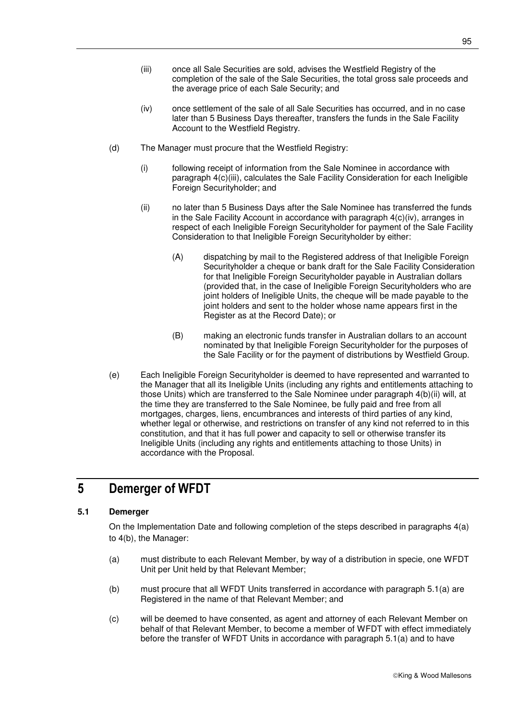- (iii) once all Sale Securities are sold, advises the Westfield Registry of the completion of the sale of the Sale Securities, the total gross sale proceeds and the average price of each Sale Security; and
- (iv) once settlement of the sale of all Sale Securities has occurred, and in no case later than 5 Business Days thereafter, transfers the funds in the Sale Facility Account to the Westfield Registry.
- (d) The Manager must procure that the Westfield Registry:
	- (i) following receipt of information from the Sale Nominee in accordance with paragraph 4(c)(iii), calculates the Sale Facility Consideration for each Ineligible Foreign Securityholder; and
	- (ii) no later than 5 Business Days after the Sale Nominee has transferred the funds in the Sale Facility Account in accordance with paragraph 4(c)(iv), arranges in respect of each Ineligible Foreign Securityholder for payment of the Sale Facility Consideration to that Ineligible Foreign Securityholder by either:
		- (A) dispatching by mail to the Registered address of that Ineligible Foreign Securityholder a cheque or bank draft for the Sale Facility Consideration for that Ineligible Foreign Securityholder payable in Australian dollars (provided that, in the case of Ineligible Foreign Securityholders who are joint holders of Ineligible Units, the cheque will be made payable to the joint holders and sent to the holder whose name appears first in the Register as at the Record Date); or
		- (B) making an electronic funds transfer in Australian dollars to an account nominated by that Ineligible Foreign Securityholder for the purposes of the Sale Facility or for the payment of distributions by Westfield Group.
- (e) Each Ineligible Foreign Securityholder is deemed to have represented and warranted to the Manager that all its Ineligible Units (including any rights and entitlements attaching to those Units) which are transferred to the Sale Nominee under paragraph 4(b)(ii) will, at the time they are transferred to the Sale Nominee, be fully paid and free from all mortgages, charges, liens, encumbrances and interests of third parties of any kind, whether legal or otherwise, and restrictions on transfer of any kind not referred to in this constitution, and that it has full power and capacity to sell or otherwise transfer its Ineligible Units (including any rights and entitlements attaching to those Units) in accordance with the Proposal.

# **5 Demerger of WFDT**

## **5.1 Demerger**

On the Implementation Date and following completion of the steps described in paragraphs 4(a) to 4(b), the Manager:

- (a) must distribute to each Relevant Member, by way of a distribution in specie, one WFDT Unit per Unit held by that Relevant Member;
- (b) must procure that all WFDT Units transferred in accordance with paragraph 5.1(a) are Registered in the name of that Relevant Member; and
- (c) will be deemed to have consented, as agent and attorney of each Relevant Member on behalf of that Relevant Member, to become a member of WFDT with effect immediately before the transfer of WFDT Units in accordance with paragraph 5.1(a) and to have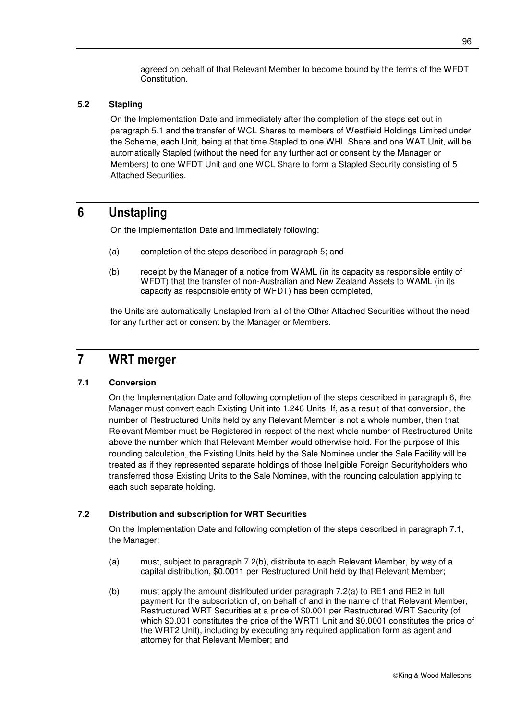agreed on behalf of that Relevant Member to become bound by the terms of the WFDT Constitution.

### **5.2 Stapling**

On the Implementation Date and immediately after the completion of the steps set out in paragraph 5.1 and the transfer of WCL Shares to members of Westfield Holdings Limited under the Scheme, each Unit, being at that time Stapled to one WHL Share and one WAT Unit, will be automatically Stapled (without the need for any further act or consent by the Manager or Members) to one WFDT Unit and one WCL Share to form a Stapled Security consisting of 5 Attached Securities.

## **6 Unstapling**

On the Implementation Date and immediately following:

- (a) completion of the steps described in paragraph 5; and
- (b) receipt by the Manager of a notice from WAML (in its capacity as responsible entity of WFDT) that the transfer of non-Australian and New Zealand Assets to WAML (in its capacity as responsible entity of WFDT) has been completed,

the Units are automatically Unstapled from all of the Other Attached Securities without the need for any further act or consent by the Manager or Members.

## **7 WRT merger**

## **7.1 Conversion**

On the Implementation Date and following completion of the steps described in paragraph 6, the Manager must convert each Existing Unit into 1.246 Units. If, as a result of that conversion, the number of Restructured Units held by any Relevant Member is not a whole number, then that Relevant Member must be Registered in respect of the next whole number of Restructured Units above the number which that Relevant Member would otherwise hold. For the purpose of this rounding calculation, the Existing Units held by the Sale Nominee under the Sale Facility will be treated as if they represented separate holdings of those Ineligible Foreign Securityholders who transferred those Existing Units to the Sale Nominee, with the rounding calculation applying to each such separate holding.

## **7.2 Distribution and subscription for WRT Securities**

On the Implementation Date and following completion of the steps described in paragraph 7.1, the Manager:

- (a) must, subject to paragraph 7.2(b), distribute to each Relevant Member, by way of a capital distribution, \$0.0011 per Restructured Unit held by that Relevant Member;
- (b) must apply the amount distributed under paragraph 7.2(a) to RE1 and RE2 in full payment for the subscription of, on behalf of and in the name of that Relevant Member, Restructured WRT Securities at a price of \$0.001 per Restructured WRT Security (of which \$0.001 constitutes the price of the WRT1 Unit and \$0.0001 constitutes the price of the WRT2 Unit), including by executing any required application form as agent and attorney for that Relevant Member; and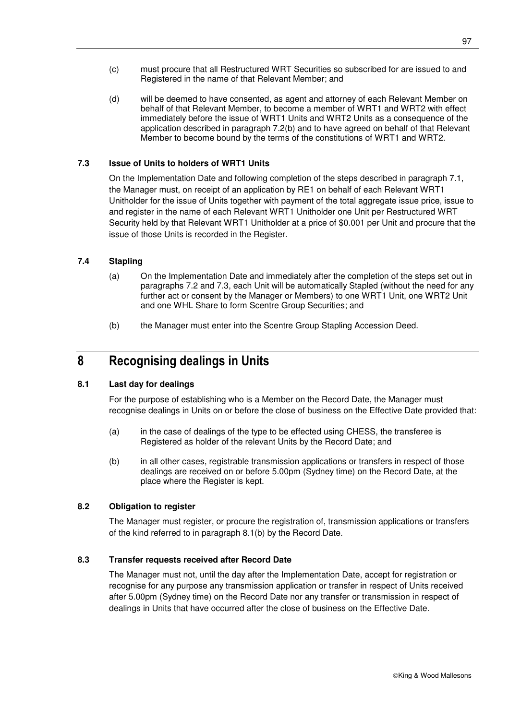- (c) must procure that all Restructured WRT Securities so subscribed for are issued to and Registered in the name of that Relevant Member; and
- (d) will be deemed to have consented, as agent and attorney of each Relevant Member on behalf of that Relevant Member, to become a member of WRT1 and WRT2 with effect immediately before the issue of WRT1 Units and WRT2 Units as a consequence of the application described in paragraph 7.2(b) and to have agreed on behalf of that Relevant Member to become bound by the terms of the constitutions of WRT1 and WRT2.

## **7.3 Issue of Units to holders of WRT1 Units**

On the Implementation Date and following completion of the steps described in paragraph 7.1, the Manager must, on receipt of an application by RE1 on behalf of each Relevant WRT1 Unitholder for the issue of Units together with payment of the total aggregate issue price, issue to and register in the name of each Relevant WRT1 Unitholder one Unit per Restructured WRT Security held by that Relevant WRT1 Unitholder at a price of \$0.001 per Unit and procure that the issue of those Units is recorded in the Register.

## **7.4 Stapling**

- (a) On the Implementation Date and immediately after the completion of the steps set out in paragraphs 7.2 and 7.3, each Unit will be automatically Stapled (without the need for any further act or consent by the Manager or Members) to one WRT1 Unit, one WRT2 Unit and one WHL Share to form Scentre Group Securities; and
- (b) the Manager must enter into the Scentre Group Stapling Accession Deed.

## **8 Recognising dealings in Units**

## **8.1 Last day for dealings**

For the purpose of establishing who is a Member on the Record Date, the Manager must recognise dealings in Units on or before the close of business on the Effective Date provided that:

- (a) in the case of dealings of the type to be effected using CHESS, the transferee is Registered as holder of the relevant Units by the Record Date; and
- (b) in all other cases, registrable transmission applications or transfers in respect of those dealings are received on or before 5.00pm (Sydney time) on the Record Date, at the place where the Register is kept.

## **8.2 Obligation to register**

The Manager must register, or procure the registration of, transmission applications or transfers of the kind referred to in paragraph 8.1(b) by the Record Date.

## **8.3 Transfer requests received after Record Date**

The Manager must not, until the day after the Implementation Date, accept for registration or recognise for any purpose any transmission application or transfer in respect of Units received after 5.00pm (Sydney time) on the Record Date nor any transfer or transmission in respect of dealings in Units that have occurred after the close of business on the Effective Date.